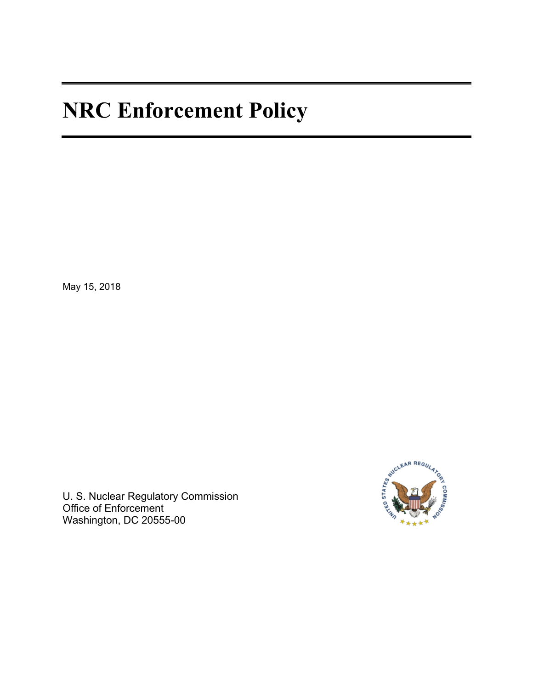# **NRC Enforcement Policy**

May 15, 2018



U. S. Nuclear Regulatory Commission Office of Enforcement Washington, DC 20555-00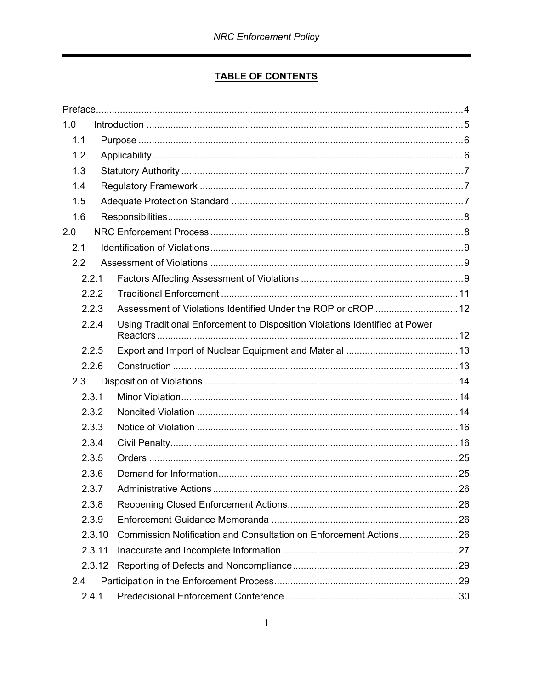# **TABLE OF CONTENTS**

| 1.0   |        |                                                                             |  |  |  |
|-------|--------|-----------------------------------------------------------------------------|--|--|--|
| 1.1   |        |                                                                             |  |  |  |
| 1.2   |        |                                                                             |  |  |  |
| 1.3   |        |                                                                             |  |  |  |
| 1.4   |        |                                                                             |  |  |  |
| 1.5   |        |                                                                             |  |  |  |
| 1.6   |        |                                                                             |  |  |  |
| 2.0   |        |                                                                             |  |  |  |
| 2.1   |        |                                                                             |  |  |  |
| 2.2   |        |                                                                             |  |  |  |
|       | 2.2.1  |                                                                             |  |  |  |
|       | 2.2.2  |                                                                             |  |  |  |
| 2.2.3 |        |                                                                             |  |  |  |
|       | 2.2.4  | Using Traditional Enforcement to Disposition Violations Identified at Power |  |  |  |
| 2.2.5 |        |                                                                             |  |  |  |
|       | 2.2.6  |                                                                             |  |  |  |
| 2.3   |        |                                                                             |  |  |  |
|       | 2.3.1  |                                                                             |  |  |  |
|       | 2.3.2  |                                                                             |  |  |  |
|       | 2.3.3  |                                                                             |  |  |  |
|       | 2.3.4  |                                                                             |  |  |  |
|       | 2.3.5  |                                                                             |  |  |  |
|       | 2.3.6  |                                                                             |  |  |  |
|       | 2.3.7  |                                                                             |  |  |  |
|       | 2.3.8  |                                                                             |  |  |  |
|       | 2.3.9  |                                                                             |  |  |  |
|       | 2.3.10 | Commission Notification and Consultation on Enforcement Actions26           |  |  |  |
|       | 2.3.11 |                                                                             |  |  |  |
|       | 2.3.12 |                                                                             |  |  |  |
| 2.4   |        |                                                                             |  |  |  |
|       | 2.4.1  |                                                                             |  |  |  |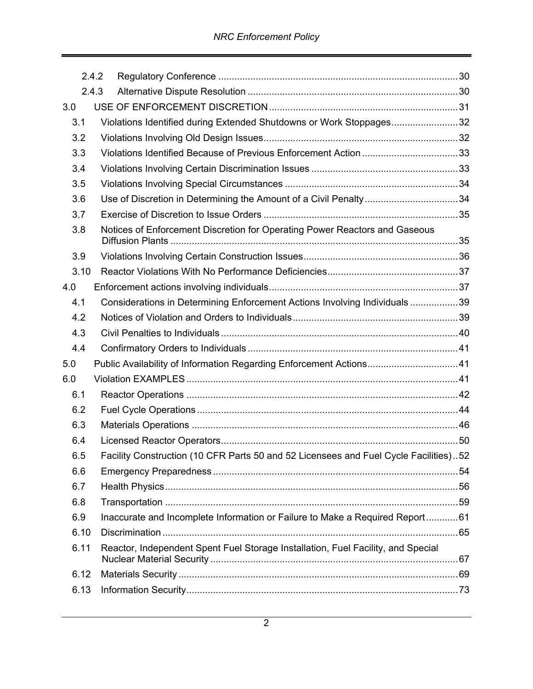|      | 2.4.2 |                                                                                      |  |
|------|-------|--------------------------------------------------------------------------------------|--|
|      | 2.4.3 |                                                                                      |  |
| 3.0  |       |                                                                                      |  |
| 3.1  |       | Violations Identified during Extended Shutdowns or Work Stoppages32                  |  |
| 3.2  |       |                                                                                      |  |
| 3.3  |       |                                                                                      |  |
| 3.4  |       |                                                                                      |  |
| 3.5  |       |                                                                                      |  |
| 3.6  |       | Use of Discretion in Determining the Amount of a Civil Penalty34                     |  |
| 3.7  |       |                                                                                      |  |
| 3.8  |       | Notices of Enforcement Discretion for Operating Power Reactors and Gaseous           |  |
| 3.9  |       |                                                                                      |  |
| 3.10 |       |                                                                                      |  |
| 4.0  |       |                                                                                      |  |
| 4.1  |       | Considerations in Determining Enforcement Actions Involving Individuals 39           |  |
| 4.2  |       |                                                                                      |  |
| 4.3  |       |                                                                                      |  |
| 4.4  |       |                                                                                      |  |
| 5.0  |       | Public Availability of Information Regarding Enforcement Actions41                   |  |
| 6.0  |       |                                                                                      |  |
| 6.1  |       |                                                                                      |  |
| 6.2  |       |                                                                                      |  |
| 6.3  |       |                                                                                      |  |
| 6.4  |       |                                                                                      |  |
| 6.5  |       | Facility Construction (10 CFR Parts 50 and 52 Licensees and Fuel Cycle Facilities)52 |  |
| 6.6  |       |                                                                                      |  |
| 6.7  |       |                                                                                      |  |
| 6.8  |       |                                                                                      |  |
| 6.9  |       | Inaccurate and Incomplete Information or Failure to Make a Required Report61         |  |
| 6.10 |       |                                                                                      |  |
| 6.11 |       | Reactor, Independent Spent Fuel Storage Installation, Fuel Facility, and Special     |  |
| 6.12 |       |                                                                                      |  |
| 6.13 |       |                                                                                      |  |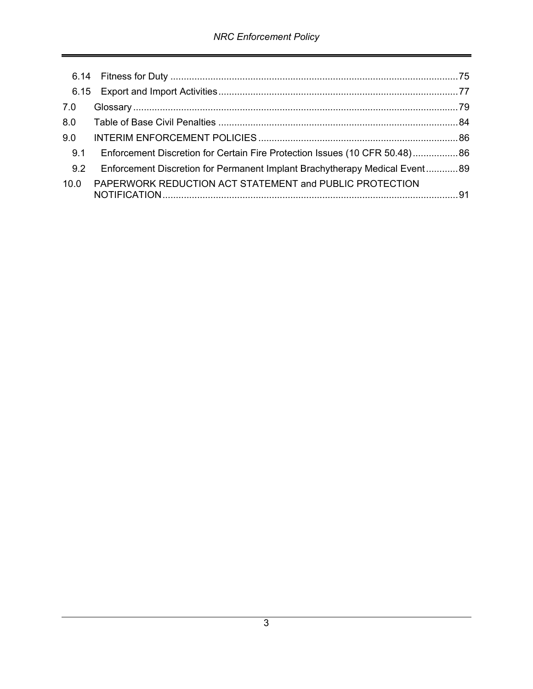| 7.0  |                                                                             |  |
|------|-----------------------------------------------------------------------------|--|
| 8.0  |                                                                             |  |
| 9.0  |                                                                             |  |
| 9.1  | Enforcement Discretion for Certain Fire Protection Issues (10 CFR 50.48) 86 |  |
| 9.2  | Enforcement Discretion for Permanent Implant Brachytherapy Medical Event89  |  |
| 10.0 | PAPERWORK REDUCTION ACT STATEMENT and PUBLIC PROTECTION                     |  |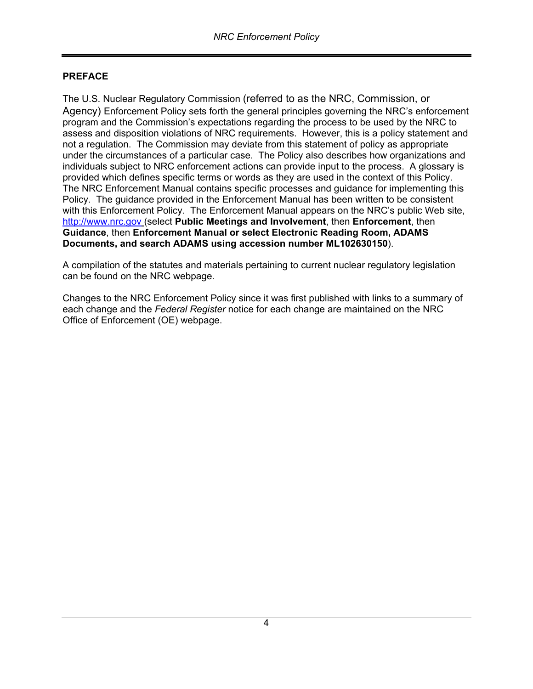## **PREFACE**

The U.S. Nuclear Regulatory Commission (referred to as the NRC, Commission, or Agency) Enforcement Policy sets forth the general principles governing the NRC's enforcement program and the Commission's expectations regarding the process to be used by the NRC to assess and disposition violations of NRC requirements. However, this is a policy statement and not a regulation. The Commission may deviate from this statement of policy as appropriate under the circumstances of a particular case. The Policy also describes how organizations and individuals subject to NRC enforcement actions can provide input to the process. A glossary is provided which defines specific terms or words as they are used in the context of this Policy. The NRC Enforcement Manual contains specific processes and guidance for implementing this Policy. The guidance provided in the Enforcement Manual has been written to be consistent with this Enforcement Policy. The Enforcement Manual appears on the NRC's public Web site, http://www.nrc.gov (select **Public Meetings and Involvement**, then **Enforcement**, then **Guidance**, then **Enforcement Manual or select Electronic Reading Room, ADAMS Documents, and search ADAMS using accession number ML102630150**).

A compilation of the statutes and materials pertaining to current nuclear regulatory legislation can be found on the NRC webpage.

Changes to the NRC Enforcement Policy since it was first published with links to a summary of each change and the *Federal Register* notice for each change are maintained on the NRC Office of Enforcement (OE) webpage.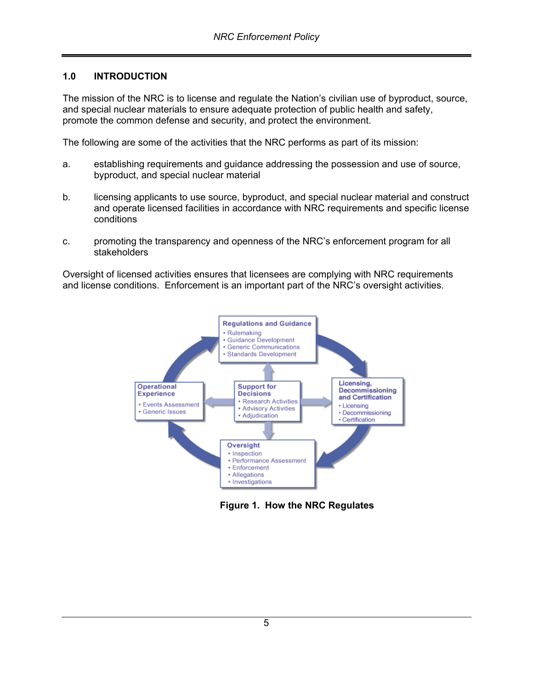## **1.0 INTRODUCTION**

The mission of the NRC is to license and regulate the Nation's civilian use of byproduct, source, and special nuclear materials to ensure adequate protection of public health and safety, promote the common defense and security, and protect the environment.

The following are some of the activities that the NRC performs as part of its mission:

- a. establishing requirements and guidance addressing the possession and use of source, byproduct, and special nuclear material
- b. licensing applicants to use source, byproduct, and special nuclear material and construct and operate licensed facilities in accordance with NRC requirements and specific license conditions
- c. promoting the transparency and openness of the NRC's enforcement program for all stakeholders

Oversight of licensed activities ensures that licensees are complying with NRC requirements and license conditions. Enforcement is an important part of the NRC's oversight activities.



 **Figure 1. How the NRC Regulates**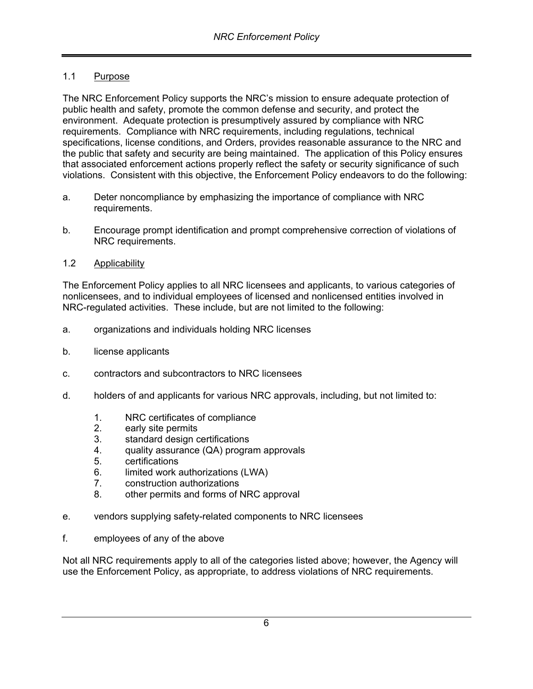# 1.1 Purpose

The NRC Enforcement Policy supports the NRC's mission to ensure adequate protection of public health and safety, promote the common defense and security, and protect the environment. Adequate protection is presumptively assured by compliance with NRC requirements. Compliance with NRC requirements, including regulations, technical specifications, license conditions, and Orders, provides reasonable assurance to the NRC and the public that safety and security are being maintained. The application of this Policy ensures that associated enforcement actions properly reflect the safety or security significance of such violations. Consistent with this objective, the Enforcement Policy endeavors to do the following:

- a. Deter noncompliance by emphasizing the importance of compliance with NRC requirements.
- b. Encourage prompt identification and prompt comprehensive correction of violations of NRC requirements.
- 1.2 Applicability

The Enforcement Policy applies to all NRC licensees and applicants, to various categories of nonlicensees, and to individual employees of licensed and nonlicensed entities involved in NRC-regulated activities. These include, but are not limited to the following:

- a. organizations and individuals holding NRC licenses
- b. license applicants
- c. contractors and subcontractors to NRC licensees
- d. holders of and applicants for various NRC approvals, including, but not limited to:
	- 1. NRC certificates of compliance
	- 2. early site permits
	- 3. standard design certifications
	- 4. quality assurance (QA) program approvals
	- 5. certifications
	- 6. limited work authorizations (LWA)
	- 7. construction authorizations
	- 8. other permits and forms of NRC approval
- e. vendors supplying safety-related components to NRC licensees
- f. employees of any of the above

Not all NRC requirements apply to all of the categories listed above; however, the Agency will use the Enforcement Policy, as appropriate, to address violations of NRC requirements.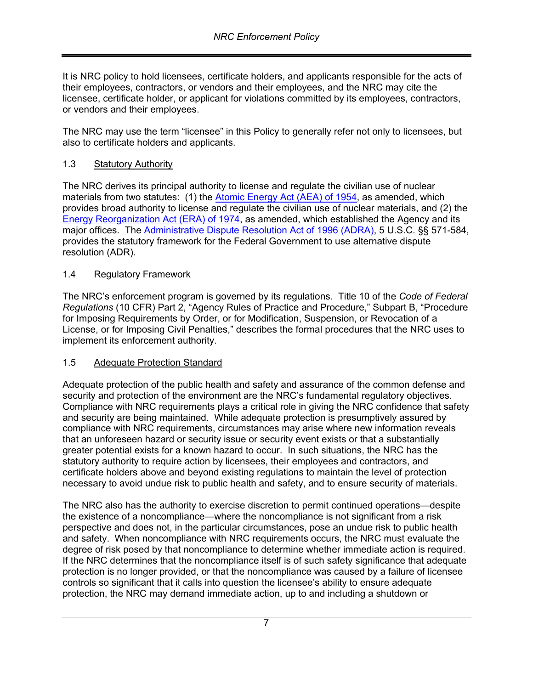It is NRC policy to hold licensees, certificate holders, and applicants responsible for the acts of their employees, contractors, or vendors and their employees, and the NRC may cite the licensee, certificate holder, or applicant for violations committed by its employees, contractors, or vendors and their employees.

The NRC may use the term "licensee" in this Policy to generally refer not only to licensees, but also to certificate holders and applicants.

#### 1.3 Statutory Authority

The NRC derives its principal authority to license and regulate the civilian use of nuclear materials from two statutes: (1) the Atomic Energy Act (AEA) of 1954, as amended, which provides broad authority to license and regulate the civilian use of nuclear materials, and (2) the Energy Reorganization Act (ERA) of 1974, as amended, which established the Agency and its major offices. The Administrative Dispute Resolution Act of 1996 (ADRA), 5 U.S.C. §§ 571-584, provides the statutory framework for the Federal Government to use alternative dispute resolution (ADR).

#### 1.4 Regulatory Framework

The NRC's enforcement program is governed by its regulations. Title 10 of the *Code of Federal Regulations* (10 CFR) Part 2, "Agency Rules of Practice and Procedure," Subpart B, "Procedure for Imposing Requirements by Order, or for Modification, Suspension, or Revocation of a License, or for Imposing Civil Penalties," describes the formal procedures that the NRC uses to implement its enforcement authority.

## 1.5 Adequate Protection Standard

Adequate protection of the public health and safety and assurance of the common defense and security and protection of the environment are the NRC's fundamental regulatory objectives. Compliance with NRC requirements plays a critical role in giving the NRC confidence that safety and security are being maintained. While adequate protection is presumptively assured by compliance with NRC requirements, circumstances may arise where new information reveals that an unforeseen hazard or security issue or security event exists or that a substantially greater potential exists for a known hazard to occur. In such situations, the NRC has the statutory authority to require action by licensees, their employees and contractors, and certificate holders above and beyond existing regulations to maintain the level of protection necessary to avoid undue risk to public health and safety, and to ensure security of materials.

The NRC also has the authority to exercise discretion to permit continued operations—despite the existence of a noncompliance—where the noncompliance is not significant from a risk perspective and does not, in the particular circumstances, pose an undue risk to public health and safety. When noncompliance with NRC requirements occurs, the NRC must evaluate the degree of risk posed by that noncompliance to determine whether immediate action is required. If the NRC determines that the noncompliance itself is of such safety significance that adequate protection is no longer provided, or that the noncompliance was caused by a failure of licensee controls so significant that it calls into question the licensee's ability to ensure adequate protection, the NRC may demand immediate action, up to and including a shutdown or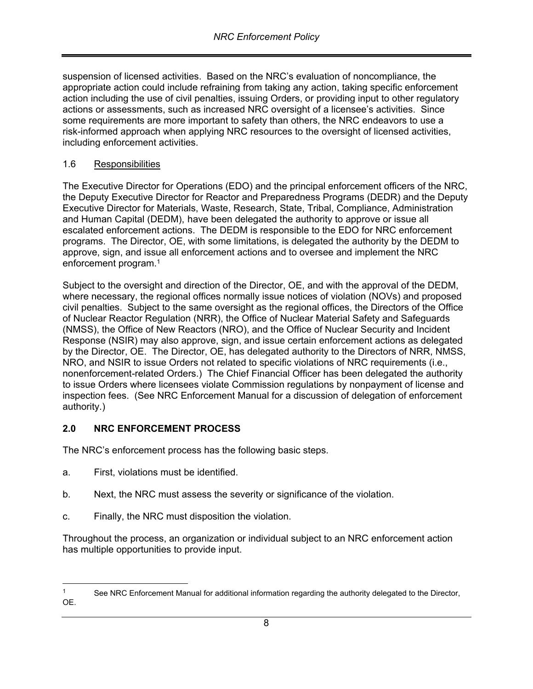suspension of licensed activities. Based on the NRC's evaluation of noncompliance, the appropriate action could include refraining from taking any action, taking specific enforcement action including the use of civil penalties, issuing Orders, or providing input to other regulatory actions or assessments, such as increased NRC oversight of a licensee's activities. Since some requirements are more important to safety than others, the NRC endeavors to use a risk-informed approach when applying NRC resources to the oversight of licensed activities, including enforcement activities.

## 1.6 Responsibilities

The Executive Director for Operations (EDO) and the principal enforcement officers of the NRC, the Deputy Executive Director for Reactor and Preparedness Programs (DEDR) and the Deputy Executive Director for Materials, Waste, Research, State, Tribal, Compliance, Administration and Human Capital (DEDM), have been delegated the authority to approve or issue all escalated enforcement actions. The DEDM is responsible to the EDO for NRC enforcement programs. The Director, OE, with some limitations, is delegated the authority by the DEDM to approve, sign, and issue all enforcement actions and to oversee and implement the NRC enforcement program.1

Subject to the oversight and direction of the Director, OE, and with the approval of the DEDM, where necessary, the regional offices normally issue notices of violation (NOVs) and proposed civil penalties. Subject to the same oversight as the regional offices, the Directors of the Office of Nuclear Reactor Regulation (NRR), the Office of Nuclear Material Safety and Safeguards (NMSS), the Office of New Reactors (NRO), and the Office of Nuclear Security and Incident Response (NSIR) may also approve, sign, and issue certain enforcement actions as delegated by the Director, OE. The Director, OE, has delegated authority to the Directors of NRR, NMSS, NRO, and NSIR to issue Orders not related to specific violations of NRC requirements (i.e., nonenforcement-related Orders.) The Chief Financial Officer has been delegated the authority to issue Orders where licensees violate Commission regulations by nonpayment of license and inspection fees. (See NRC Enforcement Manual for a discussion of delegation of enforcement authority.)

## **2.0 NRC ENFORCEMENT PROCESS**

The NRC's enforcement process has the following basic steps.

- a. First, violations must be identified.
- b. Next, the NRC must assess the severity or significance of the violation.
- c. Finally, the NRC must disposition the violation.

Throughout the process, an organization or individual subject to an NRC enforcement action has multiple opportunities to provide input.

 <sup>1</sup> See NRC Enforcement Manual for additional information regarding the authority delegated to the Director, OE.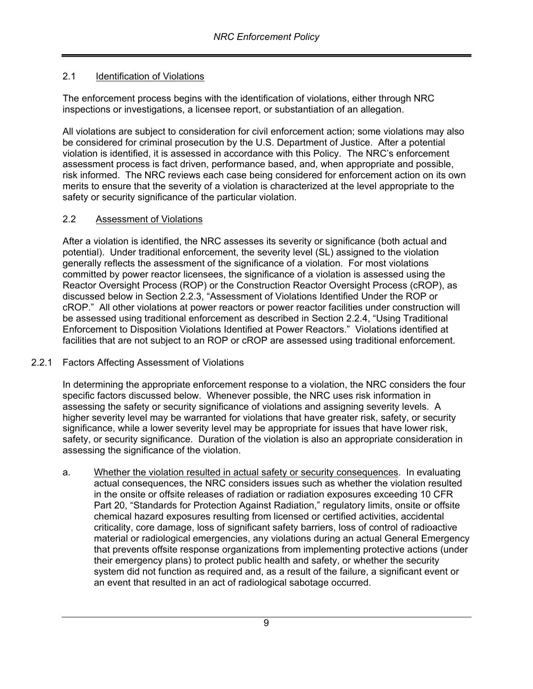## 2.1 **Identification of Violations**

The enforcement process begins with the identification of violations, either through NRC inspections or investigations, a licensee report, or substantiation of an allegation.

All violations are subject to consideration for civil enforcement action; some violations may also be considered for criminal prosecution by the U.S. Department of Justice. After a potential violation is identified, it is assessed in accordance with this Policy. The NRC's enforcement assessment process is fact driven, performance based, and, when appropriate and possible, risk informed. The NRC reviews each case being considered for enforcement action on its own merits to ensure that the severity of a violation is characterized at the level appropriate to the safety or security significance of the particular violation.

## 2.2 Assessment of Violations

After a violation is identified, the NRC assesses its severity or significance (both actual and potential). Under traditional enforcement, the severity level (SL) assigned to the violation generally reflects the assessment of the significance of a violation. For most violations committed by power reactor licensees, the significance of a violation is assessed using the Reactor Oversight Process (ROP) or the Construction Reactor Oversight Process (cROP), as discussed below in Section 2.2.3, "Assessment of Violations Identified Under the ROP or cROP." All other violations at power reactors or power reactor facilities under construction will be assessed using traditional enforcement as described in Section 2.2.4, "Using Traditional Enforcement to Disposition Violations Identified at Power Reactors." Violations identified at facilities that are not subject to an ROP or cROP are assessed using traditional enforcement.

## 2.2.1 Factors Affecting Assessment of Violations

In determining the appropriate enforcement response to a violation, the NRC considers the four specific factors discussed below. Whenever possible, the NRC uses risk information in assessing the safety or security significance of violations and assigning severity levels. A higher severity level may be warranted for violations that have greater risk, safety, or security significance, while a lower severity level may be appropriate for issues that have lower risk, safety, or security significance. Duration of the violation is also an appropriate consideration in assessing the significance of the violation.

a. Whether the violation resulted in actual safety or security consequences. In evaluating actual consequences, the NRC considers issues such as whether the violation resulted in the onsite or offsite releases of radiation or radiation exposures exceeding 10 CFR Part 20, "Standards for Protection Against Radiation," regulatory limits, onsite or offsite chemical hazard exposures resulting from licensed or certified activities, accidental criticality, core damage, loss of significant safety barriers, loss of control of radioactive material or radiological emergencies, any violations during an actual General Emergency that prevents offsite response organizations from implementing protective actions (under their emergency plans) to protect public health and safety, or whether the security system did not function as required and, as a result of the failure, a significant event or an event that resulted in an act of radiological sabotage occurred.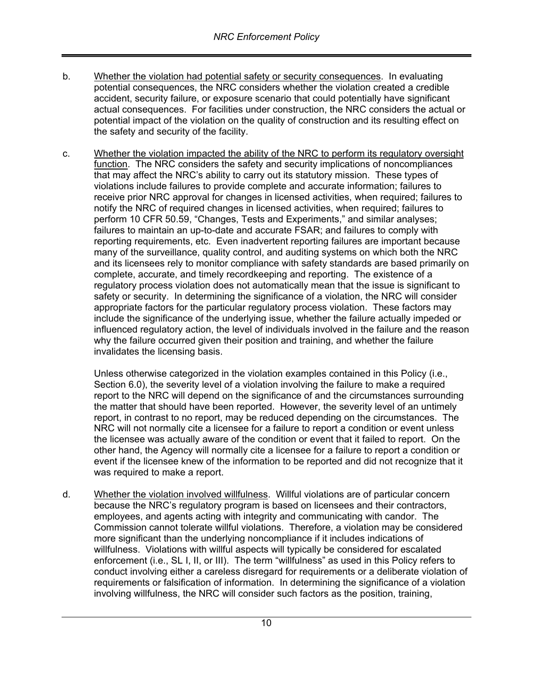- b. Whether the violation had potential safety or security consequences. In evaluating potential consequences, the NRC considers whether the violation created a credible accident, security failure, or exposure scenario that could potentially have significant actual consequences. For facilities under construction, the NRC considers the actual or potential impact of the violation on the quality of construction and its resulting effect on the safety and security of the facility.
- c. Whether the violation impacted the ability of the NRC to perform its regulatory oversight function. The NRC considers the safety and security implications of noncompliances that may affect the NRC's ability to carry out its statutory mission. These types of violations include failures to provide complete and accurate information; failures to receive prior NRC approval for changes in licensed activities, when required; failures to notify the NRC of required changes in licensed activities, when required; failures to perform 10 CFR 50.59, "Changes, Tests and Experiments," and similar analyses; failures to maintain an up-to-date and accurate FSAR; and failures to comply with reporting requirements, etc. Even inadvertent reporting failures are important because many of the surveillance, quality control, and auditing systems on which both the NRC and its licensees rely to monitor compliance with safety standards are based primarily on complete, accurate, and timely recordkeeping and reporting. The existence of a regulatory process violation does not automatically mean that the issue is significant to safety or security. In determining the significance of a violation, the NRC will consider appropriate factors for the particular regulatory process violation. These factors may include the significance of the underlying issue, whether the failure actually impeded or influenced regulatory action, the level of individuals involved in the failure and the reason why the failure occurred given their position and training, and whether the failure invalidates the licensing basis.

Unless otherwise categorized in the violation examples contained in this Policy (i.e., Section 6.0), the severity level of a violation involving the failure to make a required report to the NRC will depend on the significance of and the circumstances surrounding the matter that should have been reported. However, the severity level of an untimely report, in contrast to no report, may be reduced depending on the circumstances. The NRC will not normally cite a licensee for a failure to report a condition or event unless the licensee was actually aware of the condition or event that it failed to report. On the other hand, the Agency will normally cite a licensee for a failure to report a condition or event if the licensee knew of the information to be reported and did not recognize that it was required to make a report.

d. Whether the violation involved willfulness. Willful violations are of particular concern because the NRC's regulatory program is based on licensees and their contractors, employees, and agents acting with integrity and communicating with candor. The Commission cannot tolerate willful violations. Therefore, a violation may be considered more significant than the underlying noncompliance if it includes indications of willfulness. Violations with willful aspects will typically be considered for escalated enforcement (i.e., SL I, II, or III). The term "willfulness" as used in this Policy refers to conduct involving either a careless disregard for requirements or a deliberate violation of requirements or falsification of information. In determining the significance of a violation involving willfulness, the NRC will consider such factors as the position, training,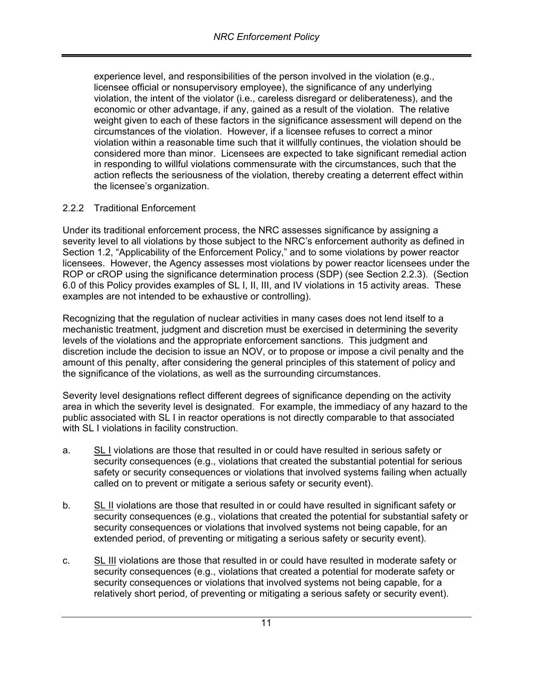experience level, and responsibilities of the person involved in the violation (e.g., licensee official or nonsupervisory employee), the significance of any underlying violation, the intent of the violator (i.e., careless disregard or deliberateness), and the economic or other advantage, if any, gained as a result of the violation. The relative weight given to each of these factors in the significance assessment will depend on the circumstances of the violation. However, if a licensee refuses to correct a minor violation within a reasonable time such that it willfully continues, the violation should be considered more than minor. Licensees are expected to take significant remedial action in responding to willful violations commensurate with the circumstances, such that the action reflects the seriousness of the violation, thereby creating a deterrent effect within the licensee's organization.

## 2.2.2 Traditional Enforcement

Under its traditional enforcement process, the NRC assesses significance by assigning a severity level to all violations by those subject to the NRC's enforcement authority as defined in Section 1.2, "Applicability of the Enforcement Policy," and to some violations by power reactor licensees. However, the Agency assesses most violations by power reactor licensees under the ROP or cROP using the significance determination process (SDP) (see Section 2.2.3). (Section 6.0 of this Policy provides examples of SL I, II, III, and IV violations in 15 activity areas. These examples are not intended to be exhaustive or controlling).

Recognizing that the regulation of nuclear activities in many cases does not lend itself to a mechanistic treatment, judgment and discretion must be exercised in determining the severity levels of the violations and the appropriate enforcement sanctions. This judgment and discretion include the decision to issue an NOV, or to propose or impose a civil penalty and the amount of this penalty, after considering the general principles of this statement of policy and the significance of the violations, as well as the surrounding circumstances.

Severity level designations reflect different degrees of significance depending on the activity area in which the severity level is designated. For example, the immediacy of any hazard to the public associated with SL I in reactor operations is not directly comparable to that associated with SL I violations in facility construction.

- a. SL I violations are those that resulted in or could have resulted in serious safety or security consequences (e.g., violations that created the substantial potential for serious safety or security consequences or violations that involved systems failing when actually called on to prevent or mitigate a serious safety or security event).
- b. SL II violations are those that resulted in or could have resulted in significant safety or security consequences (e.g., violations that created the potential for substantial safety or security consequences or violations that involved systems not being capable, for an extended period, of preventing or mitigating a serious safety or security event).
- c. SL III violations are those that resulted in or could have resulted in moderate safety or security consequences (e.g., violations that created a potential for moderate safety or security consequences or violations that involved systems not being capable, for a relatively short period, of preventing or mitigating a serious safety or security event).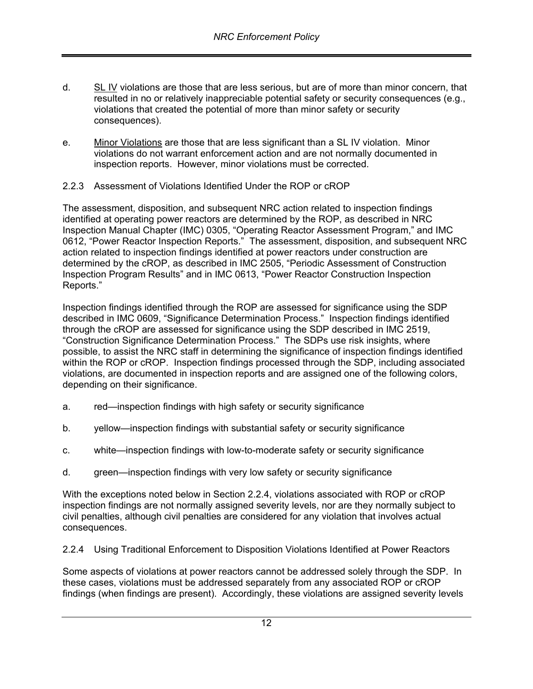- d. SL IV violations are those that are less serious, but are of more than minor concern, that resulted in no or relatively inappreciable potential safety or security consequences (e.g., violations that created the potential of more than minor safety or security consequences).
- e. Minor Violations are those that are less significant than a SL IV violation. Minor violations do not warrant enforcement action and are not normally documented in inspection reports. However, minor violations must be corrected.
- 2.2.3 Assessment of Violations Identified Under the ROP or cROP

The assessment, disposition, and subsequent NRC action related to inspection findings identified at operating power reactors are determined by the ROP, as described in NRC Inspection Manual Chapter (IMC) 0305, "Operating Reactor Assessment Program," and IMC 0612, "Power Reactor Inspection Reports." The assessment, disposition, and subsequent NRC action related to inspection findings identified at power reactors under construction are determined by the cROP, as described in IMC 2505, "Periodic Assessment of Construction Inspection Program Results" and in IMC 0613, "Power Reactor Construction Inspection Reports."

Inspection findings identified through the ROP are assessed for significance using the SDP described in IMC 0609, "Significance Determination Process." Inspection findings identified through the cROP are assessed for significance using the SDP described in IMC 2519, "Construction Significance Determination Process." The SDPs use risk insights, where possible, to assist the NRC staff in determining the significance of inspection findings identified within the ROP or cROP. Inspection findings processed through the SDP, including associated violations, are documented in inspection reports and are assigned one of the following colors, depending on their significance.

- a. red—inspection findings with high safety or security significance
- b. yellow—inspection findings with substantial safety or security significance
- c. white—inspection findings with low-to-moderate safety or security significance
- d. green—inspection findings with very low safety or security significance

With the exceptions noted below in Section 2.2.4, violations associated with ROP or cROP inspection findings are not normally assigned severity levels, nor are they normally subject to civil penalties, although civil penalties are considered for any violation that involves actual consequences.

2.2.4 Using Traditional Enforcement to Disposition Violations Identified at Power Reactors

Some aspects of violations at power reactors cannot be addressed solely through the SDP. In these cases, violations must be addressed separately from any associated ROP or cROP findings (when findings are present). Accordingly, these violations are assigned severity levels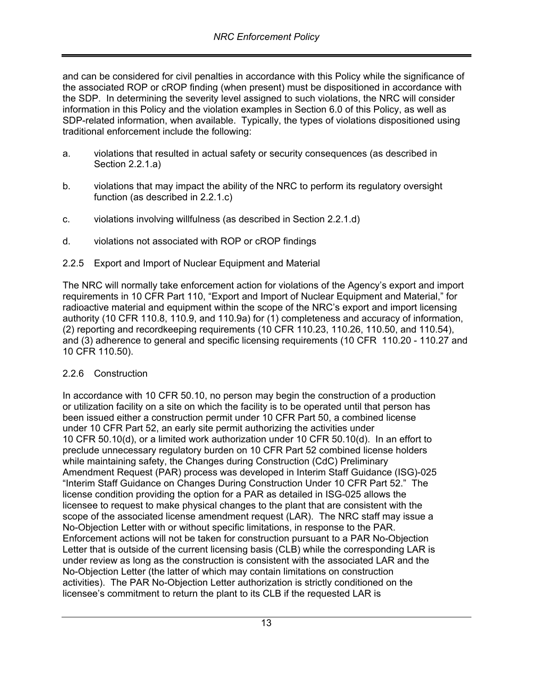and can be considered for civil penalties in accordance with this Policy while the significance of the associated ROP or cROP finding (when present) must be dispositioned in accordance with the SDP. In determining the severity level assigned to such violations, the NRC will consider information in this Policy and the violation examples in Section 6.0 of this Policy, as well as SDP-related information, when available. Typically, the types of violations dispositioned using traditional enforcement include the following:

- a. violations that resulted in actual safety or security consequences (as described in Section 2.2.1.a)
- b. violations that may impact the ability of the NRC to perform its regulatory oversight function (as described in 2.2.1.c)
- c. violations involving willfulness (as described in Section 2.2.1.d)
- d. violations not associated with ROP or cROP findings
- 2.2.5 Export and Import of Nuclear Equipment and Material

The NRC will normally take enforcement action for violations of the Agency's export and import requirements in 10 CFR Part 110, "Export and Import of Nuclear Equipment and Material," for radioactive material and equipment within the scope of the NRC's export and import licensing authority (10 CFR 110.8, 110.9, and 110.9a) for (1) completeness and accuracy of information, (2) reporting and recordkeeping requirements (10 CFR 110.23, 110.26, 110.50, and 110.54), and (3) adherence to general and specific licensing requirements (10 CFR 110.20 - 110.27 and 10 CFR 110.50).

## 2.2.6 Construction

In accordance with 10 CFR 50.10, no person may begin the construction of a production or utilization facility on a site on which the facility is to be operated until that person has been issued either a construction permit under 10 CFR Part 50, a combined license under 10 CFR Part 52, an early site permit authorizing the activities under 10 CFR 50.10(d), or a limited work authorization under 10 CFR 50.10(d). In an effort to preclude unnecessary regulatory burden on 10 CFR Part 52 combined license holders while maintaining safety, the Changes during Construction (CdC) Preliminary Amendment Request (PAR) process was developed in Interim Staff Guidance (ISG)-025 "Interim Staff Guidance on Changes During Construction Under 10 CFR Part 52." The license condition providing the option for a PAR as detailed in ISG-025 allows the licensee to request to make physical changes to the plant that are consistent with the scope of the associated license amendment request (LAR). The NRC staff may issue a No-Objection Letter with or without specific limitations, in response to the PAR. Enforcement actions will not be taken for construction pursuant to a PAR No-Objection Letter that is outside of the current licensing basis (CLB) while the corresponding LAR is under review as long as the construction is consistent with the associated LAR and the No-Objection Letter (the latter of which may contain limitations on construction activities). The PAR No-Objection Letter authorization is strictly conditioned on the licensee's commitment to return the plant to its CLB if the requested LAR is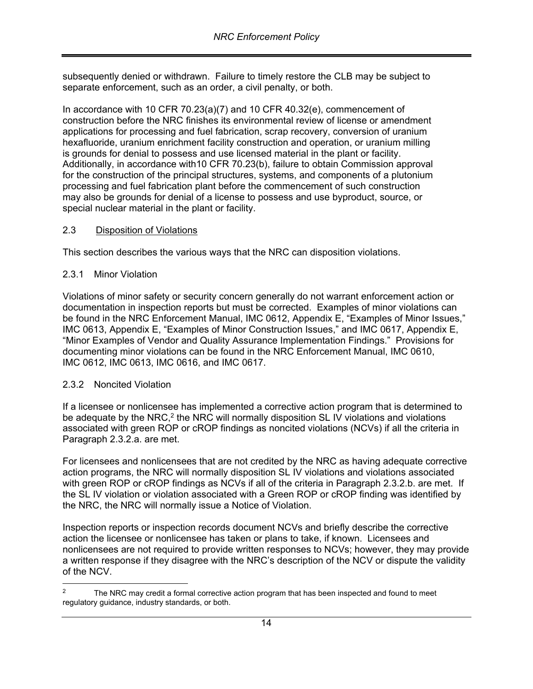subsequently denied or withdrawn. Failure to timely restore the CLB may be subject to separate enforcement, such as an order, a civil penalty, or both.

In accordance with 10 CFR 70.23(a)(7) and 10 CFR 40.32(e), commencement of construction before the NRC finishes its environmental review of license or amendment applications for processing and fuel fabrication, scrap recovery, conversion of uranium hexafluoride, uranium enrichment facility construction and operation, or uranium milling is grounds for denial to possess and use licensed material in the plant or facility. Additionally, in accordance with10 CFR 70.23(b), failure to obtain Commission approval for the construction of the principal structures, systems, and components of a plutonium processing and fuel fabrication plant before the commencement of such construction may also be grounds for denial of a license to possess and use byproduct, source, or special nuclear material in the plant or facility.

#### 2.3 Disposition of Violations

This section describes the various ways that the NRC can disposition violations.

#### 2.3.1 Minor Violation

Violations of minor safety or security concern generally do not warrant enforcement action or documentation in inspection reports but must be corrected. Examples of minor violations can be found in the NRC Enforcement Manual, IMC 0612, Appendix E, "Examples of Minor Issues," IMC 0613, Appendix E, "Examples of Minor Construction Issues," and IMC 0617, Appendix E, "Minor Examples of Vendor and Quality Assurance Implementation Findings." Provisions for documenting minor violations can be found in the NRC Enforcement Manual, IMC 0610, IMC 0612, IMC 0613, IMC 0616, and IMC 0617.

## 2.3.2 Noncited Violation

If a licensee or nonlicensee has implemented a corrective action program that is determined to be adequate by the NRC, $2$  the NRC will normally disposition SL IV violations and violations associated with green ROP or cROP findings as noncited violations (NCVs) if all the criteria in Paragraph 2.3.2.a. are met.

For licensees and nonlicensees that are not credited by the NRC as having adequate corrective action programs, the NRC will normally disposition SL IV violations and violations associated with green ROP or cROP findings as NCVs if all of the criteria in Paragraph 2.3.2.b. are met. If the SL IV violation or violation associated with a Green ROP or cROP finding was identified by the NRC, the NRC will normally issue a Notice of Violation.

Inspection reports or inspection records document NCVs and briefly describe the corrective action the licensee or nonlicensee has taken or plans to take, if known. Licensees and nonlicensees are not required to provide written responses to NCVs; however, they may provide a written response if they disagree with the NRC's description of the NCV or dispute the validity of the NCV.

 $2^2$  The NRC may credit a formal corrective action program that has been inspected and found to meet regulatory guidance, industry standards, or both.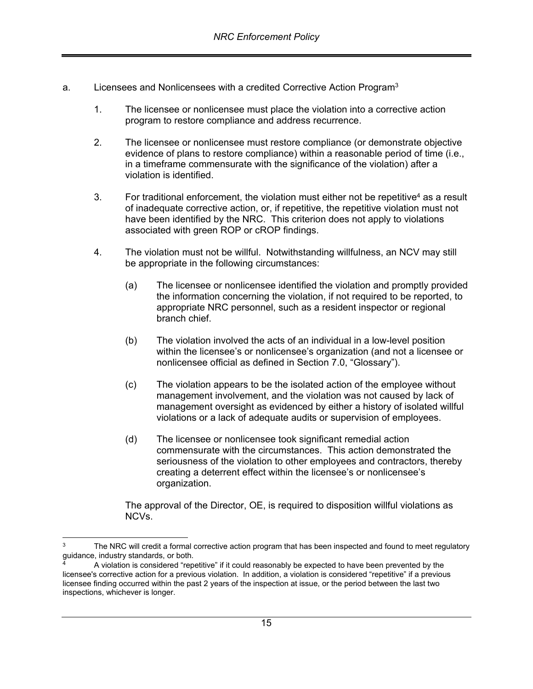- a. Licensees and Nonlicensees with a credited Corrective Action Program3
	- 1. The licensee or nonlicensee must place the violation into a corrective action program to restore compliance and address recurrence.
	- 2. The licensee or nonlicensee must restore compliance (or demonstrate objective evidence of plans to restore compliance) within a reasonable period of time (i.e., in a timeframe commensurate with the significance of the violation) after a violation is identified.
	- $3.$  For traditional enforcement, the violation must either not be repetitive<sup>4</sup> as a result of inadequate corrective action, or, if repetitive, the repetitive violation must not have been identified by the NRC. This criterion does not apply to violations associated with green ROP or cROP findings.
	- 4. The violation must not be willful. Notwithstanding willfulness, an NCV may still be appropriate in the following circumstances:
		- (a) The licensee or nonlicensee identified the violation and promptly provided the information concerning the violation, if not required to be reported, to appropriate NRC personnel, such as a resident inspector or regional branch chief.
		- (b) The violation involved the acts of an individual in a low-level position within the licensee's or nonlicensee's organization (and not a licensee or nonlicensee official as defined in Section 7.0, "Glossary").
		- (c) The violation appears to be the isolated action of the employee without management involvement, and the violation was not caused by lack of management oversight as evidenced by either a history of isolated willful violations or a lack of adequate audits or supervision of employees.
		- (d) The licensee or nonlicensee took significant remedial action commensurate with the circumstances. This action demonstrated the seriousness of the violation to other employees and contractors, thereby creating a deterrent effect within the licensee's or nonlicensee's organization.

The approval of the Director, OE, is required to disposition willful violations as NCVs.

-

The NRC will credit a formal corrective action program that has been inspected and found to meet regulatory guidance, industry standards, or both.

<sup>4</sup> A violation is considered "repetitive" if it could reasonably be expected to have been prevented by the licensee's corrective action for a previous violation. In addition, a violation is considered "repetitive" if a previous licensee finding occurred within the past 2 years of the inspection at issue, or the period between the last two inspections, whichever is longer.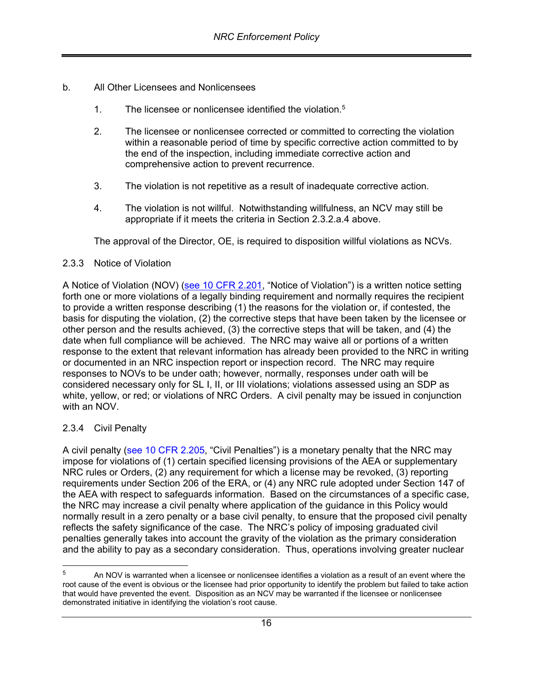- b. All Other Licensees and Nonlicensees
	- 1. The licensee or nonlicensee identified the violation.5
	- 2. The licensee or nonlicensee corrected or committed to correcting the violation within a reasonable period of time by specific corrective action committed to by the end of the inspection, including immediate corrective action and comprehensive action to prevent recurrence.
	- 3. The violation is not repetitive as a result of inadequate corrective action.
	- 4. The violation is not willful. Notwithstanding willfulness, an NCV may still be appropriate if it meets the criteria in Section 2.3.2.a.4 above.

The approval of the Director, OE, is required to disposition willful violations as NCVs.

#### 2.3.3 Notice of Violation

A Notice of Violation (NOV) (see 10 CFR 2.201, "Notice of Violation") is a written notice setting forth one or more violations of a legally binding requirement and normally requires the recipient to provide a written response describing (1) the reasons for the violation or, if contested, the basis for disputing the violation, (2) the corrective steps that have been taken by the licensee or other person and the results achieved, (3) the corrective steps that will be taken, and (4) the date when full compliance will be achieved. The NRC may waive all or portions of a written response to the extent that relevant information has already been provided to the NRC in writing or documented in an NRC inspection report or inspection record. The NRC may require responses to NOVs to be under oath; however, normally, responses under oath will be considered necessary only for SL I, II, or III violations; violations assessed using an SDP as white, yellow, or red; or violations of NRC Orders. A civil penalty may be issued in conjunction with an NOV.

## 2.3.4 Civil Penalty

A civil penalty (see 10 CFR 2.205, "Civil Penalties") is a monetary penalty that the NRC may impose for violations of (1) certain specified licensing provisions of the AEA or supplementary NRC rules or Orders, (2) any requirement for which a license may be revoked, (3) reporting requirements under Section 206 of the ERA, or (4) any NRC rule adopted under Section 147 of the AEA with respect to safeguards information. Based on the circumstances of a specific case, the NRC may increase a civil penalty where application of the guidance in this Policy would normally result in a zero penalty or a base civil penalty, to ensure that the proposed civil penalty reflects the safety significance of the case. The NRC's policy of imposing graduated civil penalties generally takes into account the gravity of the violation as the primary consideration and the ability to pay as a secondary consideration. Thus, operations involving greater nuclear

<sup>5</sup> An NOV is warranted when a licensee or nonlicensee identifies a violation as a result of an event where the root cause of the event is obvious or the licensee had prior opportunity to identify the problem but failed to take action that would have prevented the event. Disposition as an NCV may be warranted if the licensee or nonlicensee demonstrated initiative in identifying the violation's root cause.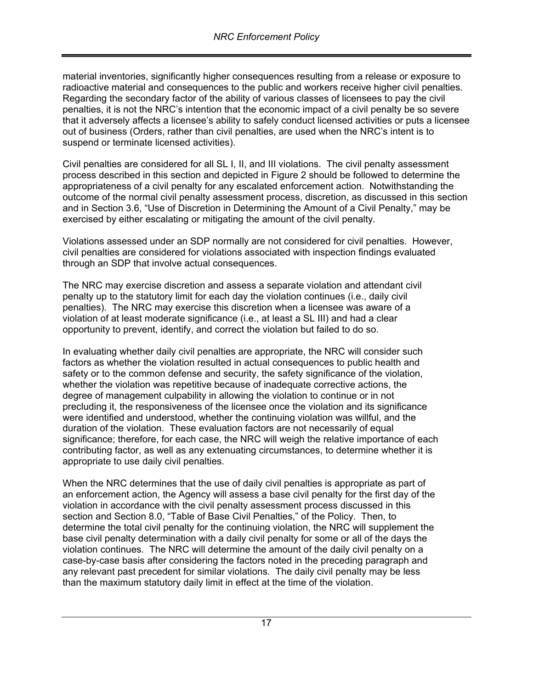material inventories, significantly higher consequences resulting from a release or exposure to radioactive material and consequences to the public and workers receive higher civil penalties. Regarding the secondary factor of the ability of various classes of licensees to pay the civil penalties, it is not the NRC's intention that the economic impact of a civil penalty be so severe that it adversely affects a licensee's ability to safely conduct licensed activities or puts a licensee out of business (Orders, rather than civil penalties, are used when the NRC's intent is to suspend or terminate licensed activities).

Civil penalties are considered for all SL I, II, and III violations. The civil penalty assessment process described in this section and depicted in Figure 2 should be followed to determine the appropriateness of a civil penalty for any escalated enforcement action. Notwithstanding the outcome of the normal civil penalty assessment process, discretion, as discussed in this section and in Section 3.6, "Use of Discretion in Determining the Amount of a Civil Penalty," may be exercised by either escalating or mitigating the amount of the civil penalty.

Violations assessed under an SDP normally are not considered for civil penalties. However, civil penalties are considered for violations associated with inspection findings evaluated through an SDP that involve actual consequences.

The NRC may exercise discretion and assess a separate violation and attendant civil penalty up to the statutory limit for each day the violation continues (i.e., daily civil penalties). The NRC may exercise this discretion when a licensee was aware of a violation of at least moderate significance (i.e., at least a SL III) and had a clear opportunity to prevent, identify, and correct the violation but failed to do so.

In evaluating whether daily civil penalties are appropriate, the NRC will consider such factors as whether the violation resulted in actual consequences to public health and safety or to the common defense and security, the safety significance of the violation, whether the violation was repetitive because of inadequate corrective actions, the degree of management culpability in allowing the violation to continue or in not precluding it, the responsiveness of the licensee once the violation and its significance were identified and understood, whether the continuing violation was willful, and the duration of the violation. These evaluation factors are not necessarily of equal significance; therefore, for each case, the NRC will weigh the relative importance of each contributing factor, as well as any extenuating circumstances, to determine whether it is appropriate to use daily civil penalties.

When the NRC determines that the use of daily civil penalties is appropriate as part of an enforcement action, the Agency will assess a base civil penalty for the first day of the violation in accordance with the civil penalty assessment process discussed in this section and Section 8.0, "Table of Base Civil Penalties," of the Policy. Then, to determine the total civil penalty for the continuing violation, the NRC will supplement the base civil penalty determination with a daily civil penalty for some or all of the days the violation continues. The NRC will determine the amount of the daily civil penalty on a case-by-case basis after considering the factors noted in the preceding paragraph and any relevant past precedent for similar violations. The daily civil penalty may be less than the maximum statutory daily limit in effect at the time of the violation.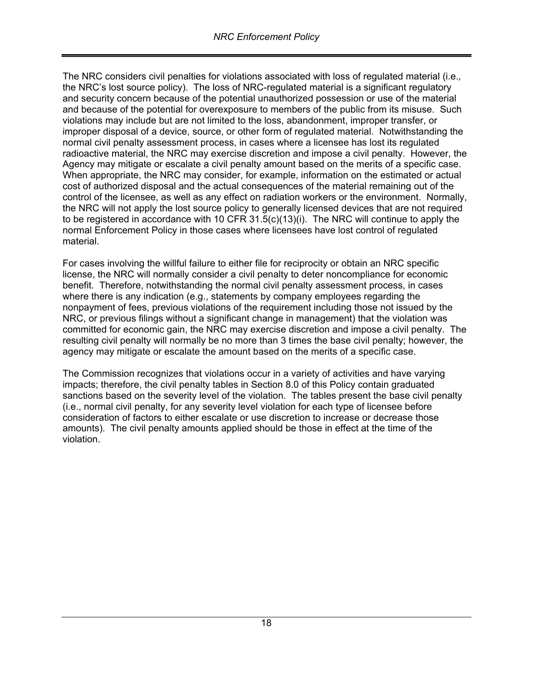The NRC considers civil penalties for violations associated with loss of regulated material (i.e.*,*  the NRC's lost source policy). The loss of NRC-regulated material is a significant regulatory and security concern because of the potential unauthorized possession or use of the material and because of the potential for overexposure to members of the public from its misuse. Such violations may include but are not limited to the loss, abandonment, improper transfer, or improper disposal of a device, source, or other form of regulated material. Notwithstanding the normal civil penalty assessment process, in cases where a licensee has lost its regulated radioactive material, the NRC may exercise discretion and impose a civil penalty. However, the Agency may mitigate or escalate a civil penalty amount based on the merits of a specific case. When appropriate, the NRC may consider, for example, information on the estimated or actual cost of authorized disposal and the actual consequences of the material remaining out of the control of the licensee, as well as any effect on radiation workers or the environment. Normally, the NRC will not apply the lost source policy to generally licensed devices that are not required to be registered in accordance with 10 CFR 31.5(c)(13)(i). The NRC will continue to apply the normal Enforcement Policy in those cases where licensees have lost control of regulated material.

For cases involving the willful failure to either file for reciprocity or obtain an NRC specific license, the NRC will normally consider a civil penalty to deter noncompliance for economic benefit. Therefore, notwithstanding the normal civil penalty assessment process, in cases where there is any indication (e.g., statements by company employees regarding the nonpayment of fees, previous violations of the requirement including those not issued by the NRC, or previous filings without a significant change in management) that the violation was committed for economic gain, the NRC may exercise discretion and impose a civil penalty. The resulting civil penalty will normally be no more than 3 times the base civil penalty; however, the agency may mitigate or escalate the amount based on the merits of a specific case.

The Commission recognizes that violations occur in a variety of activities and have varying impacts; therefore, the civil penalty tables in Section 8.0 of this Policy contain graduated sanctions based on the severity level of the violation. The tables present the base civil penalty (i.e., normal civil penalty, for any severity level violation for each type of licensee before consideration of factors to either escalate or use discretion to increase or decrease those amounts). The civil penalty amounts applied should be those in effect at the time of the violation.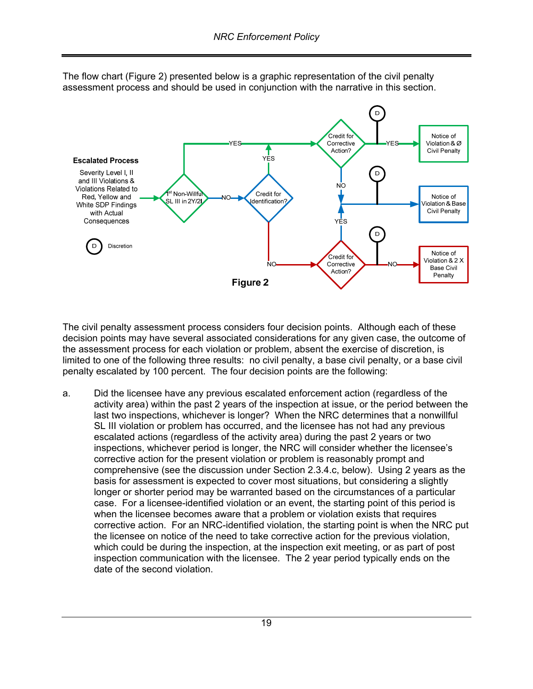

The flow chart (Figure 2) presented below is a graphic representation of the civil penalty assessment process and should be used in conjunction with the narrative in this section.

The civil penalty assessment process considers four decision points. Although each of these decision points may have several associated considerations for any given case, the outcome of the assessment process for each violation or problem, absent the exercise of discretion, is limited to one of the following three results: no civil penalty, a base civil penalty, or a base civil penalty escalated by 100 percent. The four decision points are the following:

a. Did the licensee have any previous escalated enforcement action (regardless of the activity area) within the past 2 years of the inspection at issue, or the period between the last two inspections, whichever is longer? When the NRC determines that a nonwillful SL III violation or problem has occurred, and the licensee has not had any previous escalated actions (regardless of the activity area) during the past 2 years or two inspections, whichever period is longer, the NRC will consider whether the licensee's corrective action for the present violation or problem is reasonably prompt and comprehensive (see the discussion under Section 2.3.4.c, below). Using 2 years as the basis for assessment is expected to cover most situations, but considering a slightly longer or shorter period may be warranted based on the circumstances of a particular case. For a licensee-identified violation or an event, the starting point of this period is when the licensee becomes aware that a problem or violation exists that requires corrective action. For an NRC-identified violation, the starting point is when the NRC put the licensee on notice of the need to take corrective action for the previous violation, which could be during the inspection, at the inspection exit meeting, or as part of post inspection communication with the licensee. The 2 year period typically ends on the date of the second violation.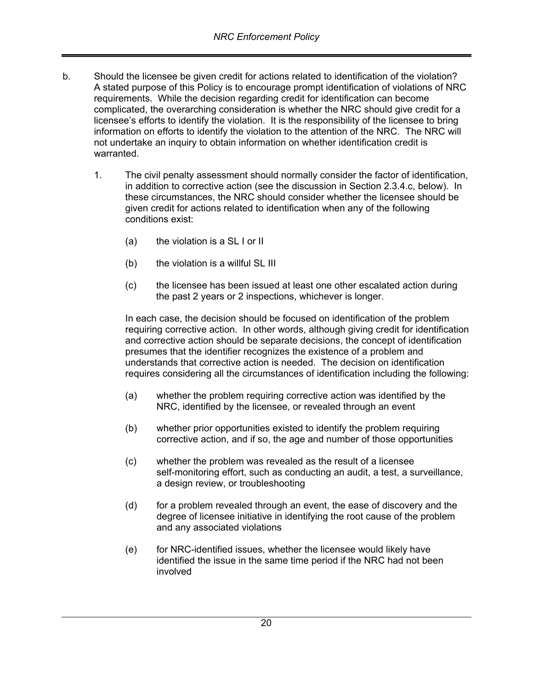- b. Should the licensee be given credit for actions related to identification of the violation? A stated purpose of this Policy is to encourage prompt identification of violations of NRC requirements. While the decision regarding credit for identification can become complicated, the overarching consideration is whether the NRC should give credit for a licensee's efforts to identify the violation. It is the responsibility of the licensee to bring information on efforts to identify the violation to the attention of the NRC. The NRC will not undertake an inquiry to obtain information on whether identification credit is warranted.
	- 1. The civil penalty assessment should normally consider the factor of identification, in addition to corrective action (see the discussion in Section 2.3.4.c, below). In these circumstances, the NRC should consider whether the licensee should be given credit for actions related to identification when any of the following conditions exist:
		- (a) the violation is a SL I or II
		- (b) the violation is a willful SL III
		- (c) the licensee has been issued at least one other escalated action during the past 2 years or 2 inspections, whichever is longer.

 In each case, the decision should be focused on identification of the problem requiring corrective action. In other words, although giving credit for identification and corrective action should be separate decisions, the concept of identification presumes that the identifier recognizes the existence of a problem and understands that corrective action is needed. The decision on identification requires considering all the circumstances of identification including the following:

- (a) whether the problem requiring corrective action was identified by the NRC, identified by the licensee, or revealed through an event
- (b) whether prior opportunities existed to identify the problem requiring corrective action, and if so, the age and number of those opportunities
- (c) whether the problem was revealed as the result of a licensee self-monitoring effort, such as conducting an audit, a test, a surveillance, a design review, or troubleshooting
- (d) for a problem revealed through an event, the ease of discovery and the degree of licensee initiative in identifying the root cause of the problem and any associated violations
- (e) for NRC-identified issues, whether the licensee would likely have identified the issue in the same time period if the NRC had not been involved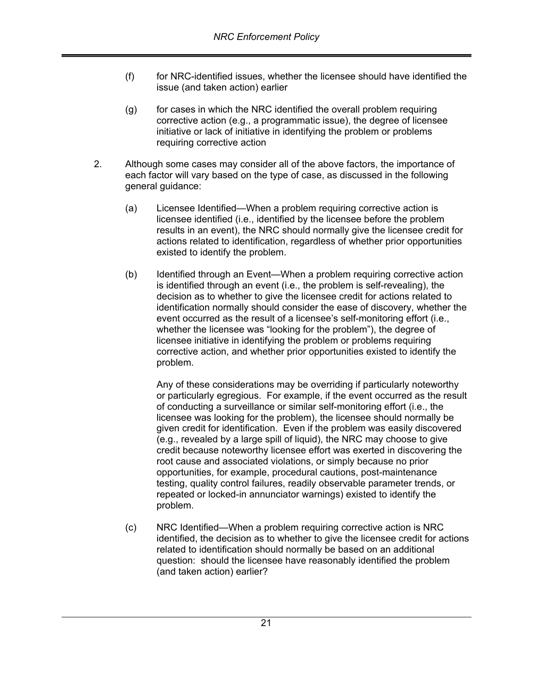- (f) for NRC-identified issues, whether the licensee should have identified the issue (and taken action) earlier
- (g) for cases in which the NRC identified the overall problem requiring corrective action (e.g., a programmatic issue), the degree of licensee initiative or lack of initiative in identifying the problem or problems requiring corrective action
- 2. Although some cases may consider all of the above factors, the importance of each factor will vary based on the type of case, as discussed in the following general guidance:
	- (a) Licensee Identified—When a problem requiring corrective action is licensee identified (i.e., identified by the licensee before the problem results in an event), the NRC should normally give the licensee credit for actions related to identification, regardless of whether prior opportunities existed to identify the problem.
	- (b) Identified through an Event—When a problem requiring corrective action is identified through an event (i.e., the problem is self-revealing), the decision as to whether to give the licensee credit for actions related to identification normally should consider the ease of discovery, whether the event occurred as the result of a licensee's self-monitoring effort (i.e., whether the licensee was "looking for the problem"), the degree of licensee initiative in identifying the problem or problems requiring corrective action, and whether prior opportunities existed to identify the problem.

Any of these considerations may be overriding if particularly noteworthy or particularly egregious. For example, if the event occurred as the result of conducting a surveillance or similar self-monitoring effort (i.e., the licensee was looking for the problem), the licensee should normally be given credit for identification. Even if the problem was easily discovered (e.g., revealed by a large spill of liquid), the NRC may choose to give credit because noteworthy licensee effort was exerted in discovering the root cause and associated violations, or simply because no prior opportunities, for example, procedural cautions, post-maintenance testing, quality control failures, readily observable parameter trends, or repeated or locked-in annunciator warnings) existed to identify the problem.

(c) NRC Identified—When a problem requiring corrective action is NRC identified, the decision as to whether to give the licensee credit for actions related to identification should normally be based on an additional question: should the licensee have reasonably identified the problem (and taken action) earlier?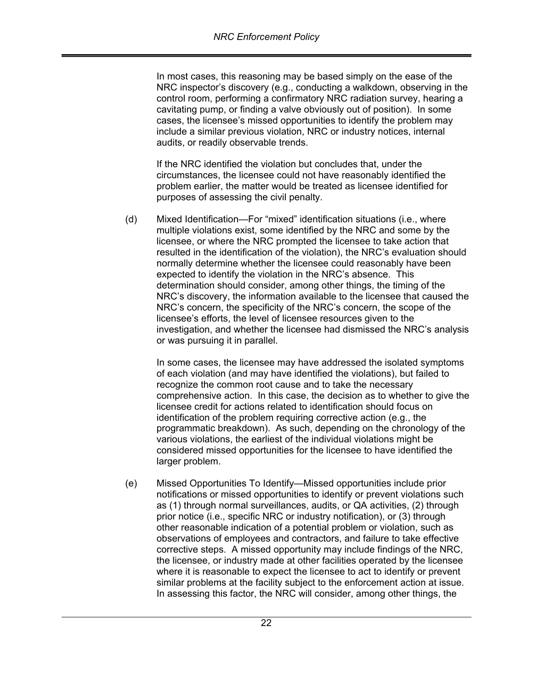In most cases, this reasoning may be based simply on the ease of the NRC inspector's discovery (e.g., conducting a walkdown, observing in the control room, performing a confirmatory NRC radiation survey, hearing a cavitating pump, or finding a valve obviously out of position). In some cases, the licensee's missed opportunities to identify the problem may include a similar previous violation, NRC or industry notices, internal audits, or readily observable trends.

If the NRC identified the violation but concludes that, under the circumstances, the licensee could not have reasonably identified the problem earlier, the matter would be treated as licensee identified for purposes of assessing the civil penalty.

(d) Mixed Identification—For "mixed" identification situations (i.e., where multiple violations exist, some identified by the NRC and some by the licensee, or where the NRC prompted the licensee to take action that resulted in the identification of the violation), the NRC's evaluation should normally determine whether the licensee could reasonably have been expected to identify the violation in the NRC's absence. This determination should consider, among other things, the timing of the NRC's discovery, the information available to the licensee that caused the NRC's concern, the specificity of the NRC's concern, the scope of the licensee's efforts, the level of licensee resources given to the investigation, and whether the licensee had dismissed the NRC's analysis or was pursuing it in parallel.

In some cases, the licensee may have addressed the isolated symptoms of each violation (and may have identified the violations), but failed to recognize the common root cause and to take the necessary comprehensive action. In this case, the decision as to whether to give the licensee credit for actions related to identification should focus on identification of the problem requiring corrective action (e.g., the programmatic breakdown). As such, depending on the chronology of the various violations, the earliest of the individual violations might be considered missed opportunities for the licensee to have identified the larger problem.

(e) Missed Opportunities To Identify—Missed opportunities include prior notifications or missed opportunities to identify or prevent violations such as (1) through normal surveillances, audits, or QA activities, (2) through prior notice (i.e., specific NRC or industry notification), or (3) through other reasonable indication of a potential problem or violation, such as observations of employees and contractors, and failure to take effective corrective steps. A missed opportunity may include findings of the NRC, the licensee, or industry made at other facilities operated by the licensee where it is reasonable to expect the licensee to act to identify or prevent similar problems at the facility subject to the enforcement action at issue. In assessing this factor, the NRC will consider, among other things, the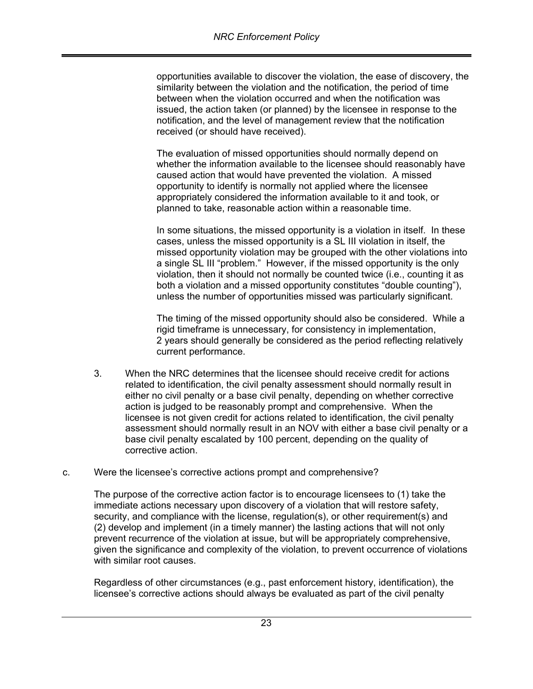opportunities available to discover the violation, the ease of discovery, the similarity between the violation and the notification, the period of time between when the violation occurred and when the notification was issued, the action taken (or planned) by the licensee in response to the notification, and the level of management review that the notification received (or should have received).

The evaluation of missed opportunities should normally depend on whether the information available to the licensee should reasonably have caused action that would have prevented the violation. A missed opportunity to identify is normally not applied where the licensee appropriately considered the information available to it and took, or planned to take, reasonable action within a reasonable time.

In some situations, the missed opportunity is a violation in itself. In these cases, unless the missed opportunity is a SL III violation in itself, the missed opportunity violation may be grouped with the other violations into a single SL III "problem." However, if the missed opportunity is the only violation, then it should not normally be counted twice (i.e., counting it as both a violation and a missed opportunity constitutes "double counting"), unless the number of opportunities missed was particularly significant.

The timing of the missed opportunity should also be considered. While a rigid timeframe is unnecessary, for consistency in implementation, 2 years should generally be considered as the period reflecting relatively current performance.

- 3. When the NRC determines that the licensee should receive credit for actions related to identification, the civil penalty assessment should normally result in either no civil penalty or a base civil penalty, depending on whether corrective action is judged to be reasonably prompt and comprehensive. When the licensee is not given credit for actions related to identification, the civil penalty assessment should normally result in an NOV with either a base civil penalty or a base civil penalty escalated by 100 percent, depending on the quality of corrective action.
- c. Were the licensee's corrective actions prompt and comprehensive?

The purpose of the corrective action factor is to encourage licensees to (1) take the immediate actions necessary upon discovery of a violation that will restore safety, security, and compliance with the license, regulation(s), or other requirement(s) and (2) develop and implement (in a timely manner) the lasting actions that will not only prevent recurrence of the violation at issue, but will be appropriately comprehensive, given the significance and complexity of the violation, to prevent occurrence of violations with similar root causes.

Regardless of other circumstances (e.g., past enforcement history, identification), the licensee's corrective actions should always be evaluated as part of the civil penalty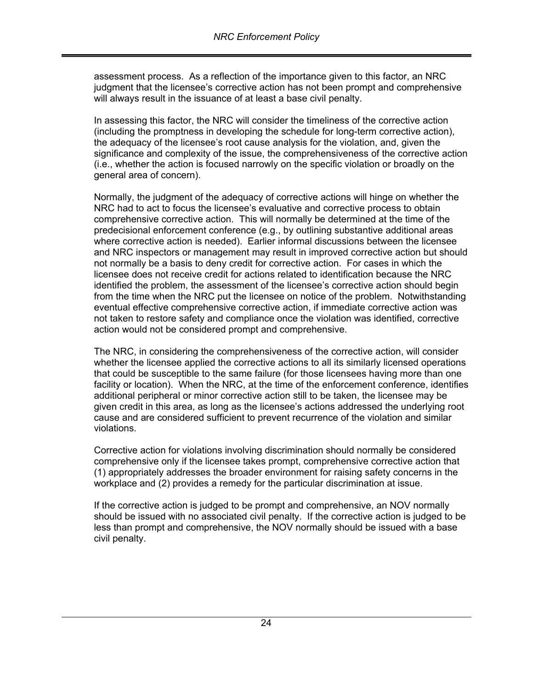assessment process. As a reflection of the importance given to this factor, an NRC judgment that the licensee's corrective action has not been prompt and comprehensive will always result in the issuance of at least a base civil penalty.

In assessing this factor, the NRC will consider the timeliness of the corrective action (including the promptness in developing the schedule for long-term corrective action), the adequacy of the licensee's root cause analysis for the violation, and, given the significance and complexity of the issue, the comprehensiveness of the corrective action (i.e., whether the action is focused narrowly on the specific violation or broadly on the general area of concern).

Normally, the judgment of the adequacy of corrective actions will hinge on whether the NRC had to act to focus the licensee's evaluative and corrective process to obtain comprehensive corrective action. This will normally be determined at the time of the predecisional enforcement conference (e.g., by outlining substantive additional areas where corrective action is needed). Earlier informal discussions between the licensee and NRC inspectors or management may result in improved corrective action but should not normally be a basis to deny credit for corrective action. For cases in which the licensee does not receive credit for actions related to identification because the NRC identified the problem, the assessment of the licensee's corrective action should begin from the time when the NRC put the licensee on notice of the problem. Notwithstanding eventual effective comprehensive corrective action, if immediate corrective action was not taken to restore safety and compliance once the violation was identified, corrective action would not be considered prompt and comprehensive.

The NRC, in considering the comprehensiveness of the corrective action, will consider whether the licensee applied the corrective actions to all its similarly licensed operations that could be susceptible to the same failure (for those licensees having more than one facility or location). When the NRC, at the time of the enforcement conference, identifies additional peripheral or minor corrective action still to be taken, the licensee may be given credit in this area, as long as the licensee's actions addressed the underlying root cause and are considered sufficient to prevent recurrence of the violation and similar violations.

Corrective action for violations involving discrimination should normally be considered comprehensive only if the licensee takes prompt, comprehensive corrective action that (1) appropriately addresses the broader environment for raising safety concerns in the workplace and (2) provides a remedy for the particular discrimination at issue.

If the corrective action is judged to be prompt and comprehensive, an NOV normally should be issued with no associated civil penalty. If the corrective action is judged to be less than prompt and comprehensive, the NOV normally should be issued with a base civil penalty.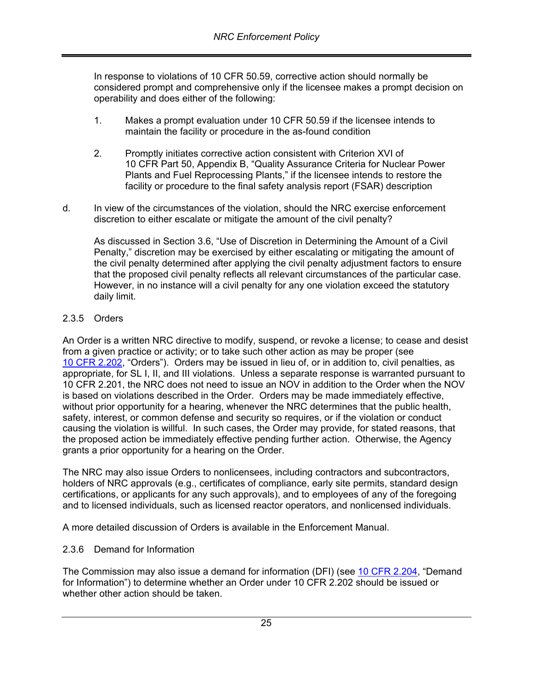In response to violations of 10 CFR 50.59, corrective action should normally be considered prompt and comprehensive only if the licensee makes a prompt decision on operability and does either of the following:

- 1. Makes a prompt evaluation under 10 CFR 50.59 if the licensee intends to maintain the facility or procedure in the as-found condition
- 2. Promptly initiates corrective action consistent with Criterion XVI of 10 CFR Part 50, Appendix B, "Quality Assurance Criteria for Nuclear Power Plants and Fuel Reprocessing Plants," if the licensee intends to restore the facility or procedure to the final safety analysis report (FSAR) description
- d. In view of the circumstances of the violation, should the NRC exercise enforcement discretion to either escalate or mitigate the amount of the civil penalty?

As discussed in Section 3.6, "Use of Discretion in Determining the Amount of a Civil Penalty," discretion may be exercised by either escalating or mitigating the amount of the civil penalty determined after applying the civil penalty adjustment factors to ensure that the proposed civil penalty reflects all relevant circumstances of the particular case. However, in no instance will a civil penalty for any one violation exceed the statutory daily limit.

## 2.3.5 Orders

An Order is a written NRC directive to modify, suspend, or revoke a license; to cease and desist from a given practice or activity; or to take such other action as may be proper (see 10 CFR 2.202, "Orders"). Orders may be issued in lieu of, or in addition to, civil penalties, as appropriate, for SL I, II, and III violations. Unless a separate response is warranted pursuant to 10 CFR 2.201, the NRC does not need to issue an NOV in addition to the Order when the NOV is based on violations described in the Order. Orders may be made immediately effective, without prior opportunity for a hearing, whenever the NRC determines that the public health, safety, interest, or common defense and security so requires, or if the violation or conduct causing the violation is willful. In such cases, the Order may provide, for stated reasons, that the proposed action be immediately effective pending further action. Otherwise, the Agency grants a prior opportunity for a hearing on the Order.

The NRC may also issue Orders to nonlicensees, including contractors and subcontractors, holders of NRC approvals (e.g., certificates of compliance, early site permits, standard design certifications, or applicants for any such approvals), and to employees of any of the foregoing and to licensed individuals, such as licensed reactor operators, and nonlicensed individuals.

A more detailed discussion of Orders is available in the Enforcement Manual.

## 2.3.6 Demand for Information

The Commission may also issue a demand for information (DFI) (see 10 CFR 2.204, "Demand for Information") to determine whether an Order under 10 CFR 2.202 should be issued or whether other action should be taken.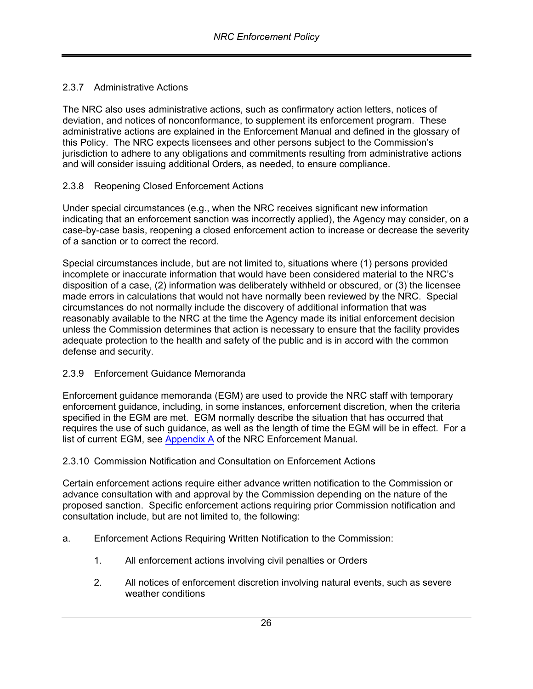## 2.3.7 Administrative Actions

The NRC also uses administrative actions, such as confirmatory action letters, notices of deviation, and notices of nonconformance, to supplement its enforcement program. These administrative actions are explained in the Enforcement Manual and defined in the glossary of this Policy. The NRC expects licensees and other persons subject to the Commission's jurisdiction to adhere to any obligations and commitments resulting from administrative actions and will consider issuing additional Orders, as needed, to ensure compliance.

## 2.3.8 Reopening Closed Enforcement Actions

Under special circumstances (e.g., when the NRC receives significant new information indicating that an enforcement sanction was incorrectly applied), the Agency may consider, on a case-by-case basis, reopening a closed enforcement action to increase or decrease the severity of a sanction or to correct the record.

Special circumstances include, but are not limited to, situations where (1) persons provided incomplete or inaccurate information that would have been considered material to the NRC's disposition of a case, (2) information was deliberately withheld or obscured, or (3) the licensee made errors in calculations that would not have normally been reviewed by the NRC. Special circumstances do not normally include the discovery of additional information that was reasonably available to the NRC at the time the Agency made its initial enforcement decision unless the Commission determines that action is necessary to ensure that the facility provides adequate protection to the health and safety of the public and is in accord with the common defense and security.

## 2.3.9 Enforcement Guidance Memoranda

Enforcement guidance memoranda (EGM) are used to provide the NRC staff with temporary enforcement guidance, including, in some instances, enforcement discretion, when the criteria specified in the EGM are met. EGM normally describe the situation that has occurred that requires the use of such guidance, as well as the length of time the EGM will be in effect. For a list of current EGM, see Appendix A of the NRC Enforcement Manual.

## 2.3.10 Commission Notification and Consultation on Enforcement Actions

Certain enforcement actions require either advance written notification to the Commission or advance consultation with and approval by the Commission depending on the nature of the proposed sanction. Specific enforcement actions requiring prior Commission notification and consultation include, but are not limited to, the following:

- a. Enforcement Actions Requiring Written Notification to the Commission:
	- 1. All enforcement actions involving civil penalties or Orders
	- 2. All notices of enforcement discretion involving natural events, such as severe weather conditions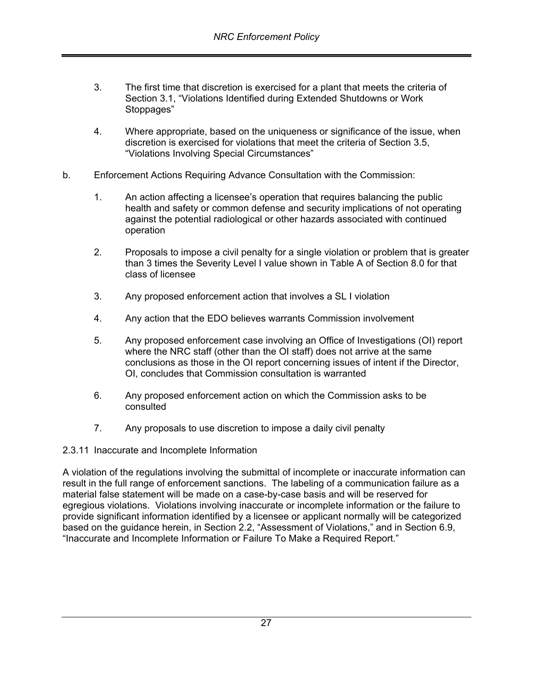- 3. The first time that discretion is exercised for a plant that meets the criteria of Section 3.1, "Violations Identified during Extended Shutdowns or Work Stoppages"
- 4. Where appropriate, based on the uniqueness or significance of the issue, when discretion is exercised for violations that meet the criteria of Section 3.5, "Violations Involving Special Circumstances"
- b. Enforcement Actions Requiring Advance Consultation with the Commission:
	- 1. An action affecting a licensee's operation that requires balancing the public health and safety or common defense and security implications of not operating against the potential radiological or other hazards associated with continued operation
	- 2. Proposals to impose a civil penalty for a single violation or problem that is greater than 3 times the Severity Level I value shown in Table A of Section 8.0 for that class of licensee
	- 3. Any proposed enforcement action that involves a SL I violation
	- 4. Any action that the EDO believes warrants Commission involvement
	- 5. Any proposed enforcement case involving an Office of Investigations (OI) report where the NRC staff (other than the OI staff) does not arrive at the same conclusions as those in the OI report concerning issues of intent if the Director, OI, concludes that Commission consultation is warranted
	- 6. Any proposed enforcement action on which the Commission asks to be consulted
	- 7. Any proposals to use discretion to impose a daily civil penalty
- 2.3.11 Inaccurate and Incomplete Information

A violation of the regulations involving the submittal of incomplete or inaccurate information can result in the full range of enforcement sanctions. The labeling of a communication failure as a material false statement will be made on a case-by-case basis and will be reserved for egregious violations. Violations involving inaccurate or incomplete information or the failure to provide significant information identified by a licensee or applicant normally will be categorized based on the guidance herein, in Section 2.2, "Assessment of Violations," and in Section 6.9, "Inaccurate and Incomplete Information or Failure To Make a Required Report."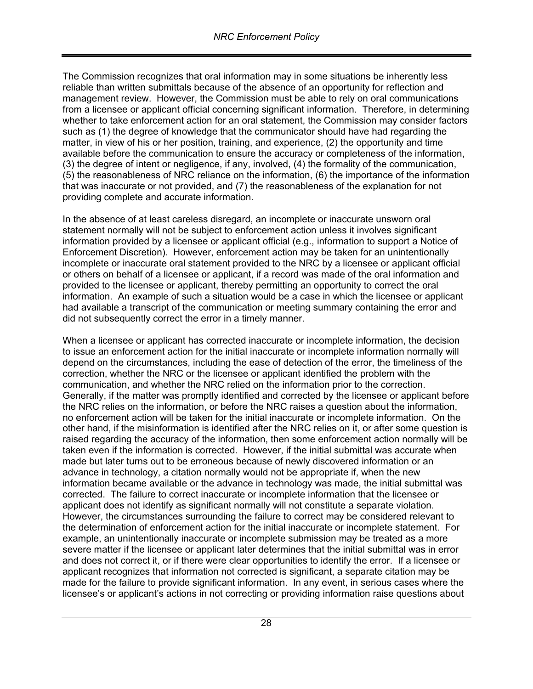The Commission recognizes that oral information may in some situations be inherently less reliable than written submittals because of the absence of an opportunity for reflection and management review. However, the Commission must be able to rely on oral communications from a licensee or applicant official concerning significant information. Therefore, in determining whether to take enforcement action for an oral statement, the Commission may consider factors such as (1) the degree of knowledge that the communicator should have had regarding the matter, in view of his or her position, training, and experience, (2) the opportunity and time available before the communication to ensure the accuracy or completeness of the information, (3) the degree of intent or negligence, if any, involved, (4) the formality of the communication, (5) the reasonableness of NRC reliance on the information, (6) the importance of the information that was inaccurate or not provided, and (7) the reasonableness of the explanation for not providing complete and accurate information.

In the absence of at least careless disregard, an incomplete or inaccurate unsworn oral statement normally will not be subject to enforcement action unless it involves significant information provided by a licensee or applicant official (e.g., information to support a Notice of Enforcement Discretion). However, enforcement action may be taken for an unintentionally incomplete or inaccurate oral statement provided to the NRC by a licensee or applicant official or others on behalf of a licensee or applicant, if a record was made of the oral information and provided to the licensee or applicant, thereby permitting an opportunity to correct the oral information. An example of such a situation would be a case in which the licensee or applicant had available a transcript of the communication or meeting summary containing the error and did not subsequently correct the error in a timely manner.

When a licensee or applicant has corrected inaccurate or incomplete information, the decision to issue an enforcement action for the initial inaccurate or incomplete information normally will depend on the circumstances, including the ease of detection of the error, the timeliness of the correction, whether the NRC or the licensee or applicant identified the problem with the communication, and whether the NRC relied on the information prior to the correction. Generally, if the matter was promptly identified and corrected by the licensee or applicant before the NRC relies on the information, or before the NRC raises a question about the information, no enforcement action will be taken for the initial inaccurate or incomplete information. On the other hand, if the misinformation is identified after the NRC relies on it, or after some question is raised regarding the accuracy of the information, then some enforcement action normally will be taken even if the information is corrected. However, if the initial submittal was accurate when made but later turns out to be erroneous because of newly discovered information or an advance in technology, a citation normally would not be appropriate if, when the new information became available or the advance in technology was made, the initial submittal was corrected. The failure to correct inaccurate or incomplete information that the licensee or applicant does not identify as significant normally will not constitute a separate violation. However, the circumstances surrounding the failure to correct may be considered relevant to the determination of enforcement action for the initial inaccurate or incomplete statement. For example, an unintentionally inaccurate or incomplete submission may be treated as a more severe matter if the licensee or applicant later determines that the initial submittal was in error and does not correct it, or if there were clear opportunities to identify the error. If a licensee or applicant recognizes that information not corrected is significant, a separate citation may be made for the failure to provide significant information. In any event, in serious cases where the licensee's or applicant's actions in not correcting or providing information raise questions about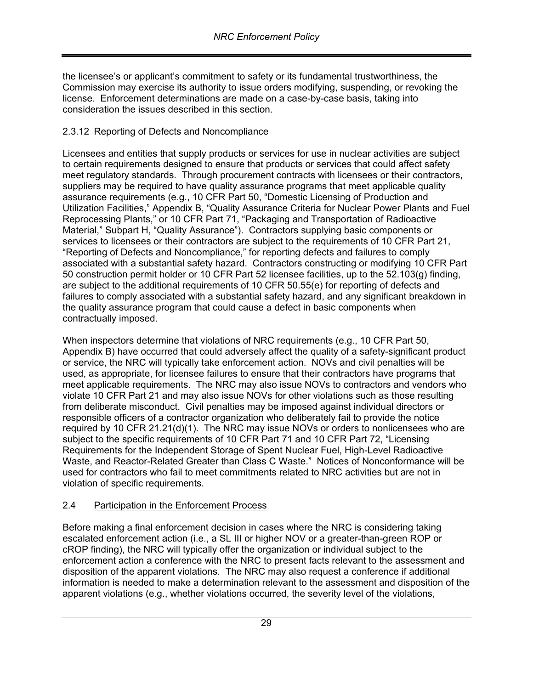the licensee's or applicant's commitment to safety or its fundamental trustworthiness, the Commission may exercise its authority to issue orders modifying, suspending, or revoking the license. Enforcement determinations are made on a case-by-case basis, taking into consideration the issues described in this section.

## 2.3.12 Reporting of Defects and Noncompliance

Licensees and entities that supply products or services for use in nuclear activities are subject to certain requirements designed to ensure that products or services that could affect safety meet regulatory standards. Through procurement contracts with licensees or their contractors, suppliers may be required to have quality assurance programs that meet applicable quality assurance requirements (e.g., 10 CFR Part 50, "Domestic Licensing of Production and Utilization Facilities," Appendix B, "Quality Assurance Criteria for Nuclear Power Plants and Fuel Reprocessing Plants," or 10 CFR Part 71, "Packaging and Transportation of Radioactive Material," Subpart H, "Quality Assurance"). Contractors supplying basic components or services to licensees or their contractors are subject to the requirements of 10 CFR Part 21, "Reporting of Defects and Noncompliance," for reporting defects and failures to comply associated with a substantial safety hazard. Contractors constructing or modifying 10 CFR Part 50 construction permit holder or 10 CFR Part 52 licensee facilities, up to the 52.103(g) finding, are subject to the additional requirements of 10 CFR 50.55(e) for reporting of defects and failures to comply associated with a substantial safety hazard, and any significant breakdown in the quality assurance program that could cause a defect in basic components when contractually imposed.

When inspectors determine that violations of NRC requirements (e.g., 10 CFR Part 50, Appendix B) have occurred that could adversely affect the quality of a safety-significant product or service, the NRC will typically take enforcement action. NOVs and civil penalties will be used, as appropriate, for licensee failures to ensure that their contractors have programs that meet applicable requirements. The NRC may also issue NOVs to contractors and vendors who violate 10 CFR Part 21 and may also issue NOVs for other violations such as those resulting from deliberate misconduct. Civil penalties may be imposed against individual directors or responsible officers of a contractor organization who deliberately fail to provide the notice required by 10 CFR 21.21(d)(1). The NRC may issue NOVs or orders to nonlicensees who are subject to the specific requirements of 10 CFR Part 71 and 10 CFR Part 72, "Licensing Requirements for the Independent Storage of Spent Nuclear Fuel, High-Level Radioactive Waste, and Reactor-Related Greater than Class C Waste." Notices of Nonconformance will be used for contractors who fail to meet commitments related to NRC activities but are not in violation of specific requirements.

## 2.4 Participation in the Enforcement Process

Before making a final enforcement decision in cases where the NRC is considering taking escalated enforcement action (i.e., a SL III or higher NOV or a greater-than-green ROP or cROP finding), the NRC will typically offer the organization or individual subject to the enforcement action a conference with the NRC to present facts relevant to the assessment and disposition of the apparent violations. The NRC may also request a conference if additional information is needed to make a determination relevant to the assessment and disposition of the apparent violations (e.g., whether violations occurred, the severity level of the violations,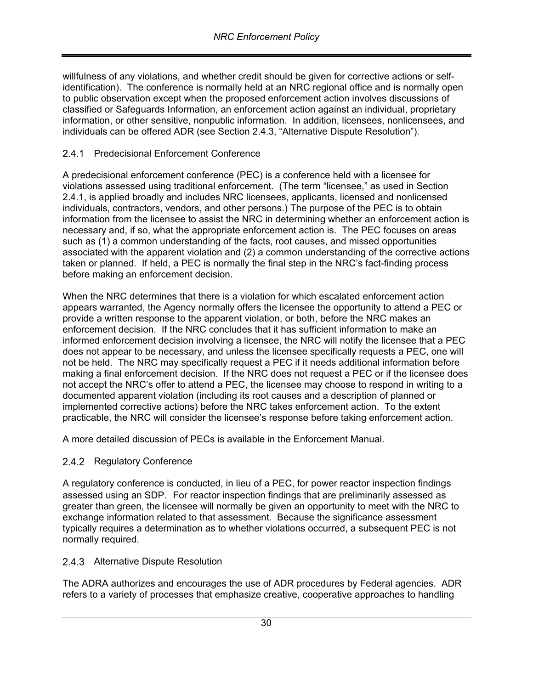willfulness of any violations, and whether credit should be given for corrective actions or selfidentification). The conference is normally held at an NRC regional office and is normally open to public observation except when the proposed enforcement action involves discussions of classified or Safeguards Information, an enforcement action against an individual, proprietary information, or other sensitive, nonpublic information. In addition, licensees, nonlicensees, and individuals can be offered ADR (see Section 2.4.3, "Alternative Dispute Resolution").

## 2.4.1 Predecisional Enforcement Conference

A predecisional enforcement conference (PEC) is a conference held with a licensee for violations assessed using traditional enforcement. (The term "licensee," as used in Section 2.4.1, is applied broadly and includes NRC licensees, applicants, licensed and nonlicensed individuals, contractors, vendors, and other persons.) The purpose of the PEC is to obtain information from the licensee to assist the NRC in determining whether an enforcement action is necessary and, if so, what the appropriate enforcement action is. The PEC focuses on areas such as (1) a common understanding of the facts, root causes, and missed opportunities associated with the apparent violation and (2) a common understanding of the corrective actions taken or planned. If held, a PEC is normally the final step in the NRC's fact-finding process before making an enforcement decision.

When the NRC determines that there is a violation for which escalated enforcement action appears warranted, the Agency normally offers the licensee the opportunity to attend a PEC or provide a written response to the apparent violation, or both, before the NRC makes an enforcement decision. If the NRC concludes that it has sufficient information to make an informed enforcement decision involving a licensee, the NRC will notify the licensee that a PEC does not appear to be necessary, and unless the licensee specifically requests a PEC, one will not be held. The NRC may specifically request a PEC if it needs additional information before making a final enforcement decision. If the NRC does not request a PEC or if the licensee does not accept the NRC's offer to attend a PEC, the licensee may choose to respond in writing to a documented apparent violation (including its root causes and a description of planned or implemented corrective actions) before the NRC takes enforcement action. To the extent practicable, the NRC will consider the licensee's response before taking enforcement action.

A more detailed discussion of PECs is available in the Enforcement Manual.

## 2.4.2 Regulatory Conference

A regulatory conference is conducted, in lieu of a PEC, for power reactor inspection findings assessed using an SDP. For reactor inspection findings that are preliminarily assessed as greater than green, the licensee will normally be given an opportunity to meet with the NRC to exchange information related to that assessment. Because the significance assessment typically requires a determination as to whether violations occurred, a subsequent PEC is not normally required.

## 2.4.3 Alternative Dispute Resolution

The ADRA authorizes and encourages the use of ADR procedures by Federal agencies. ADR refers to a variety of processes that emphasize creative, cooperative approaches to handling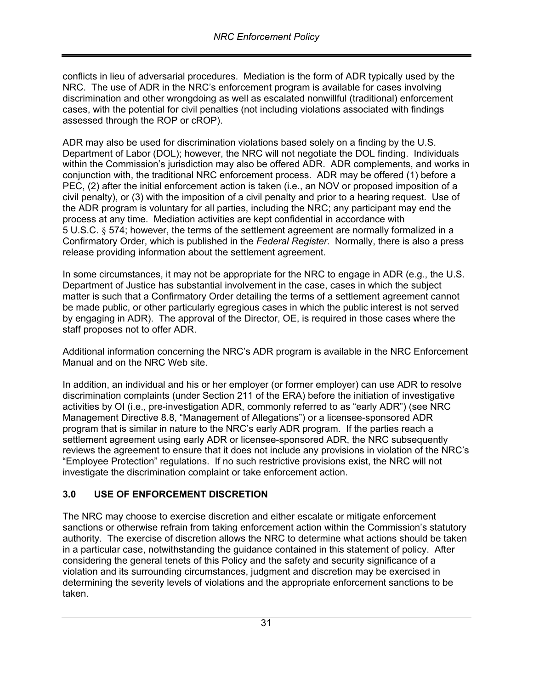conflicts in lieu of adversarial procedures. Mediation is the form of ADR typically used by the NRC. The use of ADR in the NRC's enforcement program is available for cases involving discrimination and other wrongdoing as well as escalated nonwillful (traditional) enforcement cases, with the potential for civil penalties (not including violations associated with findings assessed through the ROP or cROP).

ADR may also be used for discrimination violations based solely on a finding by the U.S. Department of Labor (DOL); however, the NRC will not negotiate the DOL finding. Individuals within the Commission's jurisdiction may also be offered ADR. ADR complements, and works in conjunction with, the traditional NRC enforcement process. ADR may be offered (1) before a PEC, (2) after the initial enforcement action is taken (i.e., an NOV or proposed imposition of a civil penalty), or (3) with the imposition of a civil penalty and prior to a hearing request. Use of the ADR program is voluntary for all parties, including the NRC; any participant may end the process at any time. Mediation activities are kept confidential in accordance with 5 U.S.C. § 574; however, the terms of the settlement agreement are normally formalized in a Confirmatory Order, which is published in the *Federal Register*. Normally, there is also a press release providing information about the settlement agreement.

In some circumstances, it may not be appropriate for the NRC to engage in ADR (e.g., the U.S. Department of Justice has substantial involvement in the case, cases in which the subject matter is such that a Confirmatory Order detailing the terms of a settlement agreement cannot be made public, or other particularly egregious cases in which the public interest is not served by engaging in ADR). The approval of the Director, OE, is required in those cases where the staff proposes not to offer ADR.

Additional information concerning the NRC's ADR program is available in the NRC Enforcement Manual and on the NRC Web site.

In addition, an individual and his or her employer (or former employer) can use ADR to resolve discrimination complaints (under Section 211 of the ERA) before the initiation of investigative activities by OI (i.e., pre-investigation ADR, commonly referred to as "early ADR") (see NRC Management Directive 8.8, "Management of Allegations") or a licensee-sponsored ADR program that is similar in nature to the NRC's early ADR program. If the parties reach a settlement agreement using early ADR or licensee-sponsored ADR, the NRC subsequently reviews the agreement to ensure that it does not include any provisions in violation of the NRC's "Employee Protection" regulations. If no such restrictive provisions exist, the NRC will not investigate the discrimination complaint or take enforcement action.

## **3.0 USE OF ENFORCEMENT DISCRETION**

The NRC may choose to exercise discretion and either escalate or mitigate enforcement sanctions or otherwise refrain from taking enforcement action within the Commission's statutory authority. The exercise of discretion allows the NRC to determine what actions should be taken in a particular case, notwithstanding the guidance contained in this statement of policy. After considering the general tenets of this Policy and the safety and security significance of a violation and its surrounding circumstances, judgment and discretion may be exercised in determining the severity levels of violations and the appropriate enforcement sanctions to be taken.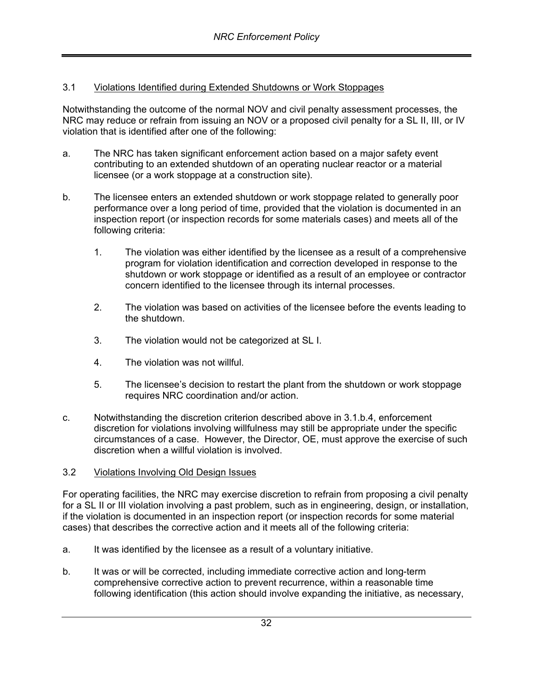#### 3.1 Violations Identified during Extended Shutdowns or Work Stoppages

Notwithstanding the outcome of the normal NOV and civil penalty assessment processes, the NRC may reduce or refrain from issuing an NOV or a proposed civil penalty for a SL II, III, or IV violation that is identified after one of the following:

- a. The NRC has taken significant enforcement action based on a major safety event contributing to an extended shutdown of an operating nuclear reactor or a material licensee (or a work stoppage at a construction site).
- b. The licensee enters an extended shutdown or work stoppage related to generally poor performance over a long period of time, provided that the violation is documented in an inspection report (or inspection records for some materials cases) and meets all of the following criteria:
	- 1. The violation was either identified by the licensee as a result of a comprehensive program for violation identification and correction developed in response to the shutdown or work stoppage or identified as a result of an employee or contractor concern identified to the licensee through its internal processes.
	- 2. The violation was based on activities of the licensee before the events leading to the shutdown.
	- 3. The violation would not be categorized at SL I.
	- 4. The violation was not willful.
	- 5. The licensee's decision to restart the plant from the shutdown or work stoppage requires NRC coordination and/or action.
- c. Notwithstanding the discretion criterion described above in 3.1.b.4, enforcement discretion for violations involving willfulness may still be appropriate under the specific circumstances of a case. However, the Director, OE, must approve the exercise of such discretion when a willful violation is involved.

#### 3.2 Violations Involving Old Design Issues

For operating facilities, the NRC may exercise discretion to refrain from proposing a civil penalty for a SL II or III violation involving a past problem, such as in engineering, design, or installation, if the violation is documented in an inspection report (or inspection records for some material cases) that describes the corrective action and it meets all of the following criteria:

- a. It was identified by the licensee as a result of a voluntary initiative.
- b. It was or will be corrected, including immediate corrective action and long-term comprehensive corrective action to prevent recurrence, within a reasonable time following identification (this action should involve expanding the initiative, as necessary,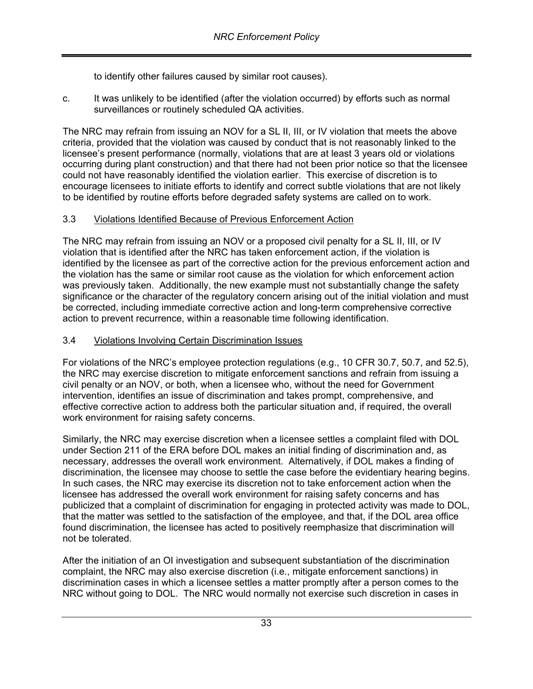to identify other failures caused by similar root causes).

c. It was unlikely to be identified (after the violation occurred) by efforts such as normal surveillances or routinely scheduled QA activities.

The NRC may refrain from issuing an NOV for a SL II, III, or IV violation that meets the above criteria, provided that the violation was caused by conduct that is not reasonably linked to the licensee's present performance (normally, violations that are at least 3 years old or violations occurring during plant construction) and that there had not been prior notice so that the licensee could not have reasonably identified the violation earlier. This exercise of discretion is to encourage licensees to initiate efforts to identify and correct subtle violations that are not likely to be identified by routine efforts before degraded safety systems are called on to work.

## 3.3 Violations Identified Because of Previous Enforcement Action

The NRC may refrain from issuing an NOV or a proposed civil penalty for a SL II, III, or IV violation that is identified after the NRC has taken enforcement action, if the violation is identified by the licensee as part of the corrective action for the previous enforcement action and the violation has the same or similar root cause as the violation for which enforcement action was previously taken. Additionally, the new example must not substantially change the safety significance or the character of the regulatory concern arising out of the initial violation and must be corrected, including immediate corrective action and long-term comprehensive corrective action to prevent recurrence, within a reasonable time following identification.

#### 3.4 Violations Involving Certain Discrimination Issues

For violations of the NRC's employee protection regulations (e.g., 10 CFR 30.7, 50.7, and 52.5), the NRC may exercise discretion to mitigate enforcement sanctions and refrain from issuing a civil penalty or an NOV, or both, when a licensee who, without the need for Government intervention, identifies an issue of discrimination and takes prompt, comprehensive, and effective corrective action to address both the particular situation and, if required, the overall work environment for raising safety concerns.

Similarly, the NRC may exercise discretion when a licensee settles a complaint filed with DOL under Section 211 of the ERA before DOL makes an initial finding of discrimination and, as necessary, addresses the overall work environment. Alternatively, if DOL makes a finding of discrimination, the licensee may choose to settle the case before the evidentiary hearing begins. In such cases, the NRC may exercise its discretion not to take enforcement action when the licensee has addressed the overall work environment for raising safety concerns and has publicized that a complaint of discrimination for engaging in protected activity was made to DOL, that the matter was settled to the satisfaction of the employee, and that, if the DOL area office found discrimination, the licensee has acted to positively reemphasize that discrimination will not be tolerated.

After the initiation of an OI investigation and subsequent substantiation of the discrimination complaint, the NRC may also exercise discretion (i.e., mitigate enforcement sanctions) in discrimination cases in which a licensee settles a matter promptly after a person comes to the NRC without going to DOL. The NRC would normally not exercise such discretion in cases in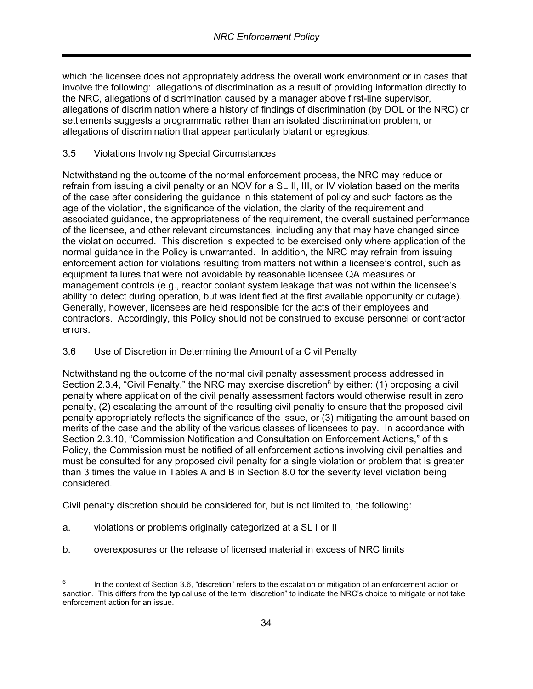which the licensee does not appropriately address the overall work environment or in cases that involve the following: allegations of discrimination as a result of providing information directly to the NRC, allegations of discrimination caused by a manager above first-line supervisor, allegations of discrimination where a history of findings of discrimination (by DOL or the NRC) or settlements suggests a programmatic rather than an isolated discrimination problem, or allegations of discrimination that appear particularly blatant or egregious.

## 3.5 Violations Involving Special Circumstances

Notwithstanding the outcome of the normal enforcement process, the NRC may reduce or refrain from issuing a civil penalty or an NOV for a SL II, III, or IV violation based on the merits of the case after considering the guidance in this statement of policy and such factors as the age of the violation, the significance of the violation, the clarity of the requirement and associated guidance, the appropriateness of the requirement, the overall sustained performance of the licensee, and other relevant circumstances, including any that may have changed since the violation occurred. This discretion is expected to be exercised only where application of the normal guidance in the Policy is unwarranted. In addition, the NRC may refrain from issuing enforcement action for violations resulting from matters not within a licensee's control, such as equipment failures that were not avoidable by reasonable licensee QA measures or management controls (e.g., reactor coolant system leakage that was not within the licensee's ability to detect during operation, but was identified at the first available opportunity or outage). Generally, however, licensees are held responsible for the acts of their employees and contractors. Accordingly, this Policy should not be construed to excuse personnel or contractor errors.

## 3.6 Use of Discretion in Determining the Amount of a Civil Penalty

Notwithstanding the outcome of the normal civil penalty assessment process addressed in Section 2.3.4, "Civil Penalty," the NRC may exercise discretion<sup>6</sup> by either: (1) proposing a civil penalty where application of the civil penalty assessment factors would otherwise result in zero penalty, (2) escalating the amount of the resulting civil penalty to ensure that the proposed civil penalty appropriately reflects the significance of the issue, or (3) mitigating the amount based on merits of the case and the ability of the various classes of licensees to pay. In accordance with Section 2.3.10, "Commission Notification and Consultation on Enforcement Actions," of this Policy, the Commission must be notified of all enforcement actions involving civil penalties and must be consulted for any proposed civil penalty for a single violation or problem that is greater than 3 times the value in Tables A and B in Section 8.0 for the severity level violation being considered.

Civil penalty discretion should be considered for, but is not limited to, the following:

- a. violations or problems originally categorized at a SL I or II
- b. overexposures or the release of licensed material in excess of NRC limits

 $\overline{a}$  $6$  In the context of Section 3.6, "discretion" refers to the escalation or mitigation of an enforcement action or sanction. This differs from the typical use of the term "discretion" to indicate the NRC's choice to mitigate or not take enforcement action for an issue.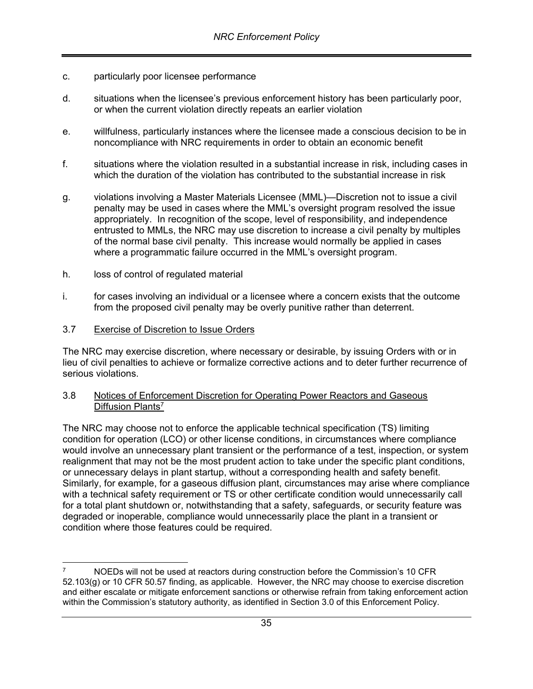- c. particularly poor licensee performance
- d. situations when the licensee's previous enforcement history has been particularly poor, or when the current violation directly repeats an earlier violation
- e. willfulness, particularly instances where the licensee made a conscious decision to be in noncompliance with NRC requirements in order to obtain an economic benefit
- f. situations where the violation resulted in a substantial increase in risk, including cases in which the duration of the violation has contributed to the substantial increase in risk
- g. violations involving a Master Materials Licensee (MML)—Discretion not to issue a civil penalty may be used in cases where the MML's oversight program resolved the issue appropriately. In recognition of the scope, level of responsibility, and independence entrusted to MMLs, the NRC may use discretion to increase a civil penalty by multiples of the normal base civil penalty. This increase would normally be applied in cases where a programmatic failure occurred in the MML's oversight program.
- h. loss of control of regulated material
- i. for cases involving an individual or a licensee where a concern exists that the outcome from the proposed civil penalty may be overly punitive rather than deterrent.
- 3.7 Exercise of Discretion to Issue Orders

 $\overline{a}$ 

The NRC may exercise discretion, where necessary or desirable, by issuing Orders with or in lieu of civil penalties to achieve or formalize corrective actions and to deter further recurrence of serious violations.

#### 3.8 Notices of Enforcement Discretion for Operating Power Reactors and Gaseous Diffusion Plants<sup>7</sup>

The NRC may choose not to enforce the applicable technical specification (TS) limiting condition for operation (LCO) or other license conditions, in circumstances where compliance would involve an unnecessary plant transient or the performance of a test, inspection, or system realignment that may not be the most prudent action to take under the specific plant conditions, or unnecessary delays in plant startup, without a corresponding health and safety benefit. Similarly, for example, for a gaseous diffusion plant, circumstances may arise where compliance with a technical safety requirement or TS or other certificate condition would unnecessarily call for a total plant shutdown or, notwithstanding that a safety, safeguards, or security feature was degraded or inoperable, compliance would unnecessarily place the plant in a transient or condition where those features could be required.

<sup>7</sup> NOEDs will not be used at reactors during construction before the Commission's 10 CFR 52.103(g) or 10 CFR 50.57 finding, as applicable. However, the NRC may choose to exercise discretion and either escalate or mitigate enforcement sanctions or otherwise refrain from taking enforcement action within the Commission's statutory authority, as identified in Section 3.0 of this Enforcement Policy.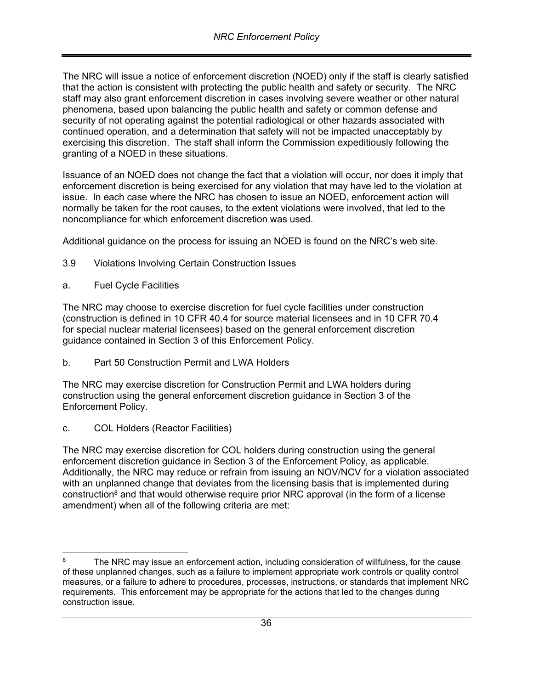The NRC will issue a notice of enforcement discretion (NOED) only if the staff is clearly satisfied that the action is consistent with protecting the public health and safety or security. The NRC staff may also grant enforcement discretion in cases involving severe weather or other natural phenomena, based upon balancing the public health and safety or common defense and security of not operating against the potential radiological or other hazards associated with continued operation, and a determination that safety will not be impacted unacceptably by exercising this discretion. The staff shall inform the Commission expeditiously following the granting of a NOED in these situations.

Issuance of an NOED does not change the fact that a violation will occur, nor does it imply that enforcement discretion is being exercised for any violation that may have led to the violation at issue. In each case where the NRC has chosen to issue an NOED, enforcement action will normally be taken for the root causes, to the extent violations were involved, that led to the noncompliance for which enforcement discretion was used.

Additional guidance on the process for issuing an NOED is found on the NRC's web site.

- 3.9 Violations Involving Certain Construction Issues
- a. Fuel Cycle Facilities

The NRC may choose to exercise discretion for fuel cycle facilities under construction (construction is defined in 10 CFR 40.4 for source material licensees and in 10 CFR 70.4 for special nuclear material licensees) based on the general enforcement discretion guidance contained in Section 3 of this Enforcement Policy.

b. Part 50 Construction Permit and LWA Holders

The NRC may exercise discretion for Construction Permit and LWA holders during construction using the general enforcement discretion guidance in Section 3 of the Enforcement Policy.

c. COL Holders (Reactor Facilities)

The NRC may exercise discretion for COL holders during construction using the general enforcement discretion guidance in Section 3 of the Enforcement Policy, as applicable. Additionally, the NRC may reduce or refrain from issuing an NOV/NCV for a violation associated with an unplanned change that deviates from the licensing basis that is implemented during  $construction<sup>8</sup>$  and that would otherwise require prior NRC approval (in the form of a license amendment) when all of the following criteria are met:

 The NRC may issue an enforcement action, including consideration of willfulness, for the cause of these unplanned changes, such as a failure to implement appropriate work controls or quality control measures, or a failure to adhere to procedures, processes, instructions, or standards that implement NRC requirements. This enforcement may be appropriate for the actions that led to the changes during construction issue.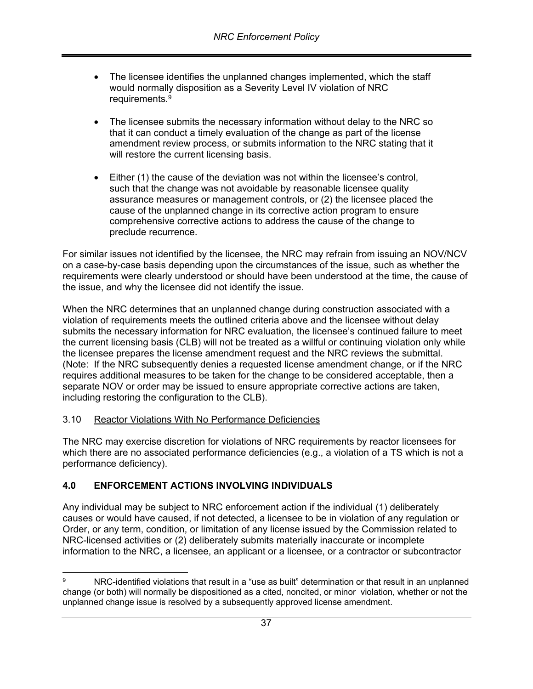- The licensee identifies the unplanned changes implemented, which the staff would normally disposition as a Severity Level IV violation of NRC requirements.<sup>9</sup>
- The licensee submits the necessary information without delay to the NRC so that it can conduct a timely evaluation of the change as part of the license amendment review process, or submits information to the NRC stating that it will restore the current licensing basis.
- Either (1) the cause of the deviation was not within the licensee's control, such that the change was not avoidable by reasonable licensee quality assurance measures or management controls, or (2) the licensee placed the cause of the unplanned change in its corrective action program to ensure comprehensive corrective actions to address the cause of the change to preclude recurrence.

For similar issues not identified by the licensee, the NRC may refrain from issuing an NOV/NCV on a case-by-case basis depending upon the circumstances of the issue, such as whether the requirements were clearly understood or should have been understood at the time, the cause of the issue, and why the licensee did not identify the issue.

When the NRC determines that an unplanned change during construction associated with a violation of requirements meets the outlined criteria above and the licensee without delay submits the necessary information for NRC evaluation, the licensee's continued failure to meet the current licensing basis (CLB) will not be treated as a willful or continuing violation only while the licensee prepares the license amendment request and the NRC reviews the submittal. (Note: If the NRC subsequently denies a requested license amendment change, or if the NRC requires additional measures to be taken for the change to be considered acceptable, then a separate NOV or order may be issued to ensure appropriate corrective actions are taken, including restoring the configuration to the CLB).

# 3.10 Reactor Violations With No Performance Deficiencies

The NRC may exercise discretion for violations of NRC requirements by reactor licensees for which there are no associated performance deficiencies (e.g., a violation of a TS which is not a performance deficiency).

# **4.0 ENFORCEMENT ACTIONS INVOLVING INDIVIDUALS**

Any individual may be subject to NRC enforcement action if the individual (1) deliberately causes or would have caused, if not detected, a licensee to be in violation of any regulation or Order, or any term, condition, or limitation of any license issued by the Commission related to NRC-licensed activities or (2) deliberately submits materially inaccurate or incomplete information to the NRC, a licensee, an applicant or a licensee, or a contractor or subcontractor

 NRC-identified violations that result in a "use as built" determination or that result in an unplanned change (or both) will normally be dispositioned as a cited, noncited, or minor violation, whether or not the unplanned change issue is resolved by a subsequently approved license amendment.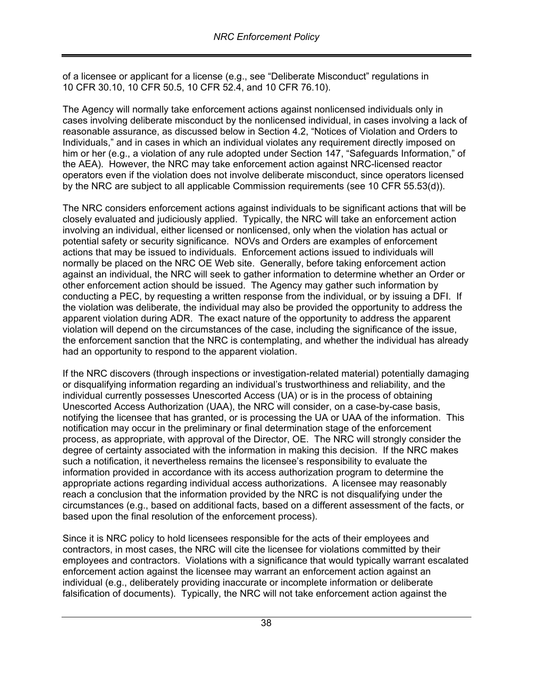of a licensee or applicant for a license (e.g., see "Deliberate Misconduct" regulations in 10 CFR 30.10, 10 CFR 50.5, 10 CFR 52.4, and 10 CFR 76.10).

The Agency will normally take enforcement actions against nonlicensed individuals only in cases involving deliberate misconduct by the nonlicensed individual, in cases involving a lack of reasonable assurance, as discussed below in Section 4.2, "Notices of Violation and Orders to Individuals," and in cases in which an individual violates any requirement directly imposed on him or her (e.g., a violation of any rule adopted under Section 147, "Safeguards Information," of the AEA). However, the NRC may take enforcement action against NRC-licensed reactor operators even if the violation does not involve deliberate misconduct, since operators licensed by the NRC are subject to all applicable Commission requirements (see 10 CFR 55.53(d)).

The NRC considers enforcement actions against individuals to be significant actions that will be closely evaluated and judiciously applied. Typically, the NRC will take an enforcement action involving an individual, either licensed or nonlicensed, only when the violation has actual or potential safety or security significance. NOVs and Orders are examples of enforcement actions that may be issued to individuals. Enforcement actions issued to individuals will normally be placed on the NRC OE Web site. Generally, before taking enforcement action against an individual, the NRC will seek to gather information to determine whether an Order or other enforcement action should be issued. The Agency may gather such information by conducting a PEC, by requesting a written response from the individual, or by issuing a DFI. If the violation was deliberate, the individual may also be provided the opportunity to address the apparent violation during ADR. The exact nature of the opportunity to address the apparent violation will depend on the circumstances of the case, including the significance of the issue, the enforcement sanction that the NRC is contemplating, and whether the individual has already had an opportunity to respond to the apparent violation.

If the NRC discovers (through inspections or investigation-related material) potentially damaging or disqualifying information regarding an individual's trustworthiness and reliability, and the individual currently possesses Unescorted Access (UA) or is in the process of obtaining Unescorted Access Authorization (UAA), the NRC will consider, on a case-by-case basis, notifying the licensee that has granted, or is processing the UA or UAA of the information. This notification may occur in the preliminary or final determination stage of the enforcement process, as appropriate, with approval of the Director, OE. The NRC will strongly consider the degree of certainty associated with the information in making this decision. If the NRC makes such a notification, it nevertheless remains the licensee's responsibility to evaluate the information provided in accordance with its access authorization program to determine the appropriate actions regarding individual access authorizations. A licensee may reasonably reach a conclusion that the information provided by the NRC is not disqualifying under the circumstances (e.g., based on additional facts, based on a different assessment of the facts, or based upon the final resolution of the enforcement process).

Since it is NRC policy to hold licensees responsible for the acts of their employees and contractors, in most cases, the NRC will cite the licensee for violations committed by their employees and contractors. Violations with a significance that would typically warrant escalated enforcement action against the licensee may warrant an enforcement action against an individual (e.g., deliberately providing inaccurate or incomplete information or deliberate falsification of documents). Typically, the NRC will not take enforcement action against the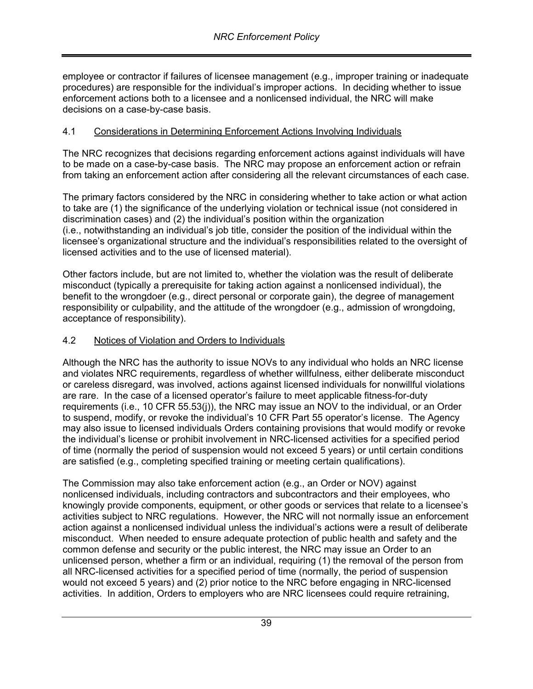employee or contractor if failures of licensee management (e.g., improper training or inadequate procedures) are responsible for the individual's improper actions. In deciding whether to issue enforcement actions both to a licensee and a nonlicensed individual, the NRC will make decisions on a case-by-case basis.

# 4.1 Considerations in Determining Enforcement Actions Involving Individuals

The NRC recognizes that decisions regarding enforcement actions against individuals will have to be made on a case-by-case basis. The NRC may propose an enforcement action or refrain from taking an enforcement action after considering all the relevant circumstances of each case.

The primary factors considered by the NRC in considering whether to take action or what action to take are (1) the significance of the underlying violation or technical issue (not considered in discrimination cases) and (2) the individual's position within the organization (i.e., notwithstanding an individual's job title, consider the position of the individual within the licensee's organizational structure and the individual's responsibilities related to the oversight of licensed activities and to the use of licensed material).

Other factors include, but are not limited to, whether the violation was the result of deliberate misconduct (typically a prerequisite for taking action against a nonlicensed individual), the benefit to the wrongdoer (e.g., direct personal or corporate gain), the degree of management responsibility or culpability, and the attitude of the wrongdoer (e.g., admission of wrongdoing, acceptance of responsibility).

### 4.2 Notices of Violation and Orders to Individuals

Although the NRC has the authority to issue NOVs to any individual who holds an NRC license and violates NRC requirements, regardless of whether willfulness, either deliberate misconduct or careless disregard, was involved, actions against licensed individuals for nonwillful violations are rare. In the case of a licensed operator's failure to meet applicable fitness-for-duty requirements (i.e., 10 CFR 55.53(j)), the NRC may issue an NOV to the individual, or an Order to suspend, modify, or revoke the individual's 10 CFR Part 55 operator's license. The Agency may also issue to licensed individuals Orders containing provisions that would modify or revoke the individual's license or prohibit involvement in NRC-licensed activities for a specified period of time (normally the period of suspension would not exceed 5 years) or until certain conditions are satisfied (e.g., completing specified training or meeting certain qualifications).

The Commission may also take enforcement action (e.g., an Order or NOV) against nonlicensed individuals, including contractors and subcontractors and their employees, who knowingly provide components, equipment, or other goods or services that relate to a licensee's activities subject to NRC regulations. However, the NRC will not normally issue an enforcement action against a nonlicensed individual unless the individual's actions were a result of deliberate misconduct. When needed to ensure adequate protection of public health and safety and the common defense and security or the public interest, the NRC may issue an Order to an unlicensed person, whether a firm or an individual, requiring (1) the removal of the person from all NRC-licensed activities for a specified period of time (normally, the period of suspension would not exceed 5 years) and (2) prior notice to the NRC before engaging in NRC-licensed activities. In addition, Orders to employers who are NRC licensees could require retraining,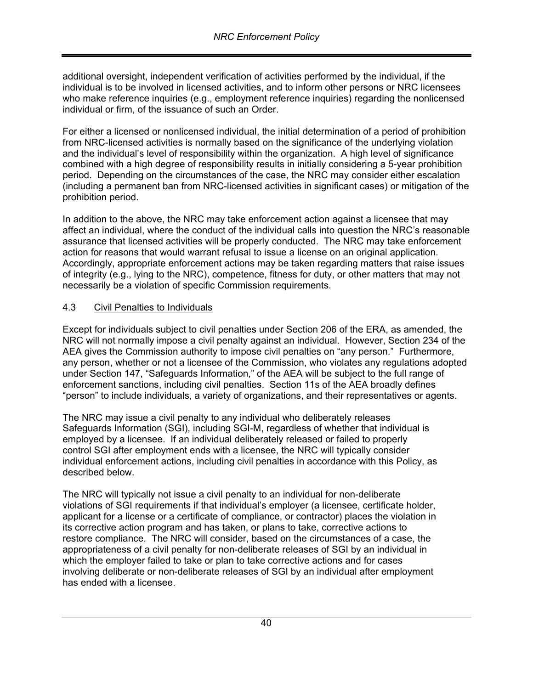additional oversight, independent verification of activities performed by the individual, if the individual is to be involved in licensed activities, and to inform other persons or NRC licensees who make reference inquiries (e.g., employment reference inquiries) regarding the nonlicensed individual or firm, of the issuance of such an Order.

For either a licensed or nonlicensed individual, the initial determination of a period of prohibition from NRC-licensed activities is normally based on the significance of the underlying violation and the individual's level of responsibility within the organization. A high level of significance combined with a high degree of responsibility results in initially considering a 5-year prohibition period. Depending on the circumstances of the case, the NRC may consider either escalation (including a permanent ban from NRC-licensed activities in significant cases) or mitigation of the prohibition period.

In addition to the above, the NRC may take enforcement action against a licensee that may affect an individual, where the conduct of the individual calls into question the NRC's reasonable assurance that licensed activities will be properly conducted. The NRC may take enforcement action for reasons that would warrant refusal to issue a license on an original application. Accordingly, appropriate enforcement actions may be taken regarding matters that raise issues of integrity (e.g., lying to the NRC), competence, fitness for duty, or other matters that may not necessarily be a violation of specific Commission requirements.

# 4.3 Civil Penalties to Individuals

Except for individuals subject to civil penalties under Section 206 of the ERA, as amended, the NRC will not normally impose a civil penalty against an individual. However, Section 234 of the AEA gives the Commission authority to impose civil penalties on "any person." Furthermore, any person, whether or not a licensee of the Commission, who violates any regulations adopted under Section 147, "Safeguards Information," of the AEA will be subject to the full range of enforcement sanctions, including civil penalties. Section 11s of the AEA broadly defines "person" to include individuals, a variety of organizations, and their representatives or agents.

The NRC may issue a civil penalty to any individual who deliberately releases Safeguards Information (SGI), including SGI-M, regardless of whether that individual is employed by a licensee. If an individual deliberately released or failed to properly control SGI after employment ends with a licensee, the NRC will typically consider individual enforcement actions, including civil penalties in accordance with this Policy, as described below.

The NRC will typically not issue a civil penalty to an individual for non-deliberate violations of SGI requirements if that individual's employer (a licensee, certificate holder, applicant for a license or a certificate of compliance, or contractor) places the violation in its corrective action program and has taken, or plans to take, corrective actions to restore compliance. The NRC will consider, based on the circumstances of a case, the appropriateness of a civil penalty for non-deliberate releases of SGI by an individual in which the employer failed to take or plan to take corrective actions and for cases involving deliberate or non-deliberate releases of SGI by an individual after employment has ended with a licensee.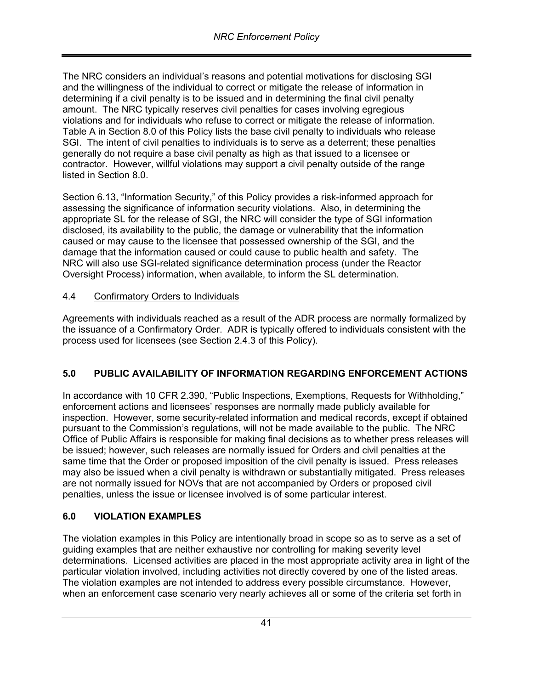The NRC considers an individual's reasons and potential motivations for disclosing SGI and the willingness of the individual to correct or mitigate the release of inform*a*tion in determining if a civil penalty is to be issued and in determining the final civil penalty amount. The NRC typically reserves civil penalties for cases involving egregious violations and for individuals who refuse to correct or mitigate the release of information. Table A in Section 8.0 of this Policy lists the base civil penalty to individuals who release SGI. The intent of civil penalties to individuals is to serve as a deterrent; these penalties generally do not require a base civil penalty as high as that issued to a licensee or contractor. However, willful violations may support a civil penalty outside of the range listed in Section 8.0.

Section 6.13, "Information Security," of this Policy provides a risk-informed approach for assessing the significance of information security violations. Also, in determining the appropriate SL for the release of SGI, the NRC will consider the type of SGI information disclosed, its availability to the public, the damage or vulnerability that the information caused or may cause to the licensee that possessed ownership of the SGI, and the damage that the information caused or could cause to public health and safety. The NRC will also use SGI-related significance determination process (under the Reactor Oversight Process) information, when available, to inform the SL determination.

# 4.4 Confirmatory Orders to Individuals

Agreements with individuals reached as a result of the ADR process are normally formalized by the issuance of a Confirmatory Order. ADR is typically offered to individuals consistent with the process used for licensees (see Section 2.4.3 of this Policy).

# **5.0 PUBLIC AVAILABILITY OF INFORMATION REGARDING ENFORCEMENT ACTIONS**

In accordance with 10 CFR 2.390, "Public Inspections, Exemptions, Requests for Withholding," enforcement actions and licensees' responses are normally made publicly available for inspection. However, some security-related information and medical records, except if obtained pursuant to the Commission's regulations, will not be made available to the public. The NRC Office of Public Affairs is responsible for making final decisions as to whether press releases will be issued; however, such releases are normally issued for Orders and civil penalties at the same time that the Order or proposed imposition of the civil penalty is issued. Press releases may also be issued when a civil penalty is withdrawn or substantially mitigated. Press releases are not normally issued for NOVs that are not accompanied by Orders or proposed civil penalties, unless the issue or licensee involved is of some particular interest.

# **6.0 VIOLATION EXAMPLES**

The violation examples in this Policy are intentionally broad in scope so as to serve as a set of guiding examples that are neither exhaustive nor controlling for making severity level determinations. Licensed activities are placed in the most appropriate activity area in light of the particular violation involved, including activities not directly covered by one of the listed areas. The violation examples are not intended to address every possible circumstance. However, when an enforcement case scenario very nearly achieves all or some of the criteria set forth in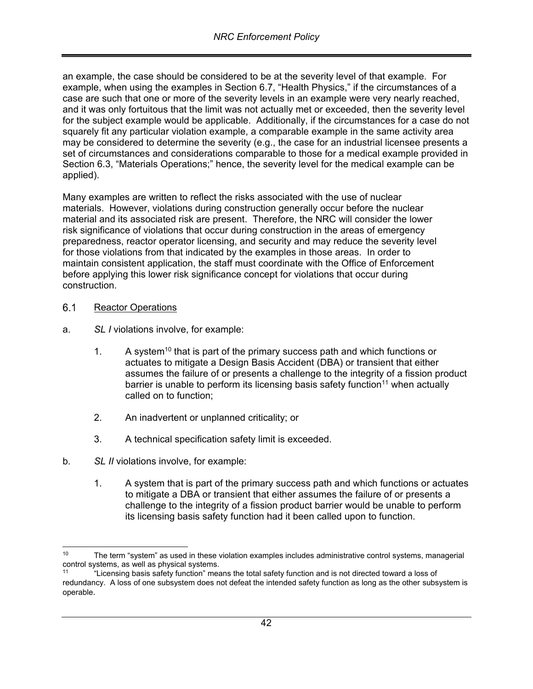an example, the case should be considered to be at the severity level of that example. For example, when using the examples in Section 6.7, "Health Physics," if the circumstances of a case are such that one or more of the severity levels in an example were very nearly reached, and it was only fortuitous that the limit was not actually met or exceeded, then the severity level for the subject example would be applicable. Additionally, if the circumstances for a case do not squarely fit any particular violation example, a comparable example in the same activity area may be considered to determine the severity (e.g., the case for an industrial licensee presents a set of circumstances and considerations comparable to those for a medical example provided in Section 6.3, "Materials Operations;" hence, the severity level for the medical example can be applied).

Many examples are written to reflect the risks associated with the use of nuclear materials. However, violations during construction generally occur before the nuclear material and its associated risk are present. Therefore, the NRC will consider the lower risk significance of violations that occur during construction in the areas of emergency preparedness, reactor operator licensing, and security and may reduce the severity level for those violations from that indicated by the examples in those areas. In order to maintain consistent application, the staff must coordinate with the Office of Enforcement before applying this lower risk significance concept for violations that occur during construction.

#### 6.1 Reactor Operations

- a. *SL I* violations involve, for example:
	- 1. A system<sup>10</sup> that is part of the primary success path and which functions or actuates to mitigate a Design Basis Accident (DBA) or transient that either assumes the failure of or presents a challenge to the integrity of a fission product barrier is unable to perform its licensing basis safety function<sup>11</sup> when actually called on to function;
	- 2. An inadvertent or unplanned criticality; or
	- 3. A technical specification safety limit is exceeded.
- b. *SL II* violations involve, for example:
	- 1. A system that is part of the primary success path and which functions or actuates to mitigate a DBA or transient that either assumes the failure of or presents a challenge to the integrity of a fission product barrier would be unable to perform its licensing basis safety function had it been called upon to function.

 $10<sub>1</sub>$ The term "system" as used in these violation examples includes administrative control systems, managerial control systems, as well as physical systems.

<sup>11 &</sup>quot;Licensing basis safety function" means the total safety function and is not directed toward a loss of redundancy. A loss of one subsystem does not defeat the intended safety function as long as the other subsystem is operable.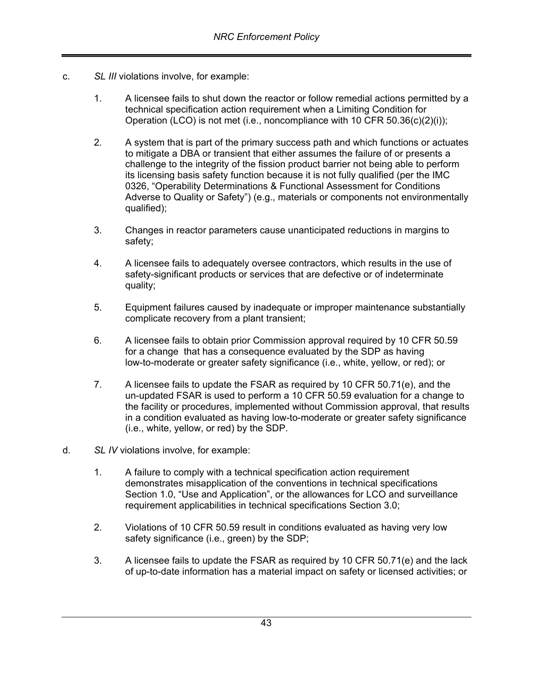- c. *SL III* violations involve, for example:
	- 1. A licensee fails to shut down the reactor or follow remedial actions permitted by a technical specification action requirement when a Limiting Condition for Operation (LCO) is not met (i.e., noncompliance with 10 CFR 50.36(c)(2)(i));
	- 2. A system that is part of the primary success path and which functions or actuates to mitigate a DBA or transient that either assumes the failure of or presents a challenge to the integrity of the fission product barrier not being able to perform its licensing basis safety function because it is not fully qualified (per the IMC 0326, "Operability Determinations & Functional Assessment for Conditions Adverse to Quality or Safety") (e.g., materials or components not environmentally qualified);
	- 3. Changes in reactor parameters cause unanticipated reductions in margins to safety;
	- 4. A licensee fails to adequately oversee contractors, which results in the use of safety-significant products or services that are defective or of indeterminate quality;
	- 5. Equipment failures caused by inadequate or improper maintenance substantially complicate recovery from a plant transient;
	- 6. A licensee fails to obtain prior Commission approval required by 10 CFR 50.59 for a change that has a consequence evaluated by the SDP as having low-to-moderate or greater safety significance (i.e., white, yellow, or red); or
	- 7. A licensee fails to update the FSAR as required by 10 CFR 50.71(e), and the un-updated FSAR is used to perform a 10 CFR 50.59 evaluation for a change to the facility or procedures, implemented without Commission approval, that results in a condition evaluated as having low-to-moderate or greater safety significance (i.e., white, yellow, or red) by the SDP.
- d. *SL IV* violations involve, for example:
	- 1. A failure to comply with a technical specification action requirement demonstrates misapplication of the conventions in technical specifications Section 1.0, "Use and Application", or the allowances for LCO and surveillance requirement applicabilities in technical specifications Section 3.0;
	- 2. Violations of 10 CFR 50.59 result in conditions evaluated as having very low safety significance (i.e., green) by the SDP;
	- 3. A licensee fails to update the FSAR as required by 10 CFR 50.71(e) and the lack of up-to-date information has a material impact on safety or licensed activities; or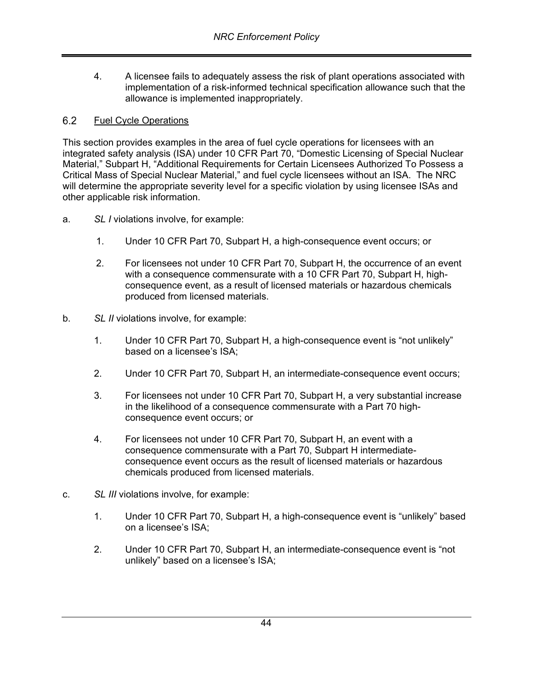4. A licensee fails to adequately assess the risk of plant operations associated with implementation of a risk-informed technical specification allowance such that the allowance is implemented inappropriately.

# 6.2 Fuel Cycle Operations

This section provides examples in the area of fuel cycle operations for licensees with an integrated safety analysis (ISA) under 10 CFR Part 70, "Domestic Licensing of Special Nuclear Material," Subpart H, "Additional Requirements for Certain Licensees Authorized To Possess a Critical Mass of Special Nuclear Material," and fuel cycle licensees without an ISA. The NRC will determine the appropriate severity level for a specific violation by using licensee ISAs and other applicable risk information.

- a. *SL I* violations involve, for example:
	- 1. Under 10 CFR Part 70, Subpart H, a high-consequence event occurs; or
	- 2. For licensees not under 10 CFR Part 70, Subpart H, the occurrence of an event with a consequence commensurate with a 10 CFR Part 70, Subpart H, highconsequence event, as a result of licensed materials or hazardous chemicals produced from licensed materials.
- b. *SL II* violations involve, for example:
	- 1. Under 10 CFR Part 70, Subpart H, a high-consequence event is "not unlikely" based on a licensee's ISA;
	- 2. Under 10 CFR Part 70, Subpart H, an intermediate-consequence event occurs;
	- 3. For licensees not under 10 CFR Part 70, Subpart H, a very substantial increase in the likelihood of a consequence commensurate with a Part 70 highconsequence event occurs; or
	- 4. For licensees not under 10 CFR Part 70, Subpart H, an event with a consequence commensurate with a Part 70, Subpart H intermediateconsequence event occurs as the result of licensed materials or hazardous chemicals produced from licensed materials.
- c. *SL III* violations involve, for example:
	- 1. Under 10 CFR Part 70, Subpart H, a high-consequence event is "unlikely" based on a licensee's ISA;
	- 2. Under 10 CFR Part 70, Subpart H, an intermediate-consequence event is "not unlikely" based on a licensee's ISA;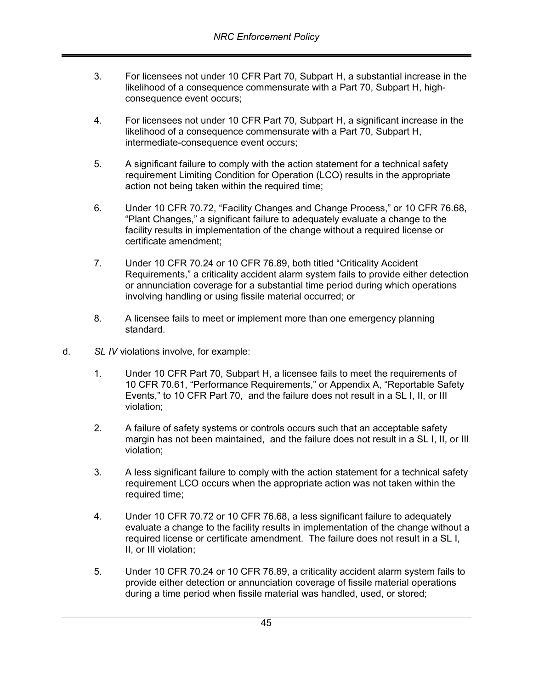- 3. For licensees not under 10 CFR Part 70, Subpart H, a substantial increase in the likelihood of a consequence commensurate with a Part 70, Subpart H, highconsequence event occurs;
- 4. For licensees not under 10 CFR Part 70, Subpart H, a significant increase in the likelihood of a consequence commensurate with a Part 70, Subpart H, intermediate-consequence event occurs;
- 5. A significant failure to comply with the action statement for a technical safety requirement Limiting Condition for Operation (LCO) results in the appropriate action not being taken within the required time;
- 6. Under 10 CFR 70.72, "Facility Changes and Change Process," or 10 CFR 76.68, "Plant Changes," a significant failure to adequately evaluate a change to the facility results in implementation of the change without a required license or certificate amendment;
- 7. Under 10 CFR 70.24 or 10 CFR 76.89, both titled "Criticality Accident Requirements," a criticality accident alarm system fails to provide either detection or annunciation coverage for a substantial time period during which operations involving handling or using fissile material occurred; or
- 8. A licensee fails to meet or implement more than one emergency planning standard.
- d. *SL IV* violations involve, for example:
	- 1. Under 10 CFR Part 70, Subpart H, a licensee fails to meet the requirements of 10 CFR 70.61, "Performance Requirements," or Appendix A, "Reportable Safety Events," to 10 CFR Part 70, and the failure does not result in a SL I, II, or III violation;
	- 2. A failure of safety systems or controls occurs such that an acceptable safety margin has not been maintained, and the failure does not result in a SL I, II, or III violation;
	- 3. A less significant failure to comply with the action statement for a technical safety requirement LCO occurs when the appropriate action was not taken within the required time;
	- 4. Under 10 CFR 70.72 or 10 CFR 76.68, a less significant failure to adequately evaluate a change to the facility results in implementation of the change without a required license or certificate amendment. The failure does not result in a SL I, II, or III violation;
	- 5. Under 10 CFR 70.24 or 10 CFR 76.89, a criticality accident alarm system fails to provide either detection or annunciation coverage of fissile material operations during a time period when fissile material was handled, used, or stored;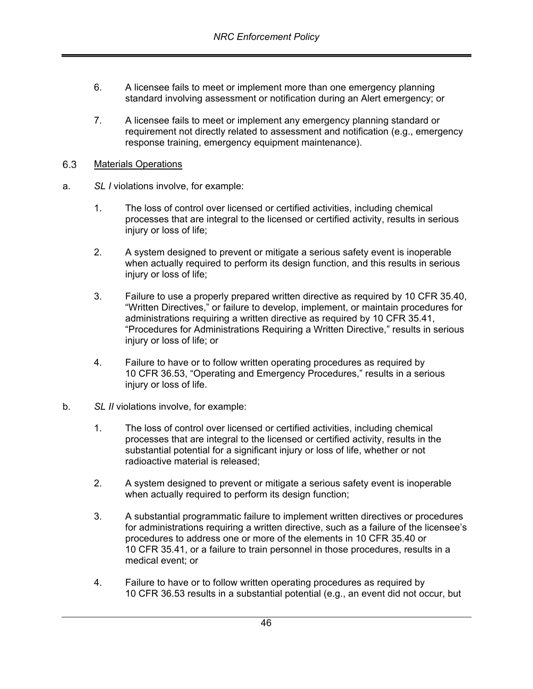- 6. A licensee fails to meet or implement more than one emergency planning standard involving assessment or notification during an Alert emergency; or
- 7. A licensee fails to meet or implement any emergency planning standard or requirement not directly related to assessment and notification (e.g., emergency response training, emergency equipment maintenance).

### 6.3 Materials Operations

- a. *SL I* violations involve, for example:
	- 1. The loss of control over licensed or certified activities, including chemical processes that are integral to the licensed or certified activity, results in serious injury or loss of life;
	- 2. A system designed to prevent or mitigate a serious safety event is inoperable when actually required to perform its design function, and this results in serious injury or loss of life;
	- 3. Failure to use a properly prepared written directive as required by 10 CFR 35.40, "Written Directives," or failure to develop, implement, or maintain procedures for administrations requiring a written directive as required by 10 CFR 35.41, "Procedures for Administrations Requiring a Written Directive," results in serious injury or loss of life; or
	- 4. Failure to have or to follow written operating procedures as required by 10 CFR 36.53, "Operating and Emergency Procedures," results in a serious injury or loss of life.
- b. *SL II* violations involve, for example:
	- 1. The loss of control over licensed or certified activities, including chemical processes that are integral to the licensed or certified activity, results in the substantial potential for a significant injury or loss of life, whether or not radioactive material is released;
	- 2. A system designed to prevent or mitigate a serious safety event is inoperable when actually required to perform its design function;
	- 3. A substantial programmatic failure to implement written directives or procedures for administrations requiring a written directive, such as a failure of the licensee's procedures to address one or more of the elements in 10 CFR 35.40 or 10 CFR 35.41, or a failure to train personnel in those procedures, results in a medical event; or
	- 4. Failure to have or to follow written operating procedures as required by 10 CFR 36.53 results in a substantial potential (e.g., an event did not occur, but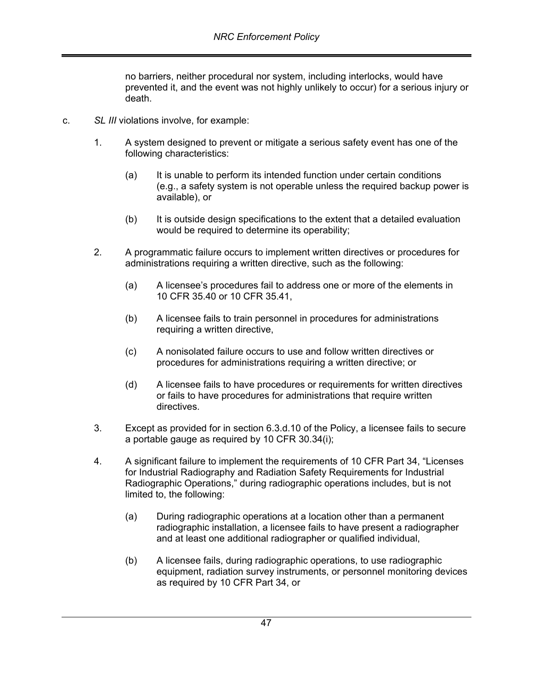no barriers, neither procedural nor system, including interlocks, would have prevented it, and the event was not highly unlikely to occur) for a serious injury or death.

- c. *SL III* violations involve, for example:
	- 1. A system designed to prevent or mitigate a serious safety event has one of the following characteristics:
		- (a) It is unable to perform its intended function under certain conditions (e.g., a safety system is not operable unless the required backup power is available), or
		- (b) It is outside design specifications to the extent that a detailed evaluation would be required to determine its operability;
	- 2. A programmatic failure occurs to implement written directives or procedures for administrations requiring a written directive, such as the following:
		- (a) A licensee's procedures fail to address one or more of the elements in 10 CFR 35.40 or 10 CFR 35.41,
		- (b) A licensee fails to train personnel in procedures for administrations requiring a written directive,
		- (c) A nonisolated failure occurs to use and follow written directives or procedures for administrations requiring a written directive; or
		- (d) A licensee fails to have procedures or requirements for written directives or fails to have procedures for administrations that require written directives.
	- 3. Except as provided for in section 6.3.d.10 of the Policy, a licensee fails to secure a portable gauge as required by 10 CFR 30.34(i);
	- 4. A significant failure to implement the requirements of 10 CFR Part 34, "Licenses for Industrial Radiography and Radiation Safety Requirements for Industrial Radiographic Operations," during radiographic operations includes, but is not limited to, the following:
		- (a) During radiographic operations at a location other than a permanent radiographic installation, a licensee fails to have present a radiographer and at least one additional radiographer or qualified individual,
		- (b) A licensee fails, during radiographic operations, to use radiographic equipment, radiation survey instruments, or personnel monitoring devices as required by 10 CFR Part 34, or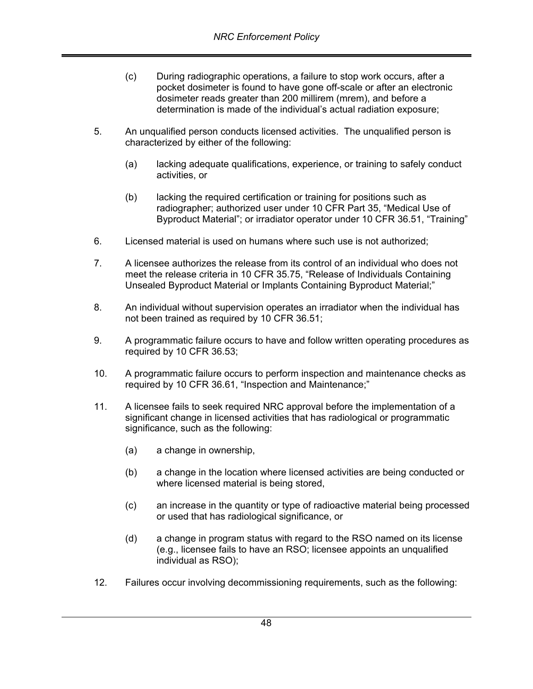- (c) During radiographic operations, a failure to stop work occurs, after a pocket dosimeter is found to have gone off-scale or after an electronic dosimeter reads greater than 200 millirem (mrem), and before a determination is made of the individual's actual radiation exposure;
- 5. An unqualified person conducts licensed activities. The unqualified person is characterized by either of the following:
	- (a) lacking adequate qualifications, experience, or training to safely conduct activities, or
	- (b) lacking the required certification or training for positions such as radiographer; authorized user under 10 CFR Part 35, "Medical Use of Byproduct Material"; or irradiator operator under 10 CFR 36.51, "Training"
- 6. Licensed material is used on humans where such use is not authorized;
- 7. A licensee authorizes the release from its control of an individual who does not meet the release criteria in 10 CFR 35.75, "Release of Individuals Containing Unsealed Byproduct Material or Implants Containing Byproduct Material;"
- 8. An individual without supervision operates an irradiator when the individual has not been trained as required by 10 CFR 36.51;
- 9. A programmatic failure occurs to have and follow written operating procedures as required by 10 CFR 36.53;
- 10. A programmatic failure occurs to perform inspection and maintenance checks as required by 10 CFR 36.61, "Inspection and Maintenance;"
- 11. A licensee fails to seek required NRC approval before the implementation of a significant change in licensed activities that has radiological or programmatic significance, such as the following:
	- (a) a change in ownership,
	- (b) a change in the location where licensed activities are being conducted or where licensed material is being stored,
	- (c) an increase in the quantity or type of radioactive material being processed or used that has radiological significance, or
	- (d) a change in program status with regard to the RSO named on its license (e.g., licensee fails to have an RSO; licensee appoints an unqualified individual as RSO);
- 12. Failures occur involving decommissioning requirements, such as the following: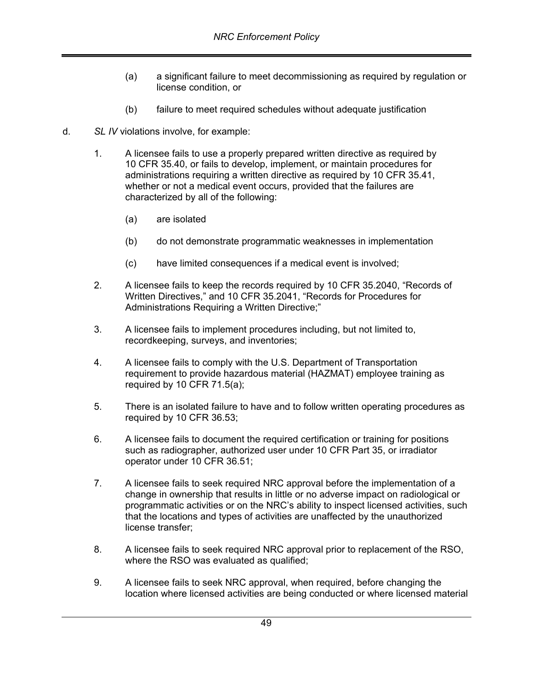- (a) a significant failure to meet decommissioning as required by regulation or license condition, or
- (b) failure to meet required schedules without adequate justification
- d. *SL IV* violations involve, for example:
	- 1. A licensee fails to use a properly prepared written directive as required by 10 CFR 35.40, or fails to develop, implement, or maintain procedures for administrations requiring a written directive as required by 10 CFR 35.41, whether or not a medical event occurs, provided that the failures are characterized by all of the following:
		- (a) are isolated
		- (b) do not demonstrate programmatic weaknesses in implementation
		- (c) have limited consequences if a medical event is involved;
	- 2. A licensee fails to keep the records required by 10 CFR 35.2040, "Records of Written Directives," and 10 CFR 35.2041, "Records for Procedures for Administrations Requiring a Written Directive;"
	- 3. A licensee fails to implement procedures including, but not limited to, recordkeeping, surveys, and inventories;
	- 4. A licensee fails to comply with the U.S. Department of Transportation requirement to provide hazardous material (HAZMAT) employee training as required by 10 CFR 71.5(a);
	- 5. There is an isolated failure to have and to follow written operating procedures as required by 10 CFR 36.53;
	- 6. A licensee fails to document the required certification or training for positions such as radiographer, authorized user under 10 CFR Part 35, or irradiator operator under 10 CFR 36.51;
	- 7. A licensee fails to seek required NRC approval before the implementation of a change in ownership that results in little or no adverse impact on radiological or programmatic activities or on the NRC's ability to inspect licensed activities, such that the locations and types of activities are unaffected by the unauthorized license transfer;
	- 8. A licensee fails to seek required NRC approval prior to replacement of the RSO, where the RSO was evaluated as qualified;
	- 9. A licensee fails to seek NRC approval, when required, before changing the location where licensed activities are being conducted or where licensed material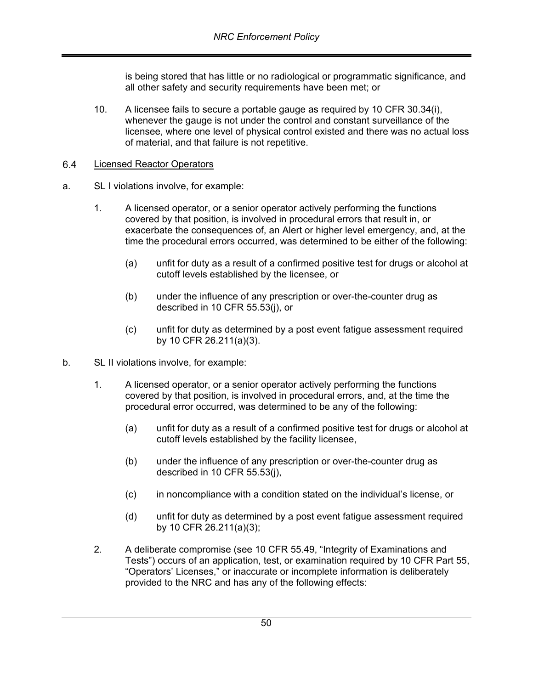is being stored that has little or no radiological or programmatic significance, and all other safety and security requirements have been met; or

10. A licensee fails to secure a portable gauge as required by 10 CFR 30.34(i), whenever the gauge is not under the control and constant surveillance of the licensee, where one level of physical control existed and there was no actual loss of material, and that failure is not repetitive.

### 6.4 Licensed Reactor Operators

- a. SL I violations involve, for example:
	- 1. A licensed operator, or a senior operator actively performing the functions covered by that position, is involved in procedural errors that result in, or exacerbate the consequences of, an Alert or higher level emergency, and, at the time the procedural errors occurred, was determined to be either of the following:
		- (a) unfit for duty as a result of a confirmed positive test for drugs or alcohol at cutoff levels established by the licensee, or
		- (b) under the influence of any prescription or over-the-counter drug as described in 10 CFR 55.53(j), or
		- (c) unfit for duty as determined by a post event fatigue assessment required by 10 CFR 26.211(a)(3).
- b. SL II violations involve, for example:
	- 1. A licensed operator, or a senior operator actively performing the functions covered by that position, is involved in procedural errors, and, at the time the procedural error occurred, was determined to be any of the following:
		- (a) unfit for duty as a result of a confirmed positive test for drugs or alcohol at cutoff levels established by the facility licensee,
		- (b) under the influence of any prescription or over-the-counter drug as described in 10 CFR 55.53(j),
		- (c) in noncompliance with a condition stated on the individual's license, or
		- (d) unfit for duty as determined by a post event fatigue assessment required by 10 CFR 26.211(a)(3);
	- 2. A deliberate compromise (see 10 CFR 55.49, "Integrity of Examinations and Tests") occurs of an application, test, or examination required by 10 CFR Part 55, "Operators' Licenses," or inaccurate or incomplete information is deliberately provided to the NRC and has any of the following effects: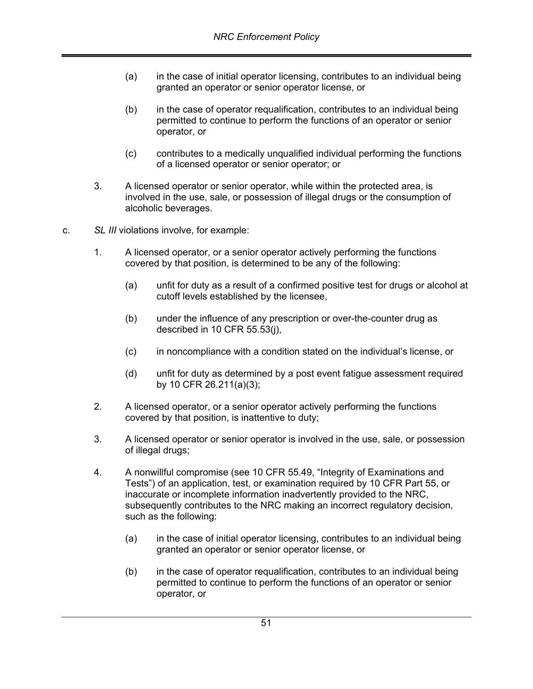- (a) in the case of initial operator licensing, contributes to an individual being granted an operator or senior operator license, or
- (b) in the case of operator requalification, contributes to an individual being permitted to continue to perform the functions of an operator or senior operator, or
- (c) contributes to a medically unqualified individual performing the functions of a licensed operator or senior operator; or
- 3. A licensed operator or senior operator, while within the protected area, is involved in the use, sale, or possession of illegal drugs or the consumption of alcoholic beverages.
- c. *SL III* violations involve, for example:
	- 1. A licensed operator, or a senior operator actively performing the functions covered by that position, is determined to be any of the following:
		- (a) unfit for duty as a result of a confirmed positive test for drugs or alcohol at cutoff levels established by the licensee,
		- (b) under the influence of any prescription or over-the-counter drug as described in 10 CFR 55.53(j),
		- (c) in noncompliance with a condition stated on the individual's license, or
		- (d) unfit for duty as determined by a post event fatigue assessment required by 10 CFR 26.211(a)(3);
	- 2. A licensed operator, or a senior operator actively performing the functions covered by that position, is inattentive to duty;
	- 3. A licensed operator or senior operator is involved in the use, sale, or possession of illegal drugs;
	- 4. A nonwillful compromise (see 10 CFR 55.49, "Integrity of Examinations and Tests") of an application, test, or examination required by 10 CFR Part 55, or inaccurate or incomplete information inadvertently provided to the NRC, subsequently contributes to the NRC making an incorrect regulatory decision, such as the following:
		- (a) in the case of initial operator licensing, contributes to an individual being granted an operator or senior operator license, or
		- (b) in the case of operator requalification, contributes to an individual being permitted to continue to perform the functions of an operator or senior operator, or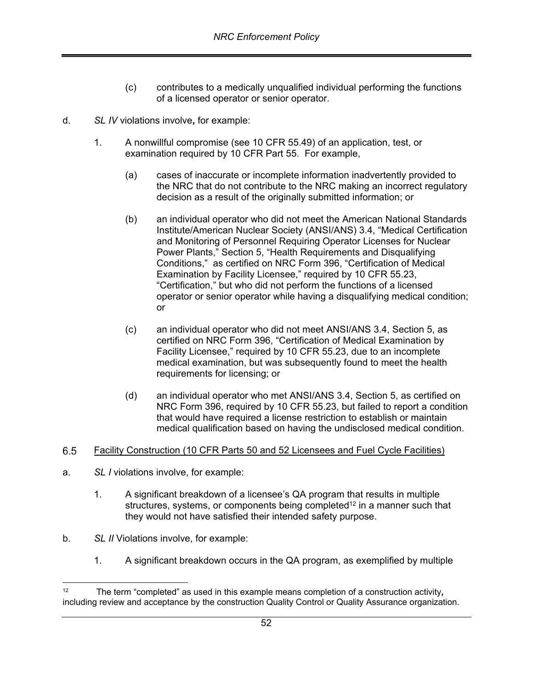- (c) contributes to a medically unqualified individual performing the functions of a licensed operator or senior operator.
- d. *SL IV* violations involve**,** for example:
	- 1. A nonwillful compromise (see 10 CFR 55.49) of an application, test, or examination required by 10 CFR Part 55. For example,
		- (a) cases of inaccurate or incomplete information inadvertently provided to the NRC that do not contribute to the NRC making an incorrect regulatory decision as a result of the originally submitted information; or
		- (b) an individual operator who did not meet the American National Standards Institute/American Nuclear Society (ANSI/ANS) 3.4, "Medical Certification and Monitoring of Personnel Requiring Operator Licenses for Nuclear Power Plants," Section 5, "Health Requirements and Disqualifying Conditions," as certified on NRC Form 396, "Certification of Medical Examination by Facility Licensee," required by 10 CFR 55.23, "Certification," but who did not perform the functions of a licensed operator or senior operator while having a disqualifying medical condition; or
		- (c) an individual operator who did not meet ANSI/ANS 3.4, Section 5, as certified on NRC Form 396, "Certification of Medical Examination by Facility Licensee," required by 10 CFR 55.23, due to an incomplete medical examination, but was subsequently found to meet the health requirements for licensing; or
		- (d) an individual operator who met ANSI/ANS 3.4, Section 5, as certified on NRC Form 396, required by 10 CFR 55.23, but failed to report a condition that would have required a license restriction to establish or maintain medical qualification based on having the undisclosed medical condition.

#### Facility Construction (10 CFR Parts 50 and 52 Licensees and Fuel Cycle Facilities)

- a. *SL I* violations involve, for example:
	- 1. A significant breakdown of a licensee's QA program that results in multiple structures, systems, or components being completed<sup>12</sup> in a manner such that they would not have satisfied their intended safety purpose.
- b. *SL II* Violations involve, for example:
	- 1. A significant breakdown occurs in the QA program, as exemplified by multiple

<sup>-</sup>12 The term "completed" as used in this example means completion of a construction activity**,**  including review and acceptance by the construction Quality Control or Quality Assurance organization.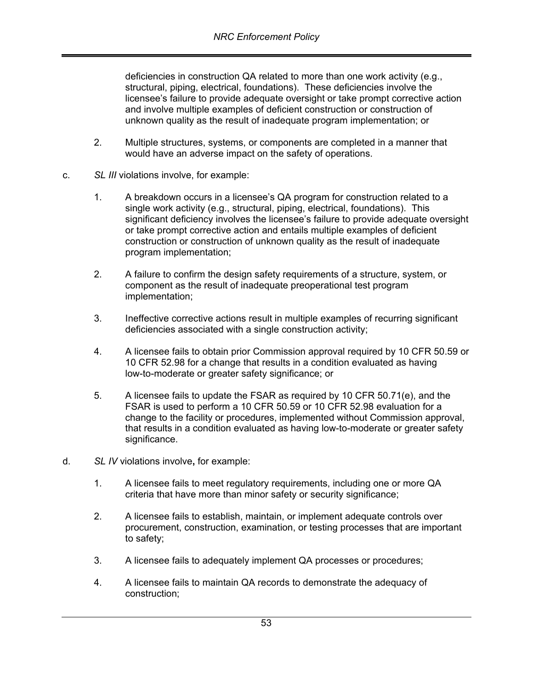deficiencies in construction QA related to more than one work activity (e.g., structural, piping, electrical, foundations). These deficiencies involve the licensee's failure to provide adequate oversight or take prompt corrective action and involve multiple examples of deficient construction or construction of unknown quality as the result of inadequate program implementation; or

- 2. Multiple structures, systems, or components are completed in a manner that would have an adverse impact on the safety of operations.
- c. *SL III* violations involve, for example:
	- 1. A breakdown occurs in a licensee's QA program for construction related to a single work activity (e.g., structural, piping, electrical, foundations). This significant deficiency involves the licensee's failure to provide adequate oversight or take prompt corrective action and entails multiple examples of deficient construction or construction of unknown quality as the result of inadequate program implementation;
	- 2. A failure to confirm the design safety requirements of a structure, system, or component as the result of inadequate preoperational test program implementation;
	- 3. Ineffective corrective actions result in multiple examples of recurring significant deficiencies associated with a single construction activity;
	- 4. A licensee fails to obtain prior Commission approval required by 10 CFR 50.59 or 10 CFR 52.98 for a change that results in a condition evaluated as having low-to-moderate or greater safety significance; or
	- 5. A licensee fails to update the FSAR as required by 10 CFR 50.71(e), and the FSAR is used to perform a 10 CFR 50.59 or 10 CFR 52.98 evaluation for a change to the facility or procedures, implemented without Commission approval, that results in a condition evaluated as having low-to-moderate or greater safety significance.
- d. *SL IV* violations involve**,** for example:
	- 1. A licensee fails to meet regulatory requirements, including one or more QA criteria that have more than minor safety or security significance;
	- 2. A licensee fails to establish, maintain, or implement adequate controls over procurement, construction, examination, or testing processes that are important to safety;
	- 3. A licensee fails to adequately implement QA processes or procedures;
	- 4. A licensee fails to maintain QA records to demonstrate the adequacy of construction;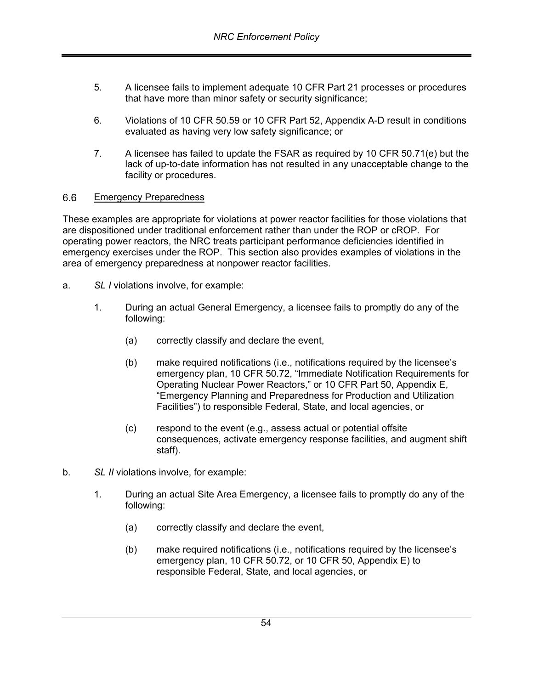- 5. A licensee fails to implement adequate 10 CFR Part 21 processes or procedures that have more than minor safety or security significance;
- 6. Violations of 10 CFR 50.59 or 10 CFR Part 52, Appendix A-D result in conditions evaluated as having very low safety significance; or
- 7. A licensee has failed to update the FSAR as required by 10 CFR 50.71(e) but the lack of up-to-date information has not resulted in any unacceptable change to the facility or procedures.

# 6.6 Emergency Preparedness

These examples are appropriate for violations at power reactor facilities for those violations that are dispositioned under traditional enforcement rather than under the ROP or cROP. For operating power reactors, the NRC treats participant performance deficiencies identified in emergency exercises under the ROP. This section also provides examples of violations in the area of emergency preparedness at nonpower reactor facilities.

- a. *SL I* violations involve, for example:
	- 1. During an actual General Emergency, a licensee fails to promptly do any of the following:
		- (a) correctly classify and declare the event,
		- (b) make required notifications (i.e., notifications required by the licensee's emergency plan, 10 CFR 50.72, "Immediate Notification Requirements for Operating Nuclear Power Reactors," or 10 CFR Part 50, Appendix E, "Emergency Planning and Preparedness for Production and Utilization Facilities") to responsible Federal, State, and local agencies, or
		- (c) respond to the event (e.g., assess actual or potential offsite consequences, activate emergency response facilities, and augment shift staff).
- b. *SL II* violations involve, for example:
	- 1. During an actual Site Area Emergency, a licensee fails to promptly do any of the following:
		- (a) correctly classify and declare the event,
		- (b) make required notifications (i.e., notifications required by the licensee's emergency plan, 10 CFR 50.72, or 10 CFR 50, Appendix E) to responsible Federal, State, and local agencies, or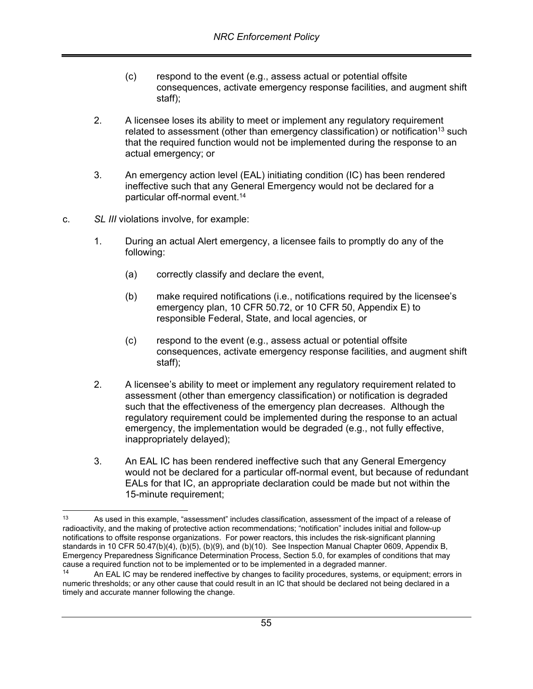- (c) respond to the event (e.g., assess actual or potential offsite consequences, activate emergency response facilities, and augment shift staff);
- 2. A licensee loses its ability to meet or implement any regulatory requirement related to assessment (other than emergency classification) or notification<sup>13</sup> such that the required function would not be implemented during the response to an actual emergency; or
- 3. An emergency action level (EAL) initiating condition (IC) has been rendered ineffective such that any General Emergency would not be declared for a particular off-normal event.14
- c. *SL III* violations involve, for example:
	- 1. During an actual Alert emergency, a licensee fails to promptly do any of the following:
		- (a) correctly classify and declare the event,
		- (b) make required notifications (i.e., notifications required by the licensee's emergency plan, 10 CFR 50.72, or 10 CFR 50, Appendix E) to responsible Federal, State, and local agencies, or
		- (c) respond to the event (e.g., assess actual or potential offsite consequences, activate emergency response facilities, and augment shift staff);
	- 2. A licensee's ability to meet or implement any regulatory requirement related to assessment (other than emergency classification) or notification is degraded such that the effectiveness of the emergency plan decreases. Although the regulatory requirement could be implemented during the response to an actual emergency, the implementation would be degraded (e.g., not fully effective, inappropriately delayed);
	- 3. An EAL IC has been rendered ineffective such that any General Emergency would not be declared for a particular off-normal event, but because of redundant EALs for that IC, an appropriate declaration could be made but not within the 15-minute requirement;

 $13$ As used in this example, "assessment" includes classification, assessment of the impact of a release of radioactivity, and the making of protective action recommendations; "notification" includes initial and follow-up notifications to offsite response organizations. For power reactors, this includes the risk-significant planning standards in 10 CFR 50.47(b)(4), (b)(5), (b)(9), and (b)(10). See Inspection Manual Chapter 0609, Appendix B, Emergency Preparedness Significance Determination Process, Section 5.0, for examples of conditions that may cause a required function not to be implemented or to be implemented in a degraded manner.<br><sup>14</sup> An EAL IC may be rendered ineffective by changes to facility procedures, systems, or

An EAL IC may be rendered ineffective by changes to facility procedures, systems, or equipment; errors in numeric thresholds; or any other cause that could result in an IC that should be declared not being declared in a timely and accurate manner following the change.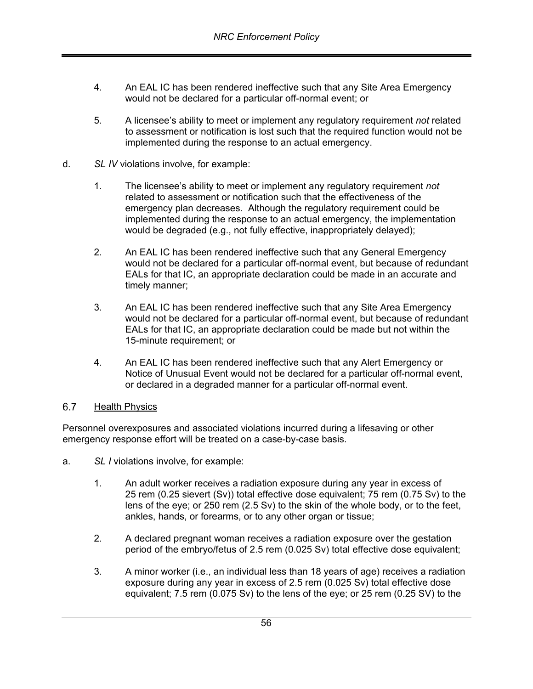- 4. An EAL IC has been rendered ineffective such that any Site Area Emergency would not be declared for a particular off-normal event; or
- 5. A licensee's ability to meet or implement any regulatory requirement *not* related to assessment or notification is lost such that the required function would not be implemented during the response to an actual emergency.
- d. *SL IV* violations involve, for example:
	- 1. The licensee's ability to meet or implement any regulatory requirement *not* related to assessment or notification such that the effectiveness of the emergency plan decreases. Although the regulatory requirement could be implemented during the response to an actual emergency, the implementation would be degraded (e.g., not fully effective, inappropriately delayed);
	- 2. An EAL IC has been rendered ineffective such that any General Emergency would not be declared for a particular off-normal event, but because of redundant EALs for that IC, an appropriate declaration could be made in an accurate and timely manner;
	- 3. An EAL IC has been rendered ineffective such that any Site Area Emergency would not be declared for a particular off-normal event, but because of redundant EALs for that IC, an appropriate declaration could be made but not within the 15-minute requirement; or
	- 4. An EAL IC has been rendered ineffective such that any Alert Emergency or Notice of Unusual Event would not be declared for a particular off-normal event, or declared in a degraded manner for a particular off-normal event.

# 6.7 Health Physics

Personnel overexposures and associated violations incurred during a lifesaving or other emergency response effort will be treated on a case-by-case basis.

- a. *SL I* violations involve, for example:
	- 1. An adult worker receives a radiation exposure during any year in excess of 25 rem (0.25 sievert (Sv)) total effective dose equivalent; 75 rem (0.75 Sv) to the lens of the eye; or 250 rem (2.5 Sv) to the skin of the whole body, or to the feet, ankles, hands, or forearms, or to any other organ or tissue;
	- 2. A declared pregnant woman receives a radiation exposure over the gestation period of the embryo/fetus of 2.5 rem (0.025 Sv) total effective dose equivalent;
	- 3. A minor worker (i.e., an individual less than 18 years of age) receives a radiation exposure during any year in excess of 2.5 rem (0.025 Sv) total effective dose equivalent; 7.5 rem (0.075 Sv) to the lens of the eye; or 25 rem (0.25 SV) to the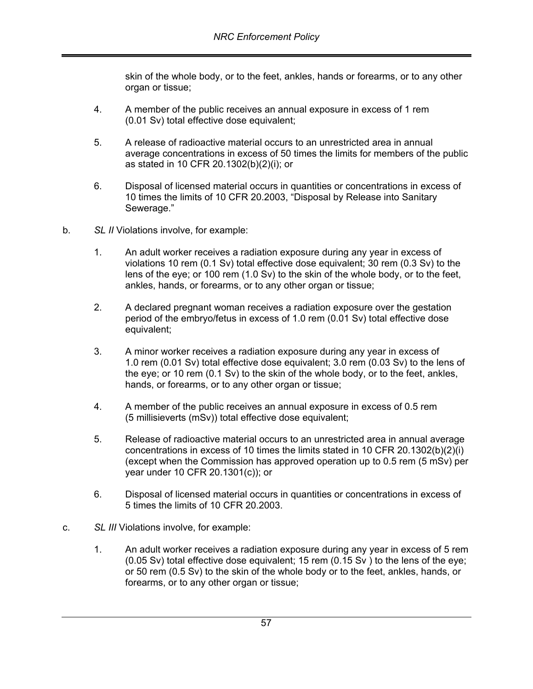skin of the whole body, or to the feet, ankles, hands or forearms, or to any other organ or tissue;

- 4. A member of the public receives an annual exposure in excess of 1 rem (0.01 Sv) total effective dose equivalent;
- 5. A release of radioactive material occurs to an unrestricted area in annual average concentrations in excess of 50 times the limits for members of the public as stated in 10 CFR 20.1302(b)(2)(i); or
- 6. Disposal of licensed material occurs in quantities or concentrations in excess of 10 times the limits of 10 CFR 20.2003, "Disposal by Release into Sanitary Sewerage."
- b. *SL II* Violations involve, for example:
	- 1. An adult worker receives a radiation exposure during any year in excess of violations 10 rem (0.1 Sv) total effective dose equivalent; 30 rem (0.3 Sv) to the lens of the eye; or 100 rem (1.0 Sv) to the skin of the whole body, or to the feet, ankles, hands, or forearms, or to any other organ or tissue;
	- 2. A declared pregnant woman receives a radiation exposure over the gestation period of the embryo/fetus in excess of 1.0 rem (0.01 Sv) total effective dose equivalent;
	- 3. A minor worker receives a radiation exposure during any year in excess of 1.0 rem (0.01 Sv) total effective dose equivalent; 3.0 rem (0.03 Sv) to the lens of the eye; or 10 rem (0.1 Sv) to the skin of the whole body, or to the feet, ankles, hands, or forearms, or to any other organ or tissue;
	- 4. A member of the public receives an annual exposure in excess of 0.5 rem (5 millisieverts (mSv)) total effective dose equivalent;
	- 5. Release of radioactive material occurs to an unrestricted area in annual average concentrations in excess of 10 times the limits stated in 10 CFR 20.1302(b)(2)(i) (except when the Commission has approved operation up to 0.5 rem (5 mSv) per year under 10 CFR 20.1301(c)); or
	- 6. Disposal of licensed material occurs in quantities or concentrations in excess of 5 times the limits of 10 CFR 20.2003.
- c. *SL III* Violations involve, for example:
	- 1. An adult worker receives a radiation exposure during any year in excess of 5 rem (0.05 Sv) total effective dose equivalent; 15 rem (0.15 Sv ) to the lens of the eye; or 50 rem (0.5 Sv) to the skin of the whole body or to the feet, ankles, hands, or forearms, or to any other organ or tissue;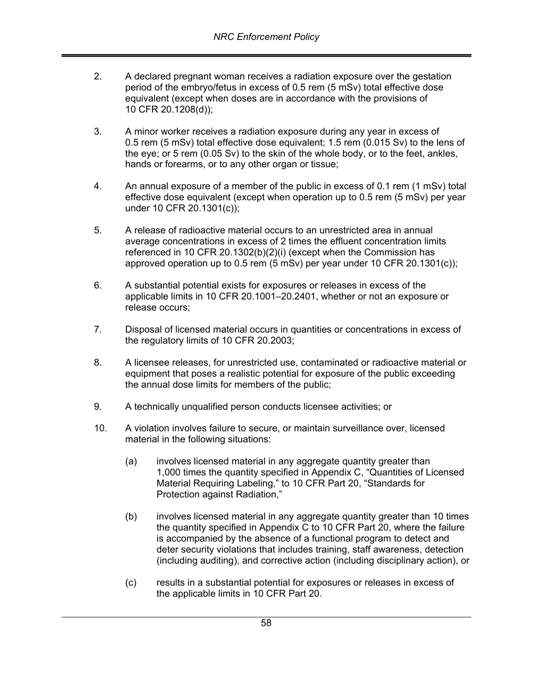- 2. A declared pregnant woman receives a radiation exposure over the gestation period of the embryo/fetus in excess of 0.5 rem (5 mSv) total effective dose equivalent (except when doses are in accordance with the provisions of 10 CFR 20.1208(d));
- 3. A minor worker receives a radiation exposure during any year in excess of 0.5 rem (5 mSv) total effective dose equivalent; 1.5 rem (0.015 Sv) to the lens of the eye; or 5 rem (0.05 Sv) to the skin of the whole body, or to the feet, ankles, hands or forearms, or to any other organ or tissue;
- 4. An annual exposure of a member of the public in excess of 0.1 rem (1 mSv) total effective dose equivalent (except when operation up to 0.5 rem (5 mSv) per year under 10 CFR 20.1301(c));
- 5. A release of radioactive material occurs to an unrestricted area in annual average concentrations in excess of 2 times the effluent concentration limits referenced in 10 CFR 20.1302(b)(2)(i) (except when the Commission has approved operation up to 0.5 rem (5 mSv) per year under 10 CFR 20.1301(c));
- 6. A substantial potential exists for exposures or releases in excess of the applicable limits in 10 CFR 20.1001–20.2401, whether or not an exposure or release occurs;
- 7. Disposal of licensed material occurs in quantities or concentrations in excess of the regulatory limits of 10 CFR 20.2003;
- 8. A licensee releases, for unrestricted use, contaminated or radioactive material or equipment that poses a realistic potential for exposure of the public exceeding the annual dose limits for members of the public;
- 9. A technically unqualified person conducts licensee activities; or
- 10. A violation involves failure to secure, or maintain surveillance over, licensed material in the following situations:
	- (a) involves licensed material in any aggregate quantity greater than 1,000 times the quantity specified in Appendix C, "Quantities of Licensed Material Requiring Labeling," to 10 CFR Part 20, "Standards for Protection against Radiation,"
	- (b) involves licensed material in any aggregate quantity greater than 10 times the quantity specified in Appendix C to 10 CFR Part 20, where the failure is accompanied by the absence of a functional program to detect and deter security violations that includes training, staff awareness, detection (including auditing), and corrective action (including disciplinary action), or
	- (c) results in a substantial potential for exposures or releases in excess of the applicable limits in 10 CFR Part 20.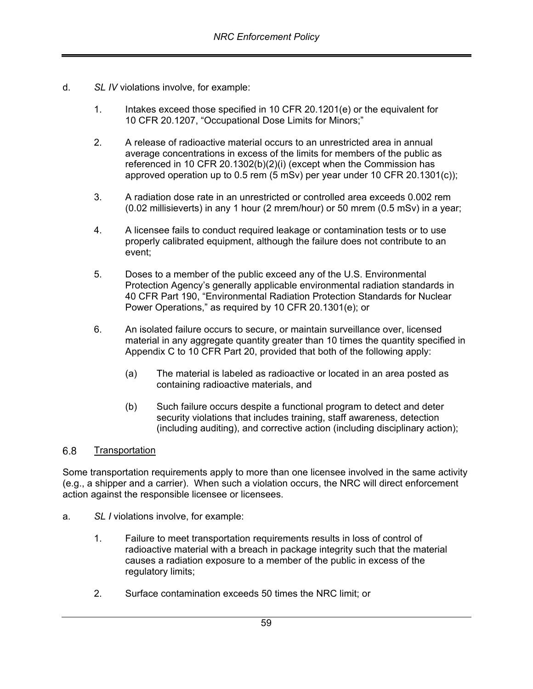- d. *SL IV* violations involve, for example:
	- 1. Intakes exceed those specified in 10 CFR 20.1201(e) or the equivalent for 10 CFR 20.1207, "Occupational Dose Limits for Minors;"
	- 2. A release of radioactive material occurs to an unrestricted area in annual average concentrations in excess of the limits for members of the public as referenced in 10 CFR 20.1302(b)(2)(i) (except when the Commission has approved operation up to 0.5 rem (5 mSv) per year under 10 CFR 20.1301(c));
	- 3. A radiation dose rate in an unrestricted or controlled area exceeds 0.002 rem (0.02 millisieverts) in any 1 hour (2 mrem/hour) or 50 mrem (0.5 mSv) in a year;
	- 4. A licensee fails to conduct required leakage or contamination tests or to use properly calibrated equipment, although the failure does not contribute to an event;
	- 5. Doses to a member of the public exceed any of the U.S. Environmental Protection Agency's generally applicable environmental radiation standards in 40 CFR Part 190, "Environmental Radiation Protection Standards for Nuclear Power Operations," as required by 10 CFR 20.1301(e); or
	- 6. An isolated failure occurs to secure, or maintain surveillance over, licensed material in any aggregate quantity greater than 10 times the quantity specified in Appendix C to 10 CFR Part 20, provided that both of the following apply:
		- (a) The material is labeled as radioactive or located in an area posted as containing radioactive materials, and
		- (b) Such failure occurs despite a functional program to detect and deter security violations that includes training, staff awareness, detection (including auditing), and corrective action (including disciplinary action);

# 6.8 Transportation

Some transportation requirements apply to more than one licensee involved in the same activity (e.g., a shipper and a carrier). When such a violation occurs, the NRC will direct enforcement action against the responsible licensee or licensees.

- a. *SL I* violations involve, for example:
	- 1. Failure to meet transportation requirements results in loss of control of radioactive material with a breach in package integrity such that the material causes a radiation exposure to a member of the public in excess of the regulatory limits;
	- 2. Surface contamination exceeds 50 times the NRC limit; or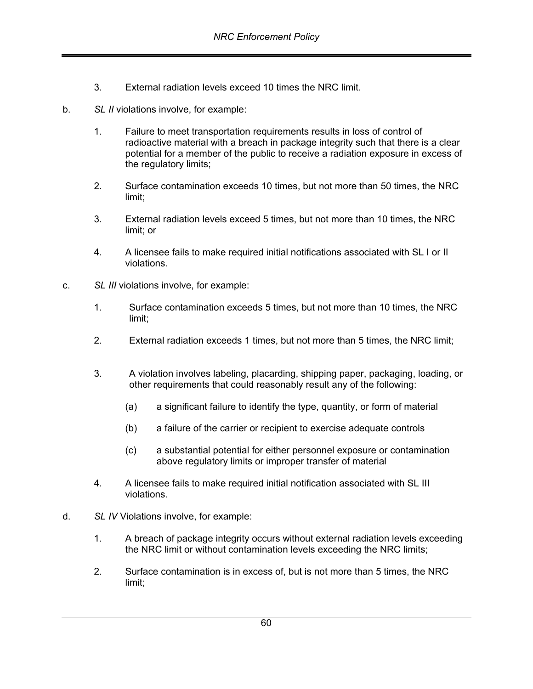- 3. External radiation levels exceed 10 times the NRC limit.
- b. *SL II* violations involve, for example:
	- 1. Failure to meet transportation requirements results in loss of control of radioactive material with a breach in package integrity such that there is a clear potential for a member of the public to receive a radiation exposure in excess of the regulatory limits;
	- 2. Surface contamination exceeds 10 times, but not more than 50 times, the NRC limit;
	- 3. External radiation levels exceed 5 times, but not more than 10 times, the NRC limit; or
	- 4. A licensee fails to make required initial notifications associated with SL I or II violations.
- c. *SL III* violations involve, for example:
	- 1. Surface contamination exceeds 5 times, but not more than 10 times, the NRC limit;
	- 2. External radiation exceeds 1 times, but not more than 5 times, the NRC limit;
	- 3. A violation involves labeling, placarding, shipping paper, packaging, loading, or other requirements that could reasonably result any of the following:
		- (a) a significant failure to identify the type, quantity, or form of material
		- (b) a failure of the carrier or recipient to exercise adequate controls
		- (c) a substantial potential for either personnel exposure or contamination above regulatory limits or improper transfer of material
	- 4. A licensee fails to make required initial notification associated with SL III violations.
- d. *SL IV* Violations involve, for example:
	- 1. A breach of package integrity occurs without external radiation levels exceeding the NRC limit or without contamination levels exceeding the NRC limits;
	- 2. Surface contamination is in excess of, but is not more than 5 times, the NRC limit;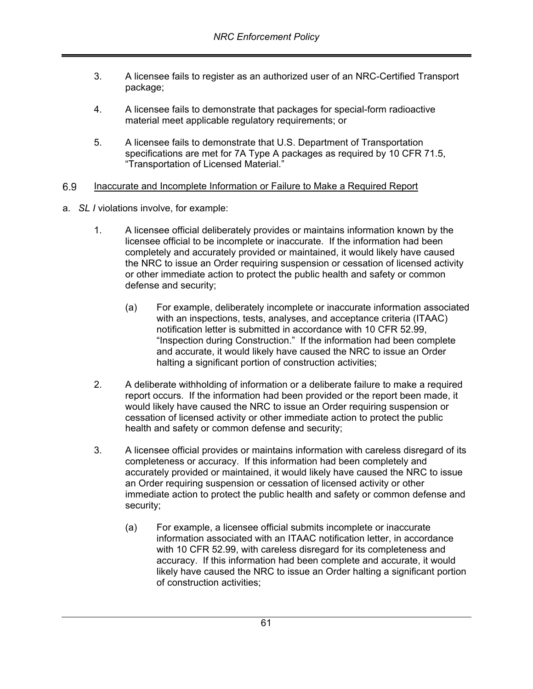- 3. A licensee fails to register as an authorized user of an NRC-Certified Transport package;
- 4. A licensee fails to demonstrate that packages for special-form radioactive material meet applicable regulatory requirements; or
- 5. A licensee fails to demonstrate that U.S. Department of Transportation specifications are met for 7A Type A packages as required by 10 CFR 71.5, "Transportation of Licensed Material."

#### 6.9 Inaccurate and Incomplete Information or Failure to Make a Required Report

- a. *SL I* violations involve, for example:
	- 1. A licensee official deliberately provides or maintains information known by the licensee official to be incomplete or inaccurate. If the information had been completely and accurately provided or maintained, it would likely have caused the NRC to issue an Order requiring suspension or cessation of licensed activity or other immediate action to protect the public health and safety or common defense and security;
		- (a) For example, deliberately incomplete or inaccurate information associated with an inspections, tests, analyses, and acceptance criteria (ITAAC) notification letter is submitted in accordance with 10 CFR 52.99, "Inspection during Construction." If the information had been complete and accurate, it would likely have caused the NRC to issue an Order halting a significant portion of construction activities;
	- 2. A deliberate withholding of information or a deliberate failure to make a required report occurs. If the information had been provided or the report been made, it would likely have caused the NRC to issue an Order requiring suspension or cessation of licensed activity or other immediate action to protect the public health and safety or common defense and security;
	- 3. A licensee official provides or maintains information with careless disregard of its completeness or accuracy. If this information had been completely and accurately provided or maintained, it would likely have caused the NRC to issue an Order requiring suspension or cessation of licensed activity or other immediate action to protect the public health and safety or common defense and security;
		- (a) For example, a licensee official submits incomplete or inaccurate information associated with an ITAAC notification letter, in accordance with 10 CFR 52.99, with careless disregard for its completeness and accuracy. If this information had been complete and accurate, it would likely have caused the NRC to issue an Order halting a significant portion of construction activities;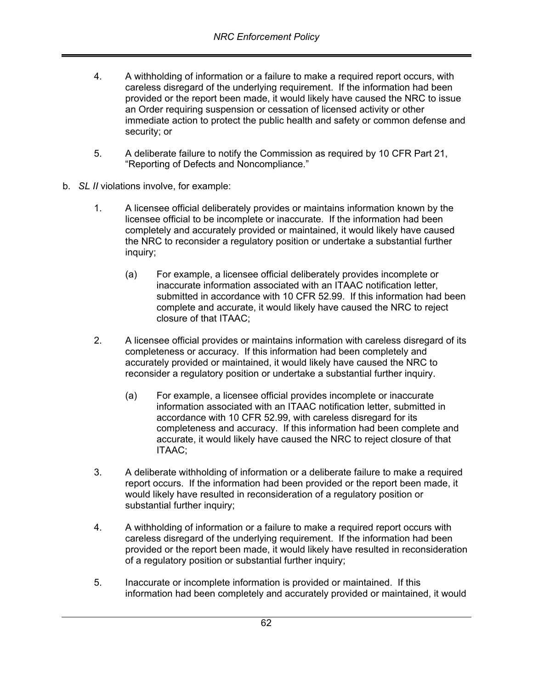- 4. A withholding of information or a failure to make a required report occurs, with careless disregard of the underlying requirement. If the information had been provided or the report been made, it would likely have caused the NRC to issue an Order requiring suspension or cessation of licensed activity or other immediate action to protect the public health and safety or common defense and security; or
- 5. A deliberate failure to notify the Commission as required by 10 CFR Part 21, "Reporting of Defects and Noncompliance."
- b. *SL II* violations involve, for example:
	- 1. A licensee official deliberately provides or maintains information known by the licensee official to be incomplete or inaccurate. If the information had been completely and accurately provided or maintained, it would likely have caused the NRC to reconsider a regulatory position or undertake a substantial further inquiry;
		- (a) For example, a licensee official deliberately provides incomplete or inaccurate information associated with an ITAAC notification letter, submitted in accordance with 10 CFR 52.99. If this information had been complete and accurate, it would likely have caused the NRC to reject closure of that ITAAC;
	- 2. A licensee official provides or maintains information with careless disregard of its completeness or accuracy. If this information had been completely and accurately provided or maintained, it would likely have caused the NRC to reconsider a regulatory position or undertake a substantial further inquiry.
		- (a) For example, a licensee official provides incomplete or inaccurate information associated with an ITAAC notification letter, submitted in accordance with 10 CFR 52.99, with careless disregard for its completeness and accuracy. If this information had been complete and accurate, it would likely have caused the NRC to reject closure of that ITAAC;
	- 3. A deliberate withholding of information or a deliberate failure to make a required report occurs. If the information had been provided or the report been made, it would likely have resulted in reconsideration of a regulatory position or substantial further inquiry;
	- 4. A withholding of information or a failure to make a required report occurs with careless disregard of the underlying requirement. If the information had been provided or the report been made, it would likely have resulted in reconsideration of a regulatory position or substantial further inquiry;
	- 5. Inaccurate or incomplete information is provided or maintained. If this information had been completely and accurately provided or maintained, it would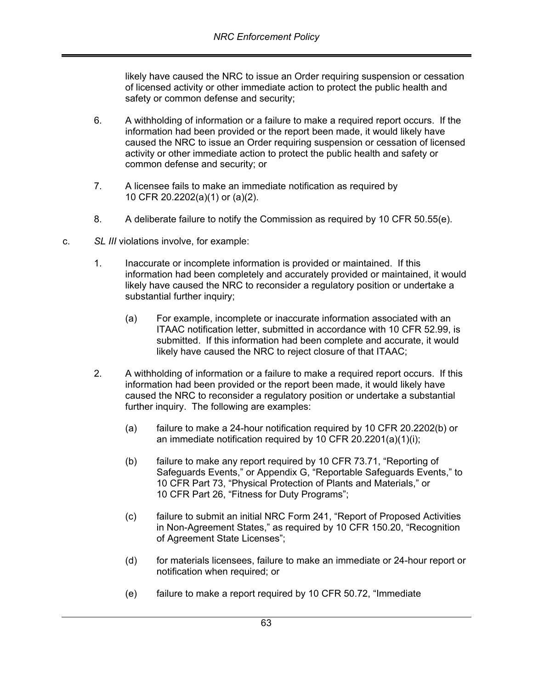likely have caused the NRC to issue an Order requiring suspension or cessation of licensed activity or other immediate action to protect the public health and safety or common defense and security;

- 6. A withholding of information or a failure to make a required report occurs. If the information had been provided or the report been made, it would likely have caused the NRC to issue an Order requiring suspension or cessation of licensed activity or other immediate action to protect the public health and safety or common defense and security; or
- 7. A licensee fails to make an immediate notification as required by 10 CFR 20.2202(a)(1) or (a)(2).
- 8. A deliberate failure to notify the Commission as required by 10 CFR 50.55(e).
- c. *SL III* violations involve, for example:
	- 1. Inaccurate or incomplete information is provided or maintained. If this information had been completely and accurately provided or maintained, it would likely have caused the NRC to reconsider a regulatory position or undertake a substantial further inquiry;
		- (a) For example, incomplete or inaccurate information associated with an ITAAC notification letter, submitted in accordance with 10 CFR 52.99, is submitted. If this information had been complete and accurate, it would likely have caused the NRC to reject closure of that ITAAC;
	- 2. A withholding of information or a failure to make a required report occurs. If this information had been provided or the report been made, it would likely have caused the NRC to reconsider a regulatory position or undertake a substantial further inquiry. The following are examples:
		- (a) failure to make a 24-hour notification required by 10 CFR 20.2202(b) or an immediate notification required by 10 CFR 20.2201(a)(1)(i);
		- (b) failure to make any report required by 10 CFR 73.71, "Reporting of Safeguards Events," or Appendix G, "Reportable Safeguards Events," to 10 CFR Part 73, "Physical Protection of Plants and Materials," or 10 CFR Part 26, "Fitness for Duty Programs";
		- (c) failure to submit an initial NRC Form 241, "Report of Proposed Activities in Non-Agreement States," as required by 10 CFR 150.20, "Recognition of Agreement State Licenses";
		- (d) for materials licensees, failure to make an immediate or 24-hour report or notification when required; or
		- (e) failure to make a report required by 10 CFR 50.72, "Immediate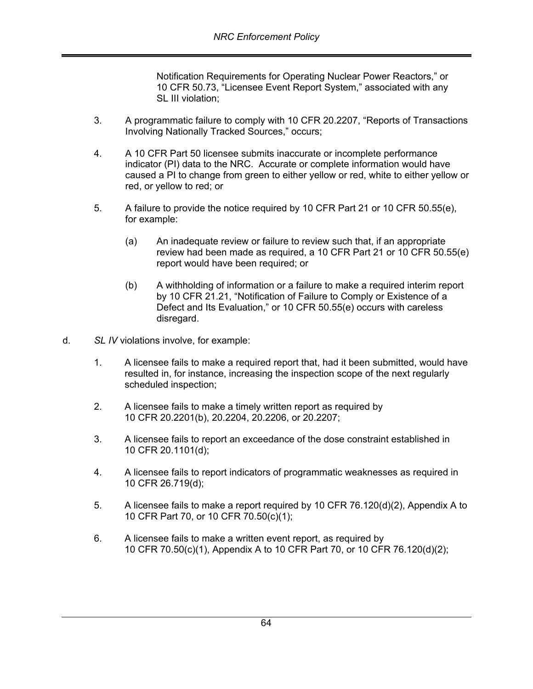Notification Requirements for Operating Nuclear Power Reactors," or 10 CFR 50.73, "Licensee Event Report System," associated with any SL III violation:

- 3. A programmatic failure to comply with 10 CFR 20.2207, "Reports of Transactions Involving Nationally Tracked Sources," occurs;
- 4. A 10 CFR Part 50 licensee submits inaccurate or incomplete performance indicator (PI) data to the NRC. Accurate or complete information would have caused a PI to change from green to either yellow or red, white to either yellow or red, or yellow to red; or
- 5. A failure to provide the notice required by 10 CFR Part 21 or 10 CFR 50.55(e), for example:
	- (a) An inadequate review or failure to review such that, if an appropriate review had been made as required, a 10 CFR Part 21 or 10 CFR 50.55(e) report would have been required; or
	- (b) A withholding of information or a failure to make a required interim report by 10 CFR 21.21, "Notification of Failure to Comply or Existence of a Defect and Its Evaluation," or 10 CFR 50.55(e) occurs with careless disregard.
- d. *SL IV* violations involve, for example:
	- 1. A licensee fails to make a required report that, had it been submitted, would have resulted in, for instance, increasing the inspection scope of the next regularly scheduled inspection;
	- 2. A licensee fails to make a timely written report as required by 10 CFR 20.2201(b), 20.2204, 20.2206, or 20.2207;
	- 3. A licensee fails to report an exceedance of the dose constraint established in 10 CFR 20.1101(d);
	- 4. A licensee fails to report indicators of programmatic weaknesses as required in 10 CFR 26.719(d);
	- 5. A licensee fails to make a report required by 10 CFR 76.120(d)(2), Appendix A to 10 CFR Part 70, or 10 CFR 70.50(c)(1);
	- 6. A licensee fails to make a written event report, as required by 10 CFR 70.50(c)(1), Appendix A to 10 CFR Part 70, or 10 CFR 76.120(d)(2);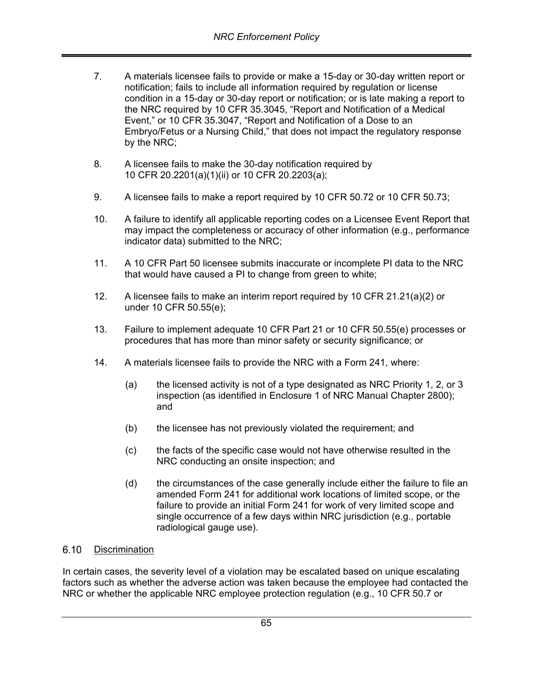- 7. A materials licensee fails to provide or make a 15-day or 30-day written report or notification; fails to include all information required by regulation or license condition in a 15-day or 30-day report or notification; or is late making a report to the NRC required by 10 CFR 35.3045, "Report and Notification of a Medical Event," or 10 CFR 35.3047, "Report and Notification of a Dose to an Embryo/Fetus or a Nursing Child," that does not impact the regulatory response by the NRC;
- 8. A licensee fails to make the 30-day notification required by 10 CFR 20.2201(a)(1)(ii) or 10 CFR 20.2203(a);
- 9. A licensee fails to make a report required by 10 CFR 50.72 or 10 CFR 50.73;
- 10. A failure to identify all applicable reporting codes on a Licensee Event Report that may impact the completeness or accuracy of other information (e.g., performance indicator data) submitted to the NRC;
- 11. A 10 CFR Part 50 licensee submits inaccurate or incomplete PI data to the NRC that would have caused a PI to change from green to white;
- 12. A licensee fails to make an interim report required by 10 CFR 21.21(a)(2) or under 10 CFR 50.55(e);
- 13. Failure to implement adequate 10 CFR Part 21 or 10 CFR 50.55(e) processes or procedures that has more than minor safety or security significance; or
- 14. A materials licensee fails to provide the NRC with a Form 241, where:
	- (a) the licensed activity is not of a type designated as NRC Priority 1, 2, or 3 inspection (as identified in Enclosure 1 of NRC Manual Chapter 2800); and
	- (b) the licensee has not previously violated the requirement; and
	- (c) the facts of the specific case would not have otherwise resulted in the NRC conducting an onsite inspection; and
	- (d) the circumstances of the case generally include either the failure to file an amended Form 241 for additional work locations of limited scope, or the failure to provide an initial Form 241 for work of very limited scope and single occurrence of a few days within NRC jurisdiction (e.g., portable radiological gauge use).

# 6.10 Discrimination

In certain cases, the severity level of a violation may be escalated based on unique escalating factors such as whether the adverse action was taken because the employee had contacted the NRC or whether the applicable NRC employee protection regulation (e.g., 10 CFR 50.7 or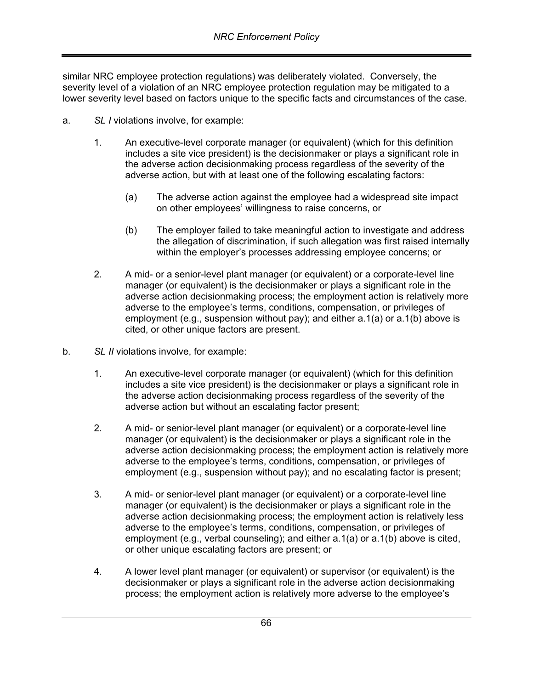similar NRC employee protection regulations) was deliberately violated. Conversely, the severity level of a violation of an NRC employee protection regulation may be mitigated to a lower severity level based on factors unique to the specific facts and circumstances of the case.

- a. *SL I* violations involve, for example:
	- 1. An executive-level corporate manager (or equivalent) (which for this definition includes a site vice president) is the decisionmaker or plays a significant role in the adverse action decisionmaking process regardless of the severity of the adverse action, but with at least one of the following escalating factors:
		- (a) The adverse action against the employee had a widespread site impact on other employees' willingness to raise concerns, or
		- (b) The employer failed to take meaningful action to investigate and address the allegation of discrimination, if such allegation was first raised internally within the employer's processes addressing employee concerns; or
	- 2. A mid- or a senior-level plant manager (or equivalent) or a corporate-level line manager (or equivalent) is the decisionmaker or plays a significant role in the adverse action decisionmaking process; the employment action is relatively more adverse to the employee's terms, conditions, compensation, or privileges of employment (e.g., suspension without pay); and either  $a.1(a)$  or  $a.1(b)$  above is cited, or other unique factors are present.
- b. *SL II* violations involve, for example:
	- 1. An executive-level corporate manager (or equivalent) (which for this definition includes a site vice president) is the decisionmaker or plays a significant role in the adverse action decisionmaking process regardless of the severity of the adverse action but without an escalating factor present;
	- 2. A mid- or senior-level plant manager (or equivalent) or a corporate-level line manager (or equivalent) is the decisionmaker or plays a significant role in the adverse action decisionmaking process; the employment action is relatively more adverse to the employee's terms, conditions, compensation, or privileges of employment (e.g., suspension without pay); and no escalating factor is present;
	- 3. A mid- or senior-level plant manager (or equivalent) or a corporate-level line manager (or equivalent) is the decisionmaker or plays a significant role in the adverse action decisionmaking process; the employment action is relatively less adverse to the employee's terms, conditions, compensation, or privileges of employment (e.g., verbal counseling); and either a.1(a) or a.1(b) above is cited, or other unique escalating factors are present; or
	- 4. A lower level plant manager (or equivalent) or supervisor (or equivalent) is the decisionmaker or plays a significant role in the adverse action decisionmaking process; the employment action is relatively more adverse to the employee's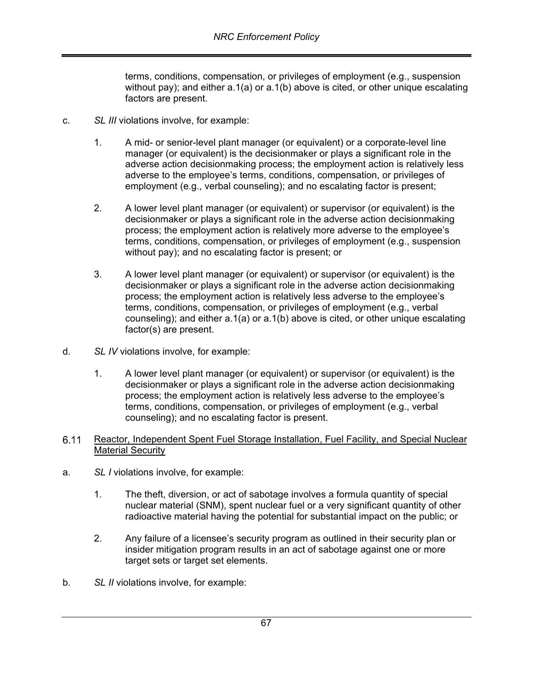terms, conditions, compensation, or privileges of employment (e.g., suspension without pay); and either a.1(a) or a.1(b) above is cited, or other unique escalating factors are present.

- c. *SL III* violations involve, for example:
	- 1. A mid- or senior-level plant manager (or equivalent) or a corporate-level line manager (or equivalent) is the decisionmaker or plays a significant role in the adverse action decisionmaking process; the employment action is relatively less adverse to the employee's terms, conditions, compensation, or privileges of employment (e.g., verbal counseling); and no escalating factor is present;
	- 2. A lower level plant manager (or equivalent) or supervisor (or equivalent) is the decisionmaker or plays a significant role in the adverse action decisionmaking process; the employment action is relatively more adverse to the employee's terms, conditions, compensation, or privileges of employment (e.g., suspension without pay); and no escalating factor is present; or
	- 3. A lower level plant manager (or equivalent) or supervisor (or equivalent) is the decisionmaker or plays a significant role in the adverse action decisionmaking process; the employment action is relatively less adverse to the employee's terms, conditions, compensation, or privileges of employment (e.g., verbal counseling); and either a.1(a) or a.1(b) above is cited, or other unique escalating factor(s) are present.
- d. *SL IV* violations involve, for example:
	- 1. A lower level plant manager (or equivalent) or supervisor (or equivalent) is the decisionmaker or plays a significant role in the adverse action decisionmaking process; the employment action is relatively less adverse to the employee's terms, conditions, compensation, or privileges of employment (e.g., verbal counseling); and no escalating factor is present.

#### 6.11 Reactor, Independent Spent Fuel Storage Installation, Fuel Facility, and Special Nuclear Material Security

- a. *SL I* violations involve, for example:
	- 1. The theft, diversion, or act of sabotage involves a formula quantity of special nuclear material (SNM), spent nuclear fuel or a very significant quantity of other radioactive material having the potential for substantial impact on the public; or
	- 2. Any failure of a licensee's security program as outlined in their security plan or insider mitigation program results in an act of sabotage against one or more target sets or target set elements.
- b. *SL II* violations involve, for example: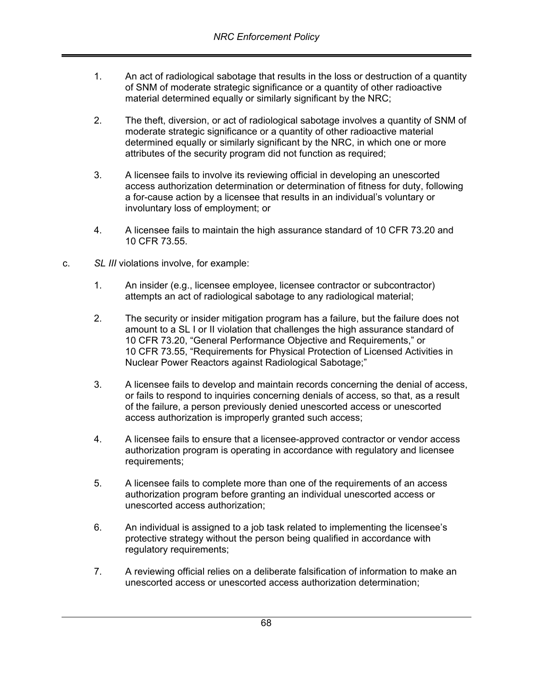- 1. An act of radiological sabotage that results in the loss or destruction of a quantity of SNM of moderate strategic significance or a quantity of other radioactive material determined equally or similarly significant by the NRC;
- 2. The theft, diversion, or act of radiological sabotage involves a quantity of SNM of moderate strategic significance or a quantity of other radioactive material determined equally or similarly significant by the NRC, in which one or more attributes of the security program did not function as required;
- 3. A licensee fails to involve its reviewing official in developing an unescorted access authorization determination or determination of fitness for duty, following a for-cause action by a licensee that results in an individual's voluntary or involuntary loss of employment; or
- 4. A licensee fails to maintain the high assurance standard of 10 CFR 73.20 and 10 CFR 73.55.
- c. *SL III* violations involve, for example:
	- 1. An insider (e.g., licensee employee, licensee contractor or subcontractor) attempts an act of radiological sabotage to any radiological material;
	- 2. The security or insider mitigation program has a failure, but the failure does not amount to a SL I or II violation that challenges the high assurance standard of 10 CFR 73.20, "General Performance Objective and Requirements," or 10 CFR 73.55, "Requirements for Physical Protection of Licensed Activities in Nuclear Power Reactors against Radiological Sabotage;"
	- 3. A licensee fails to develop and maintain records concerning the denial of access, or fails to respond to inquiries concerning denials of access, so that, as a result of the failure, a person previously denied unescorted access or unescorted access authorization is improperly granted such access;
	- 4. A licensee fails to ensure that a licensee-approved contractor or vendor access authorization program is operating in accordance with regulatory and licensee requirements;
	- 5. A licensee fails to complete more than one of the requirements of an access authorization program before granting an individual unescorted access or unescorted access authorization;
	- 6. An individual is assigned to a job task related to implementing the licensee's protective strategy without the person being qualified in accordance with regulatory requirements;
	- 7. A reviewing official relies on a deliberate falsification of information to make an unescorted access or unescorted access authorization determination;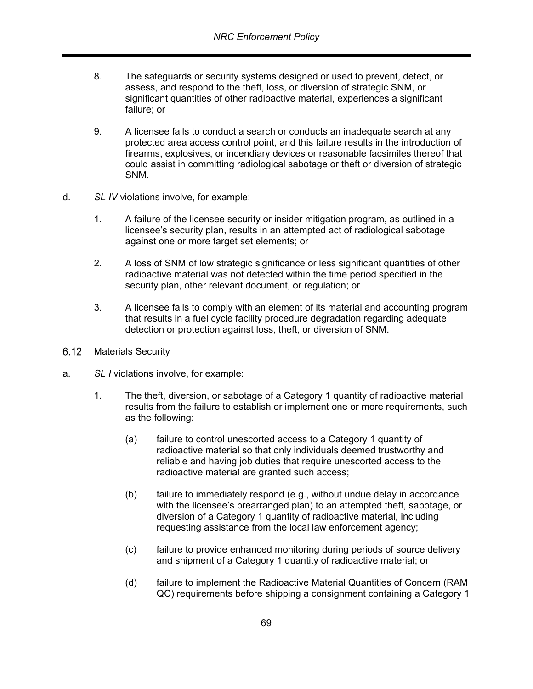- 8. The safeguards or security systems designed or used to prevent, detect, or assess, and respond to the theft, loss, or diversion of strategic SNM, or significant quantities of other radioactive material, experiences a significant failure; or
- 9. A licensee fails to conduct a search or conducts an inadequate search at any protected area access control point, and this failure results in the introduction of firearms, explosives, or incendiary devices or reasonable facsimiles thereof that could assist in committing radiological sabotage or theft or diversion of strategic SNM.
- d. *SL IV* violations involve, for example:
	- 1. A failure of the licensee security or insider mitigation program, as outlined in a licensee's security plan, results in an attempted act of radiological sabotage against one or more target set elements; or
	- 2. A loss of SNM of low strategic significance or less significant quantities of other radioactive material was not detected within the time period specified in the security plan, other relevant document, or regulation; or
	- 3. A licensee fails to comply with an element of its material and accounting program that results in a fuel cycle facility procedure degradation regarding adequate detection or protection against loss, theft, or diversion of SNM.
- 6.12 Materials Security
- a. *SL I* violations involve, for example:
	- 1. The theft, diversion, or sabotage of a Category 1 quantity of radioactive material results from the failure to establish or implement one or more requirements, such as the following:
		- (a) failure to control unescorted access to a Category 1 quantity of radioactive material so that only individuals deemed trustworthy and reliable and having job duties that require unescorted access to the radioactive material are granted such access;
		- (b) failure to immediately respond (e.g., without undue delay in accordance with the licensee's prearranged plan) to an attempted theft, sabotage, or diversion of a Category 1 quantity of radioactive material, including requesting assistance from the local law enforcement agency;
		- (c) failure to provide enhanced monitoring during periods of source delivery and shipment of a Category 1 quantity of radioactive material; or
		- (d) failure to implement the Radioactive Material Quantities of Concern (RAM QC) requirements before shipping a consignment containing a Category 1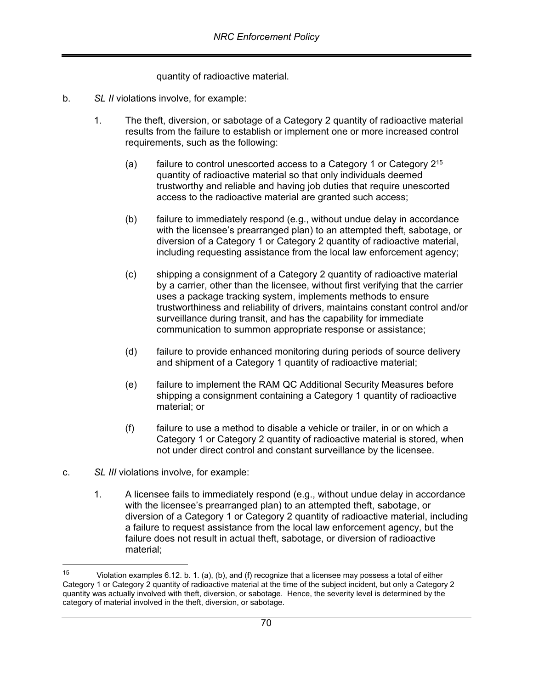quantity of radioactive material.

- b. *SL II* violations involve, for example:
	- 1. The theft, diversion, or sabotage of a Category 2 quantity of radioactive material results from the failure to establish or implement one or more increased control requirements, such as the following:
		- (a) failure to control unescorted access to a Category 1 or Category  $2^{15}$ quantity of radioactive material so that only individuals deemed trustworthy and reliable and having job duties that require unescorted access to the radioactive material are granted such access;
		- (b) failure to immediately respond (e.g., without undue delay in accordance with the licensee's prearranged plan) to an attempted theft, sabotage, or diversion of a Category 1 or Category 2 quantity of radioactive material, including requesting assistance from the local law enforcement agency;
		- (c) shipping a consignment of a Category 2 quantity of radioactive material by a carrier, other than the licensee, without first verifying that the carrier uses a package tracking system, implements methods to ensure trustworthiness and reliability of drivers, maintains constant control and/or surveillance during transit, and has the capability for immediate communication to summon appropriate response or assistance;
		- (d) failure to provide enhanced monitoring during periods of source delivery and shipment of a Category 1 quantity of radioactive material;
		- (e) failure to implement the RAM QC Additional Security Measures before shipping a consignment containing a Category 1 quantity of radioactive material; or
		- (f) failure to use a method to disable a vehicle or trailer, in or on which a Category 1 or Category 2 quantity of radioactive material is stored, when not under direct control and constant surveillance by the licensee.
- c. *SL III* violations involve, for example:

-

1. A licensee fails to immediately respond (e.g., without undue delay in accordance with the licensee's prearranged plan) to an attempted theft, sabotage, or diversion of a Category 1 or Category 2 quantity of radioactive material, including a failure to request assistance from the local law enforcement agency, but the failure does not result in actual theft, sabotage, or diversion of radioactive material;

<sup>&</sup>lt;sup>15</sup> Violation examples 6.12. b. 1. (a), (b), and (f) recognize that a licensee may possess a total of either Category 1 or Category 2 quantity of radioactive material at the time of the subject incident, but only a Category 2 quantity was actually involved with theft, diversion, or sabotage. Hence, the severity level is determined by the category of material involved in the theft, diversion, or sabotage.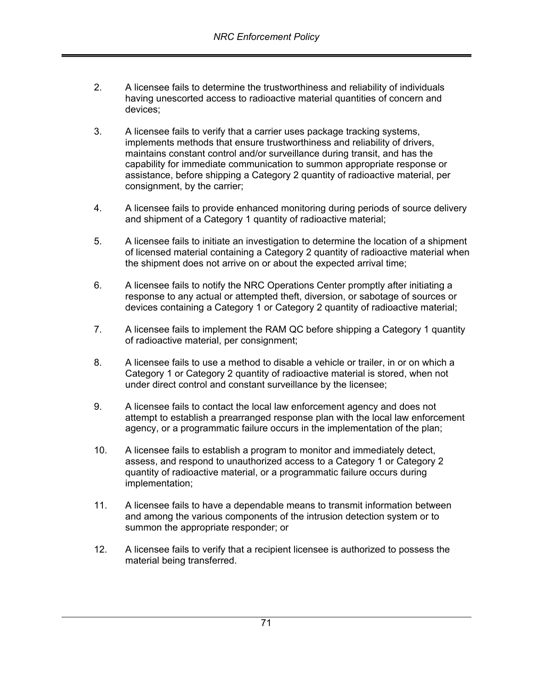- 2. A licensee fails to determine the trustworthiness and reliability of individuals having unescorted access to radioactive material quantities of concern and devices;
- 3. A licensee fails to verify that a carrier uses package tracking systems, implements methods that ensure trustworthiness and reliability of drivers, maintains constant control and/or surveillance during transit, and has the capability for immediate communication to summon appropriate response or assistance, before shipping a Category 2 quantity of radioactive material, per consignment, by the carrier;
- 4. A licensee fails to provide enhanced monitoring during periods of source delivery and shipment of a Category 1 quantity of radioactive material;
- 5. A licensee fails to initiate an investigation to determine the location of a shipment of licensed material containing a Category 2 quantity of radioactive material when the shipment does not arrive on or about the expected arrival time;
- 6. A licensee fails to notify the NRC Operations Center promptly after initiating a response to any actual or attempted theft, diversion, or sabotage of sources or devices containing a Category 1 or Category 2 quantity of radioactive material;
- 7. A licensee fails to implement the RAM QC before shipping a Category 1 quantity of radioactive material, per consignment;
- 8. A licensee fails to use a method to disable a vehicle or trailer, in or on which a Category 1 or Category 2 quantity of radioactive material is stored, when not under direct control and constant surveillance by the licensee;
- 9. A licensee fails to contact the local law enforcement agency and does not attempt to establish a prearranged response plan with the local law enforcement agency, or a programmatic failure occurs in the implementation of the plan;
- 10. A licensee fails to establish a program to monitor and immediately detect, assess, and respond to unauthorized access to a Category 1 or Category 2 quantity of radioactive material, or a programmatic failure occurs during implementation;
- 11. A licensee fails to have a dependable means to transmit information between and among the various components of the intrusion detection system or to summon the appropriate responder; or
- 12. A licensee fails to verify that a recipient licensee is authorized to possess the material being transferred.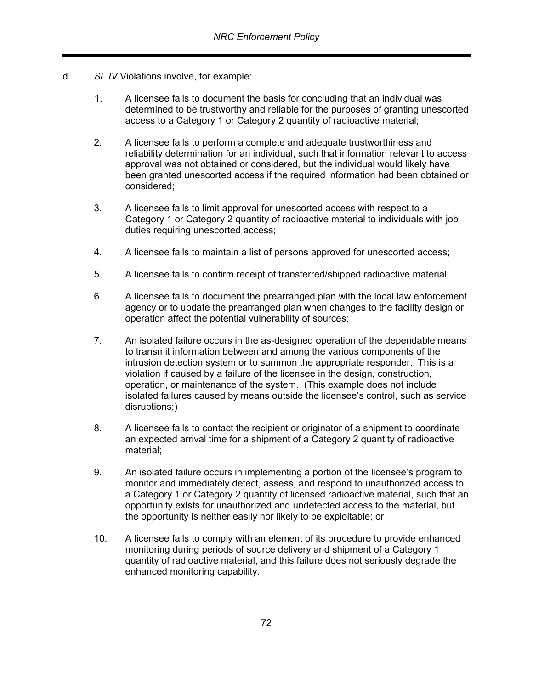- d. *SL IV* Violations involve, for example:
	- 1. A licensee fails to document the basis for concluding that an individual was determined to be trustworthy and reliable for the purposes of granting unescorted access to a Category 1 or Category 2 quantity of radioactive material;
	- 2. A licensee fails to perform a complete and adequate trustworthiness and reliability determination for an individual, such that information relevant to access approval was not obtained or considered, but the individual would likely have been granted unescorted access if the required information had been obtained or considered;
	- 3. A licensee fails to limit approval for unescorted access with respect to a Category 1 or Category 2 quantity of radioactive material to individuals with job duties requiring unescorted access;
	- 4. A licensee fails to maintain a list of persons approved for unescorted access;
	- 5. A licensee fails to confirm receipt of transferred/shipped radioactive material;
	- 6. A licensee fails to document the prearranged plan with the local law enforcement agency or to update the prearranged plan when changes to the facility design or operation affect the potential vulnerability of sources;
	- 7. An isolated failure occurs in the as-designed operation of the dependable means to transmit information between and among the various components of the intrusion detection system or to summon the appropriate responder. This is a violation if caused by a failure of the licensee in the design, construction, operation, or maintenance of the system. (This example does not include isolated failures caused by means outside the licensee's control, such as service disruptions;)
	- 8. A licensee fails to contact the recipient or originator of a shipment to coordinate an expected arrival time for a shipment of a Category 2 quantity of radioactive material;
	- 9. An isolated failure occurs in implementing a portion of the licensee's program to monitor and immediately detect, assess, and respond to unauthorized access to a Category 1 or Category 2 quantity of licensed radioactive material, such that an opportunity exists for unauthorized and undetected access to the material, but the opportunity is neither easily nor likely to be exploitable; or
	- 10. A licensee fails to comply with an element of its procedure to provide enhanced monitoring during periods of source delivery and shipment of a Category 1 quantity of radioactive material, and this failure does not seriously degrade the enhanced monitoring capability.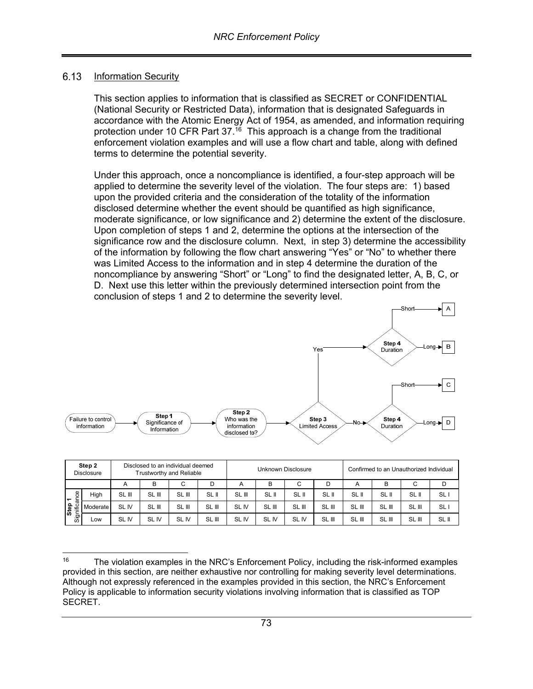### 6.13 Information Security

This section applies to information that is classified as SECRET or CONFIDENTIAL (National Security or Restricted Data), information that is designated Safeguards in accordance with the Atomic Energy Act of 1954, as amended, and information requiring protection under 10 CFR Part 37.16 This approach is a change from the traditional enforcement violation examples and will use a flow chart and table, along with defined terms to determine the potential severity.

Under this approach, once a noncompliance is identified, a four-step approach will be applied to determine the severity level of the violation. The four steps are: 1) based upon the provided criteria and the consideration of the totality of the information disclosed determine whether the event should be quantified as high significance, moderate significance, or low significance and 2) determine the extent of the disclosure. Upon completion of steps 1 and 2, determine the options at the intersection of the significance row and the disclosure column. Next, in step 3) determine the accessibility of the information by following the flow chart answering "Yes" or "No" to whether there was Limited Access to the information and in step 4 determine the duration of the noncompliance by answering "Short" or "Long" to find the designated letter, A, B, C, or D. Next use this letter within the previously determined intersection point from the conclusion of steps 1 and 2 to determine the severity level.



| Step 2<br><b>Disclosure</b>                                |          | Disclosed to an individual deemed<br>Trustworthy and Reliable |        |        |        | Unknown Disclosure |        |                  |        | Confirmed to an Unauthorized Individual |        |        |       |
|------------------------------------------------------------|----------|---------------------------------------------------------------|--------|--------|--------|--------------------|--------|------------------|--------|-----------------------------------------|--------|--------|-------|
|                                                            |          | A                                                             | в      | С      | D      | A                  | в      | С                | D      | А                                       | в      | С      | D     |
| nce<br>$\overline{\phantom{0}}$<br>ত়<br>Step<br>Significa | High     | SL III                                                        | SL III | SL III | SL II  | SL III             | SL II  | SL II            | SL II  | SL II                                   | SL II  | SL II  | SL I  |
|                                                            | Moderate | SL <sub>IV</sub>                                              | SL III | SL III | SL III | SL IV              | SL III | SL III           | SL III | SL III                                  | SL III | SL III | SL I  |
|                                                            | Low      | SL IV                                                         | SL IV  | SL IV  | SL III | SL IV              | SL IV  | SL <sub>IV</sub> | SL III | SL III                                  | SL III | SL III | SL II |

 <sup>16</sup> The violation examples in the NRC's Enforcement Policy, including the risk-informed examples provided in this section, are neither exhaustive nor controlling for making severity level determinations. Although not expressly referenced in the examples provided in this section, the NRC's Enforcement Policy is applicable to information security violations involving information that is classified as TOP SECRET.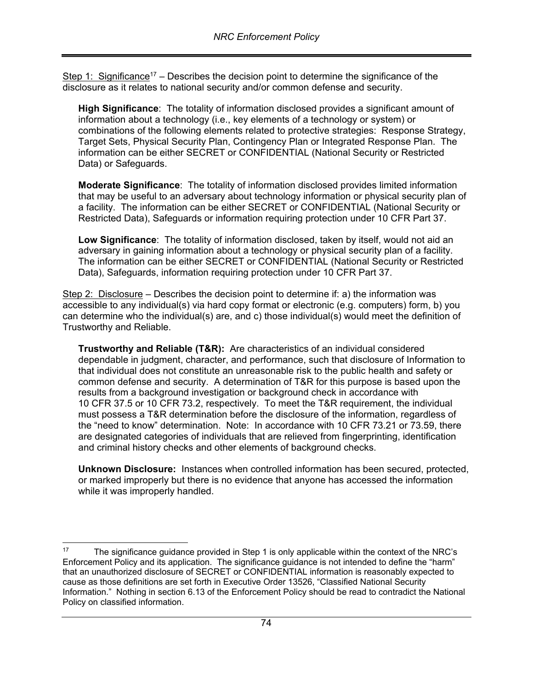Step 1: Significance<sup>17</sup> – Describes the decision point to determine the significance of the disclosure as it relates to national security and/or common defense and security.

**High Significance**: The totality of information disclosed provides a significant amount of information about a technology (i.e., key elements of a technology or system) or combinations of the following elements related to protective strategies: Response Strategy, Target Sets, Physical Security Plan, Contingency Plan or Integrated Response Plan. The information can be either SECRET or CONFIDENTIAL (National Security or Restricted Data) or Safeguards.

**Moderate Significance**: The totality of information disclosed provides limited information that may be useful to an adversary about technology information or physical security plan of a facility. The information can be either SECRET or CONFIDENTIAL (National Security or Restricted Data), Safeguards or information requiring protection under 10 CFR Part 37.

**Low Significance**: The totality of information disclosed, taken by itself, would not aid an adversary in gaining information about a technology or physical security plan of a facility. The information can be either SECRET or CONFIDENTIAL (National Security or Restricted Data), Safeguards, information requiring protection under 10 CFR Part 37.

Step 2: Disclosure – Describes the decision point to determine if: a) the information was accessible to any individual(s) via hard copy format or electronic (e.g. computers) form, b) you can determine who the individual(s) are, and c) those individual(s) would meet the definition of Trustworthy and Reliable.

**Trustworthy and Reliable (T&R):** Are characteristics of an individual considered dependable in judgment, character, and performance, such that disclosure of Information to that individual does not constitute an unreasonable risk to the public health and safety or common defense and security. A determination of T&R for this purpose is based upon the results from a background investigation or background check in accordance with 10 CFR 37.5 or 10 CFR 73.2, respectively. To meet the T&R requirement, the individual must possess a T&R determination before the disclosure of the information, regardless of the "need to know" determination. Note: In accordance with 10 CFR 73.21 or 73.59, there are designated categories of individuals that are relieved from fingerprinting, identification and criminal history checks and other elements of background checks.

**Unknown Disclosure:** Instances when controlled information has been secured, protected, or marked improperly but there is no evidence that anyone has accessed the information while it was improperly handled.

 $17$ The significance guidance provided in Step 1 is only applicable within the context of the NRC's Enforcement Policy and its application. The significance guidance is not intended to define the "harm" that an unauthorized disclosure of SECRET or CONFIDENTIAL information is reasonably expected to cause as those definitions are set forth in Executive Order 13526, "Classified National Security Information." Nothing in section 6.13 of the Enforcement Policy should be read to contradict the National Policy on classified information.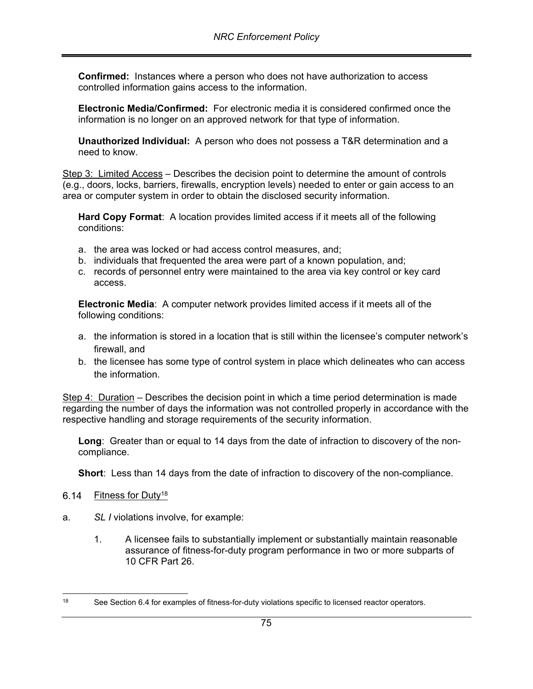**Confirmed:** Instances where a person who does not have authorization to access controlled information gains access to the information.

**Electronic Media/Confirmed:** For electronic media it is considered confirmed once the information is no longer on an approved network for that type of information.

**Unauthorized Individual:** A person who does not possess a T&R determination and a need to know.

Step 3: Limited Access – Describes the decision point to determine the amount of controls (e.g., doors, locks, barriers, firewalls, encryption levels) needed to enter or gain access to an area or computer system in order to obtain the disclosed security information.

**Hard Copy Format**: A location provides limited access if it meets all of the following conditions:

- a. the area was locked or had access control measures, and;
- b. individuals that frequented the area were part of a known population, and;
- c. records of personnel entry were maintained to the area via key control or key card access.

**Electronic Media**: A computer network provides limited access if it meets all of the following conditions:

- a. the information is stored in a location that is still within the licensee's computer network's firewall, and
- b. the licensee has some type of control system in place which delineates who can access the information.

Step 4: Duration – Describes the decision point in which a time period determination is made regarding the number of days the information was not controlled properly in accordance with the respective handling and storage requirements of the security information.

**Long**: Greater than or equal to 14 days from the date of infraction to discovery of the noncompliance.

**Short**: Less than 14 days from the date of infraction to discovery of the non-compliance.

- 6.14 Fitness for Duty<sup>18</sup>
- a. *SL I* violations involve, for example:
	- 1. A licensee fails to substantially implement or substantially maintain reasonable assurance of fitness-for-duty program performance in two or more subparts of 10 CFR Part 26.

<sup>-</sup><sup>18</sup> See Section 6.4 for examples of fitness-for-duty violations specific to licensed reactor operators.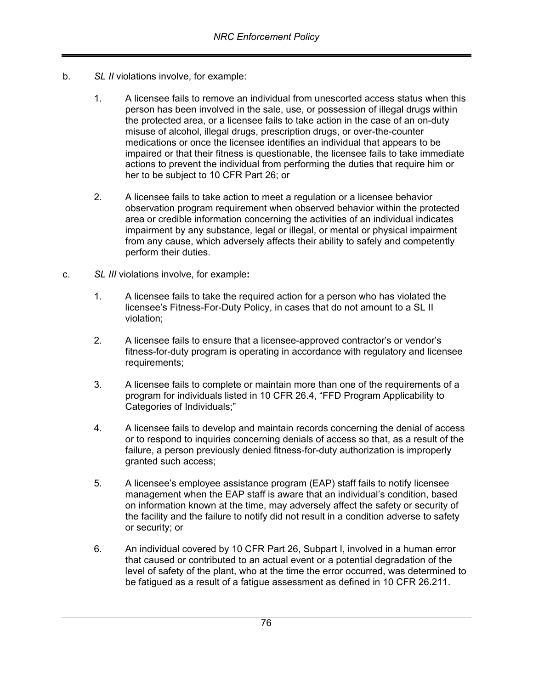- b. *SL II* violations involve, for example:
	- 1. A licensee fails to remove an individual from unescorted access status when this person has been involved in the sale, use, or possession of illegal drugs within the protected area, or a licensee fails to take action in the case of an on-duty misuse of alcohol, illegal drugs, prescription drugs, or over-the-counter medications or once the licensee identifies an individual that appears to be impaired or that their fitness is questionable, the licensee fails to take immediate actions to prevent the individual from performing the duties that require him or her to be subject to 10 CFR Part 26; or
	- 2. A licensee fails to take action to meet a regulation or a licensee behavior observation program requirement when observed behavior within the protected area or credible information concerning the activities of an individual indicates impairment by any substance, legal or illegal, or mental or physical impairment from any cause, which adversely affects their ability to safely and competently perform their duties.
- c. *SL III* violations involve, for example**:**
	- 1. A licensee fails to take the required action for a person who has violated the licensee's Fitness-For-Duty Policy, in cases that do not amount to a SL II violation;
	- 2. A licensee fails to ensure that a licensee-approved contractor's or vendor's fitness-for-duty program is operating in accordance with regulatory and licensee requirements;
	- 3. A licensee fails to complete or maintain more than one of the requirements of a program for individuals listed in 10 CFR 26.4, "FFD Program Applicability to Categories of Individuals;"
	- 4. A licensee fails to develop and maintain records concerning the denial of access or to respond to inquiries concerning denials of access so that, as a result of the failure, a person previously denied fitness-for-duty authorization is improperly granted such access;
	- 5. A licensee's employee assistance program (EAP) staff fails to notify licensee management when the EAP staff is aware that an individual's condition, based on information known at the time, may adversely affect the safety or security of the facility and the failure to notify did not result in a condition adverse to safety or security; or
	- 6. An individual covered by 10 CFR Part 26, Subpart I, involved in a human error that caused or contributed to an actual event or a potential degradation of the level of safety of the plant, who at the time the error occurred, was determined to be fatigued as a result of a fatigue assessment as defined in 10 CFR 26.211.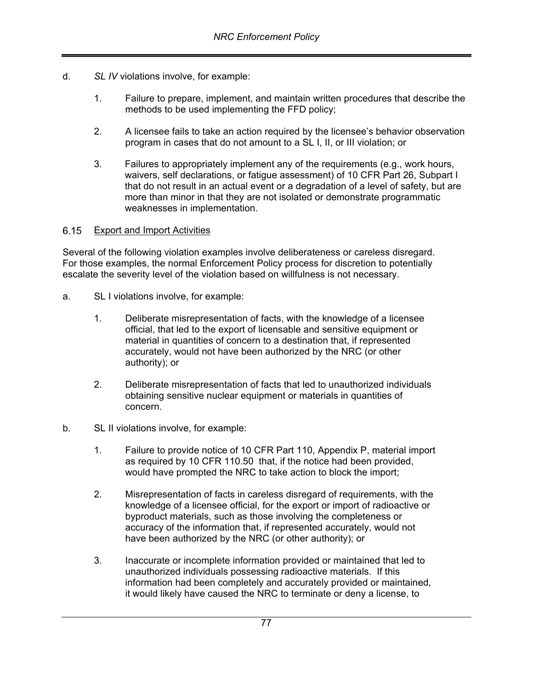- d. *SL IV* violations involve, for example:
	- 1. Failure to prepare, implement, and maintain written procedures that describe the methods to be used implementing the FFD policy;
	- 2. A licensee fails to take an action required by the licensee's behavior observation program in cases that do not amount to a SL I, II, or III violation; or
	- 3. Failures to appropriately implement any of the requirements (e.g., work hours, waivers, self declarations, or fatigue assessment) of 10 CFR Part 26, Subpart I that do not result in an actual event or a degradation of a level of safety, but are more than minor in that they are not isolated or demonstrate programmatic weaknesses in implementation.

#### 6.15 Export and Import Activities

Several of the following violation examples involve deliberateness or careless disregard. For those examples, the normal Enforcement Policy process for discretion to potentially escalate the severity level of the violation based on willfulness is not necessary.

- a. SL I violations involve, for example:
	- 1. Deliberate misrepresentation of facts, with the knowledge of a licensee official, that led to the export of licensable and sensitive equipment or material in quantities of concern to a destination that, if represented accurately, would not have been authorized by the NRC (or other authority); or
	- 2. Deliberate misrepresentation of facts that led to unauthorized individuals obtaining sensitive nuclear equipment or materials in quantities of concern.
- b. SL II violations involve, for example:
	- 1. Failure to provide notice of 10 CFR Part 110, Appendix P, material import as required by 10 CFR 110.50 that, if the notice had been provided, would have prompted the NRC to take action to block the import;
	- 2. Misrepresentation of facts in careless disregard of requirements, with the knowledge of a licensee official, for the export or import of radioactive or byproduct materials, such as those involving the completeness or accuracy of the information that, if represented accurately, would not have been authorized by the NRC (or other authority); or
	- 3. Inaccurate or incomplete information provided or maintained that led to unauthorized individuals possessing radioactive materials. If this information had been completely and accurately provided or maintained, it would likely have caused the NRC to terminate or deny a license, to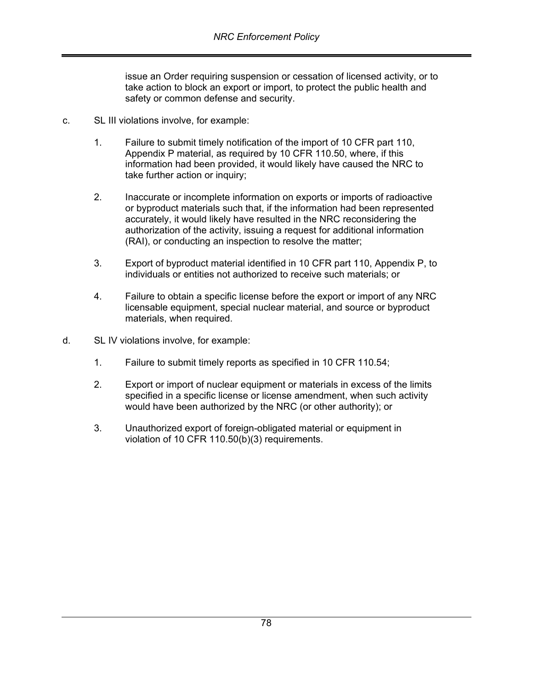issue an Order requiring suspension or cessation of licensed activity, or to take action to block an export or import, to protect the public health and safety or common defense and security.

- c. SL III violations involve, for example:
	- 1. Failure to submit timely notification of the import of 10 CFR part 110, Appendix P material, as required by 10 CFR 110.50, where, if this information had been provided, it would likely have caused the NRC to take further action or inquiry;
	- 2. Inaccurate or incomplete information on exports or imports of radioactive or byproduct materials such that, if the information had been represented accurately, it would likely have resulted in the NRC reconsidering the authorization of the activity, issuing a request for additional information (RAI), or conducting an inspection to resolve the matter;
	- 3. Export of byproduct material identified in 10 CFR part 110, Appendix P, to individuals or entities not authorized to receive such materials; or
	- 4. Failure to obtain a specific license before the export or import of any NRC licensable equipment, special nuclear material, and source or byproduct materials, when required.
- d. SL IV violations involve, for example:
	- 1. Failure to submit timely reports as specified in 10 CFR 110.54;
	- 2. Export or import of nuclear equipment or materials in excess of the limits specified in a specific license or license amendment, when such activity would have been authorized by the NRC (or other authority); or
	- 3. Unauthorized export of foreign-obligated material or equipment in violation of 10 CFR 110.50(b)(3) requirements.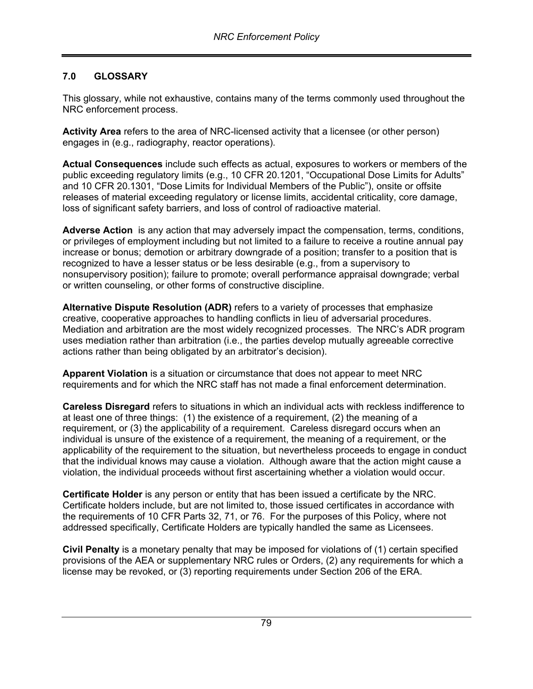## **7.0 GLOSSARY**

This glossary, while not exhaustive, contains many of the terms commonly used throughout the NRC enforcement process.

**Activity Area** refers to the area of NRC-licensed activity that a licensee (or other person) engages in (e.g., radiography, reactor operations).

**Actual Consequences** include such effects as actual, exposures to workers or members of the public exceeding regulatory limits (e.g., 10 CFR 20.1201, "Occupational Dose Limits for Adults" and 10 CFR 20.1301, "Dose Limits for Individual Members of the Public"), onsite or offsite releases of material exceeding regulatory or license limits, accidental criticality, core damage, loss of significant safety barriers, and loss of control of radioactive material.

**Adverse Action** is any action that may adversely impact the compensation, terms, conditions, or privileges of employment including but not limited to a failure to receive a routine annual pay increase or bonus; demotion or arbitrary downgrade of a position; transfer to a position that is recognized to have a lesser status or be less desirable (e.g., from a supervisory to nonsupervisory position); failure to promote; overall performance appraisal downgrade; verbal or written counseling, or other forms of constructive discipline.

**Alternative Dispute Resolution (ADR)** refers to a variety of processes that emphasize creative, cooperative approaches to handling conflicts in lieu of adversarial procedures. Mediation and arbitration are the most widely recognized processes. The NRC's ADR program uses mediation rather than arbitration (i.e., the parties develop mutually agreeable corrective actions rather than being obligated by an arbitrator's decision).

**Apparent Violation** is a situation or circumstance that does not appear to meet NRC requirements and for which the NRC staff has not made a final enforcement determination.

**Careless Disregard** refers to situations in which an individual acts with reckless indifference to at least one of three things: (1) the existence of a requirement, (2) the meaning of a requirement, or (3) the applicability of a requirement. Careless disregard occurs when an individual is unsure of the existence of a requirement, the meaning of a requirement, or the applicability of the requirement to the situation, but nevertheless proceeds to engage in conduct that the individual knows may cause a violation. Although aware that the action might cause a violation, the individual proceeds without first ascertaining whether a violation would occur.

**Certificate Holder** is any person or entity that has been issued a certificate by the NRC. Certificate holders include, but are not limited to, those issued certificates in accordance with the requirements of 10 CFR Parts 32, 71, or 76. For the purposes of this Policy, where not addressed specifically, Certificate Holders are typically handled the same as Licensees.

**Civil Penalty** is a monetary penalty that may be imposed for violations of (1) certain specified provisions of the AEA or supplementary NRC rules or Orders, (2) any requirements for which a license may be revoked, or (3) reporting requirements under Section 206 of the ERA.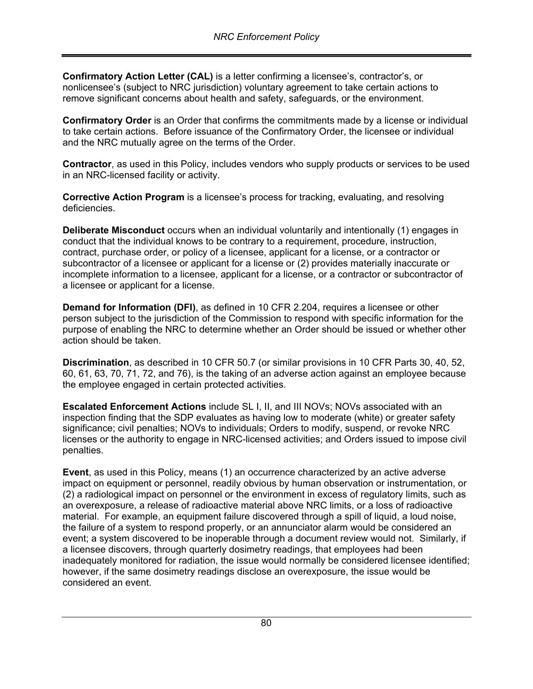**Confirmatory Action Letter (CAL)** is a letter confirming a licensee's, contractor's, or nonlicensee's (subject to NRC jurisdiction) voluntary agreement to take certain actions to remove significant concerns about health and safety, safeguards, or the environment.

**Confirmatory Order** is an Order that confirms the commitments made by a license or individual to take certain actions. Before issuance of the Confirmatory Order, the licensee or individual and the NRC mutually agree on the terms of the Order.

**Contractor**, as used in this Policy, includes vendors who supply products or services to be used in an NRC-licensed facility or activity.

**Corrective Action Program** is a licensee's process for tracking, evaluating, and resolving deficiencies.

**Deliberate Misconduct** occurs when an individual voluntarily and intentionally (1) engages in conduct that the individual knows to be contrary to a requirement, procedure, instruction, contract, purchase order, or policy of a licensee, applicant for a license, or a contractor or subcontractor of a licensee or applicant for a license or (2) provides materially inaccurate or incomplete information to a licensee, applicant for a license, or a contractor or subcontractor of a licensee or applicant for a license.

**Demand for Information (DFI)**, as defined in 10 CFR 2.204, requires a licensee or other person subject to the jurisdiction of the Commission to respond with specific information for the purpose of enabling the NRC to determine whether an Order should be issued or whether other action should be taken.

**Discrimination**, as described in 10 CFR 50.7 (or similar provisions in 10 CFR Parts 30, 40, 52, 60, 61, 63, 70, 71, 72, and 76), is the taking of an adverse action against an employee because the employee engaged in certain protected activities.

**Escalated Enforcement Actions** include SL I, II, and III NOVs; NOVs associated with an inspection finding that the SDP evaluates as having low to moderate (white) or greater safety significance; civil penalties; NOVs to individuals; Orders to modify, suspend, or revoke NRC licenses or the authority to engage in NRC-licensed activities; and Orders issued to impose civil penalties.

**Event**, as used in this Policy, means (1) an occurrence characterized by an active adverse impact on equipment or personnel, readily obvious by human observation or instrumentation, or (2) a radiological impact on personnel or the environment in excess of regulatory limits, such as an overexposure, a release of radioactive material above NRC limits, or a loss of radioactive material. For example, an equipment failure discovered through a spill of liquid, a loud noise, the failure of a system to respond properly, or an annunciator alarm would be considered an event; a system discovered to be inoperable through a document review would not. Similarly, if a licensee discovers, through quarterly dosimetry readings, that employees had been inadequately monitored for radiation, the issue would normally be considered licensee identified; however, if the same dosimetry readings disclose an overexposure, the issue would be considered an event.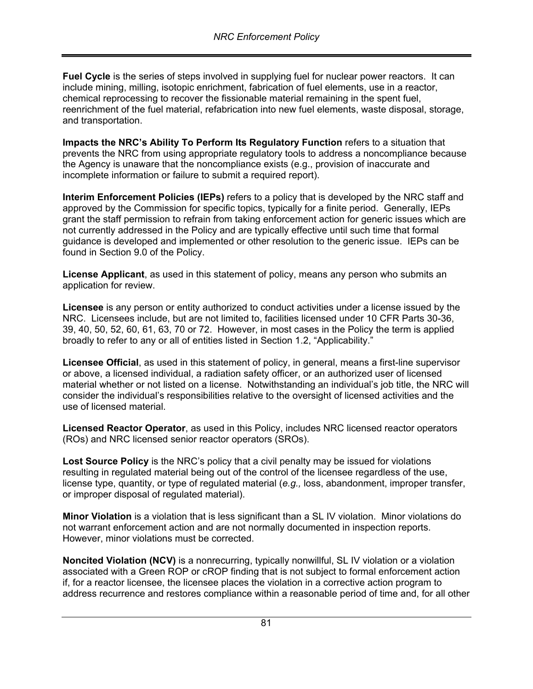**Fuel Cycle** is the series of steps involved in supplying fuel for nuclear power reactors. It can include mining, milling, isotopic enrichment, fabrication of fuel elements, use in a reactor, chemical reprocessing to recover the fissionable material remaining in the spent fuel, reenrichment of the fuel material, refabrication into new fuel elements, waste disposal, storage, and transportation.

**Impacts the NRC's Ability To Perform Its Regulatory Function** refers to a situation that prevents the NRC from using appropriate regulatory tools to address a noncompliance because the Agency is unaware that the noncompliance exists (e.g., provision of inaccurate and incomplete information or failure to submit a required report).

**Interim Enforcement Policies (IEPs)** refers to a policy that is developed by the NRC staff and approved by the Commission for specific topics, typically for a finite period. Generally, IEPs grant the staff permission to refrain from taking enforcement action for generic issues which are not currently addressed in the Policy and are typically effective until such time that formal guidance is developed and implemented or other resolution to the generic issue. IEPs can be found in Section 9.0 of the Policy.

**License Applicant**, as used in this statement of policy, means any person who submits an application for review.

**Licensee** is any person or entity authorized to conduct activities under a license issued by the NRC. Licensees include, but are not limited to, facilities licensed under 10 CFR Parts 30-36, 39, 40, 50, 52, 60, 61, 63, 70 or 72. However, in most cases in the Policy the term is applied broadly to refer to any or all of entities listed in Section 1.2, "Applicability."

**Licensee Official**, as used in this statement of policy, in general, means a first-line supervisor or above, a licensed individual, a radiation safety officer, or an authorized user of licensed material whether or not listed on a license. Notwithstanding an individual's job title, the NRC will consider the individual's responsibilities relative to the oversight of licensed activities and the use of licensed material.

**Licensed Reactor Operator**, as used in this Policy, includes NRC licensed reactor operators (ROs) and NRC licensed senior reactor operators (SROs).

**Lost Source Policy** is the NRC's policy that a civil penalty may be issued for violations resulting in regulated material being out of the control of the licensee regardless of the use, license type, quantity, or type of regulated material (*e.g.,* loss, abandonment, improper transfer, or improper disposal of regulated material).

**Minor Violation** is a violation that is less significant than a SL IV violation. Minor violations do not warrant enforcement action and are not normally documented in inspection reports. However, minor violations must be corrected.

**Noncited Violation (NCV)** is a nonrecurring, typically nonwillful, SL IV violation or a violation associated with a Green ROP or cROP finding that is not subject to formal enforcement action if, for a reactor licensee, the licensee places the violation in a corrective action program to address recurrence and restores compliance within a reasonable period of time and, for all other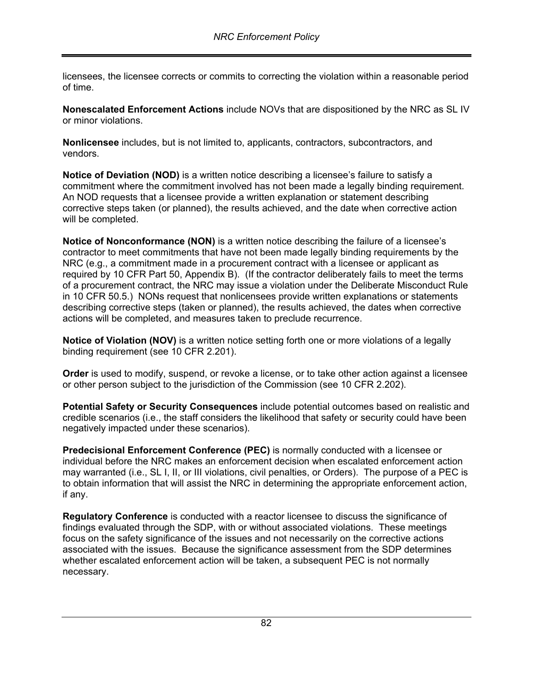licensees, the licensee corrects or commits to correcting the violation within a reasonable period of time.

**Nonescalated Enforcement Actions** include NOVs that are dispositioned by the NRC as SL IV or minor violations.

**Nonlicensee** includes, but is not limited to, applicants, contractors, subcontractors, and vendors.

**Notice of Deviation (NOD)** is a written notice describing a licensee's failure to satisfy a commitment where the commitment involved has not been made a legally binding requirement. An NOD requests that a licensee provide a written explanation or statement describing corrective steps taken (or planned), the results achieved, and the date when corrective action will be completed.

**Notice of Nonconformance (NON)** is a written notice describing the failure of a licensee's contractor to meet commitments that have not been made legally binding requirements by the NRC (e.g., a commitment made in a procurement contract with a licensee or applicant as required by 10 CFR Part 50, Appendix B). (If the contractor deliberately fails to meet the terms of a procurement contract, the NRC may issue a violation under the Deliberate Misconduct Rule in 10 CFR 50.5.) NONs request that nonlicensees provide written explanations or statements describing corrective steps (taken or planned), the results achieved, the dates when corrective actions will be completed, and measures taken to preclude recurrence.

**Notice of Violation (NOV)** is a written notice setting forth one or more violations of a legally binding requirement (see 10 CFR 2.201).

**Order** is used to modify, suspend, or revoke a license, or to take other action against a licensee or other person subject to the jurisdiction of the Commission (see 10 CFR 2.202).

**Potential Safety or Security Consequences** include potential outcomes based on realistic and credible scenarios (i.e., the staff considers the likelihood that safety or security could have been negatively impacted under these scenarios).

**Predecisional Enforcement Conference (PEC)** is normally conducted with a licensee or individual before the NRC makes an enforcement decision when escalated enforcement action may warranted (i.e., SL I, II, or III violations, civil penalties, or Orders). The purpose of a PEC is to obtain information that will assist the NRC in determining the appropriate enforcement action, if any.

**Regulatory Conference** is conducted with a reactor licensee to discuss the significance of findings evaluated through the SDP, with or without associated violations. These meetings focus on the safety significance of the issues and not necessarily on the corrective actions associated with the issues. Because the significance assessment from the SDP determines whether escalated enforcement action will be taken, a subsequent PEC is not normally necessary.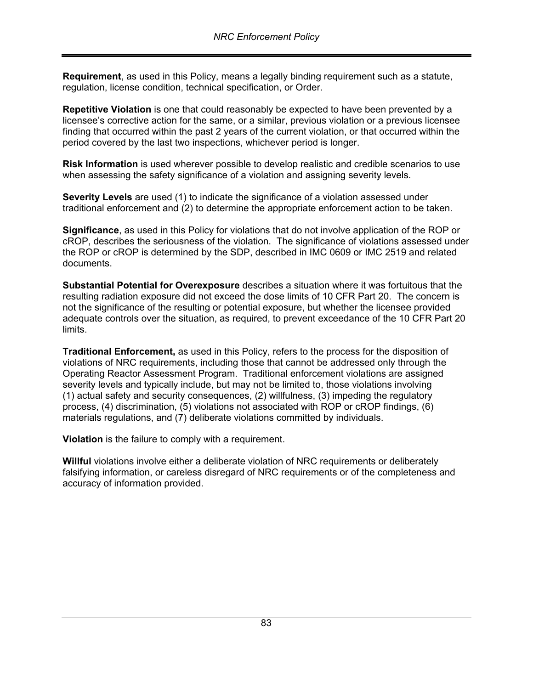**Requirement**, as used in this Policy, means a legally binding requirement such as a statute, regulation, license condition, technical specification, or Order.

**Repetitive Violation** is one that could reasonably be expected to have been prevented by a licensee's corrective action for the same, or a similar, previous violation or a previous licensee finding that occurred within the past 2 years of the current violation, or that occurred within the period covered by the last two inspections, whichever period is longer.

**Risk Information** is used wherever possible to develop realistic and credible scenarios to use when assessing the safety significance of a violation and assigning severity levels.

**Severity Levels** are used (1) to indicate the significance of a violation assessed under traditional enforcement and (2) to determine the appropriate enforcement action to be taken.

**Significance**, as used in this Policy for violations that do not involve application of the ROP or cROP, describes the seriousness of the violation. The significance of violations assessed under the ROP or cROP is determined by the SDP, described in IMC 0609 or IMC 2519 and related documents.

**Substantial Potential for Overexposure** describes a situation where it was fortuitous that the resulting radiation exposure did not exceed the dose limits of 10 CFR Part 20. The concern is not the significance of the resulting or potential exposure, but whether the licensee provided adequate controls over the situation, as required, to prevent exceedance of the 10 CFR Part 20 limits.

**Traditional Enforcement,** as used in this Policy, refers to the process for the disposition of violations of NRC requirements, including those that cannot be addressed only through the Operating Reactor Assessment Program. Traditional enforcement violations are assigned severity levels and typically include, but may not be limited to, those violations involving (1) actual safety and security consequences, (2) willfulness, (3) impeding the regulatory process, (4) discrimination, (5) violations not associated with ROP or cROP findings, (6) materials regulations, and (7) deliberate violations committed by individuals.

**Violation** is the failure to comply with a requirement.

**Willful** violations involve either a deliberate violation of NRC requirements or deliberately falsifying information, or careless disregard of NRC requirements or of the completeness and accuracy of information provided.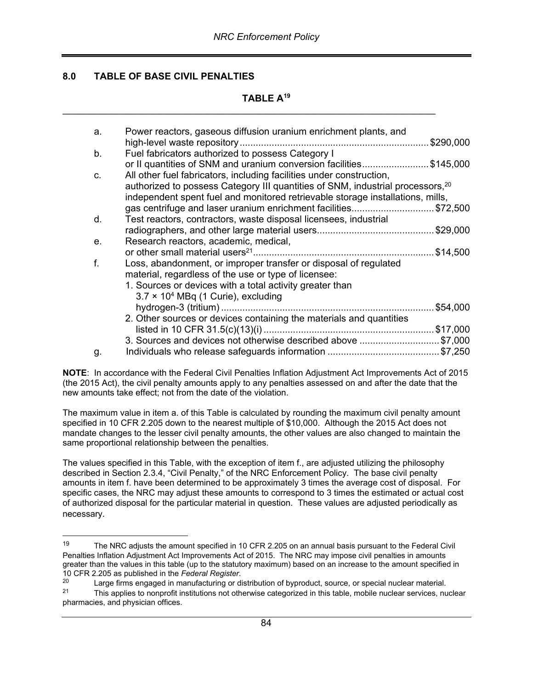### **8.0 TABLE OF BASE CIVIL PENALTIES**

 $\overline{a}$ 

**TABLE A19**

| a. | Power reactors, gaseous diffusion uranium enrichment plants, and                           |  |
|----|--------------------------------------------------------------------------------------------|--|
|    |                                                                                            |  |
| b. | Fuel fabricators authorized to possess Category I                                          |  |
|    | or II quantities of SNM and uranium conversion facilities\$145,000                         |  |
| C. | All other fuel fabricators, including facilities under construction,                       |  |
|    | authorized to possess Category III quantities of SNM, industrial processors, <sup>20</sup> |  |
|    | independent spent fuel and monitored retrievable storage installations, mills,             |  |
|    | gas centrifuge and laser uranium enrichment facilities\$72,500                             |  |
| d. | Test reactors, contractors, waste disposal licensees, industrial                           |  |
|    |                                                                                            |  |
| е. | Research reactors, academic, medical,                                                      |  |
|    | \$14,500                                                                                   |  |
| f. | Loss, abandonment, or improper transfer or disposal of regulated                           |  |
|    | material, regardless of the use or type of licensee:                                       |  |
|    | 1. Sources or devices with a total activity greater than                                   |  |
|    | $3.7 \times 10^4$ MBq (1 Curie), excluding                                                 |  |
|    | \$54,000                                                                                   |  |
|    | 2. Other sources or devices containing the materials and quantities                        |  |
|    |                                                                                            |  |
|    | 3. Sources and devices not otherwise described above \$7,000                               |  |
| g. |                                                                                            |  |
|    |                                                                                            |  |

**NOTE**: In accordance with the Federal Civil Penalties Inflation Adjustment Act Improvements Act of 2015 (the 2015 Act), the civil penalty amounts apply to any penalties assessed on and after the date that the new amounts take effect; not from the date of the violation.

The maximum value in item a. of this Table is calculated by rounding the maximum civil penalty amount specified in 10 CFR 2.205 down to the nearest multiple of \$10,000. Although the 2015 Act does not mandate changes to the lesser civil penalty amounts, the other values are also changed to maintain the same proportional relationship between the penalties.

The values specified in this Table, with the exception of item f., are adjusted utilizing the philosophy described in Section 2.3.4, "Civil Penalty," of the NRC Enforcement Policy. The base civil penalty amounts in item f. have been determined to be approximately 3 times the average cost of disposal. For specific cases, the NRC may adjust these amounts to correspond to 3 times the estimated or actual cost of authorized disposal for the particular material in question. These values are adjusted periodically as necessary.

<sup>&</sup>lt;sup>19</sup> The NRC adjusts the amount specified in 10 CFR 2.205 on an annual basis pursuant to the Federal Civil Penalties Inflation Adjustment Act Improvements Act of 2015. The NRC may impose civil penalties in amounts greater than the values in this table (up to the statutory maximum) based on an increase to the amount specified in 10 CFR 2.205 as published in the *Federal Register*.

<sup>&</sup>lt;sup>20</sup> Large firms engaged in manufacturing or distribution of byproduct, source, or special nuclear material.<br><sup>21</sup> This englise to penasofit institutions not otherwise estagerized in this toble, mobile nuclear services, pu

This applies to nonprofit institutions not otherwise categorized in this table, mobile nuclear services, nuclear pharmacies, and physician offices.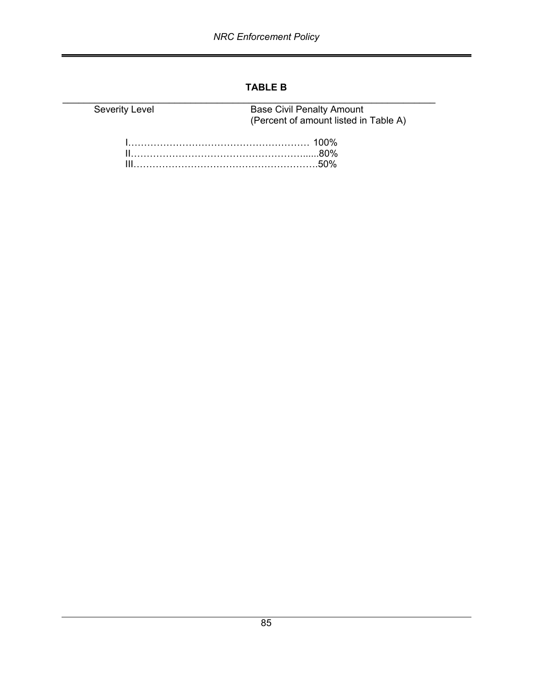# **TABLE B**

| <b>Severity Level</b> | <b>Base Civil Penalty Amount</b>      |  |  |  |  |
|-----------------------|---------------------------------------|--|--|--|--|
|                       | (Percent of amount listed in Table A) |  |  |  |  |
|                       |                                       |  |  |  |  |
|                       |                                       |  |  |  |  |
|                       |                                       |  |  |  |  |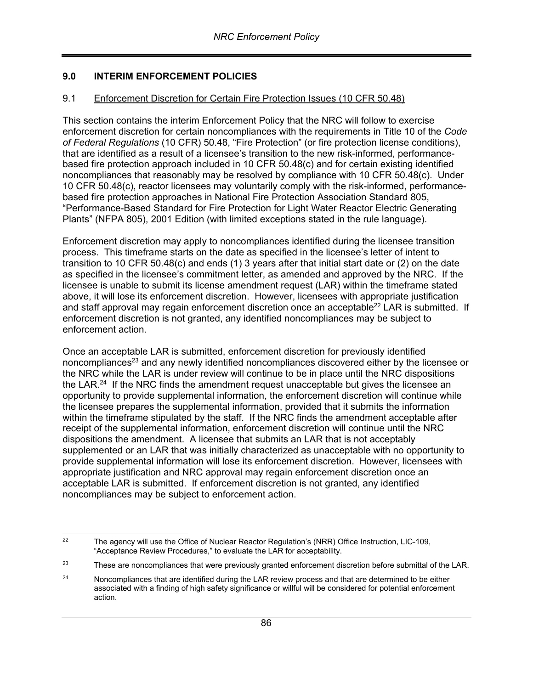### **9.0 INTERIM ENFORCEMENT POLICIES**

### 9.1 Enforcement Discretion for Certain Fire Protection Issues (10 CFR 50.48)

This section contains the interim Enforcement Policy that the NRC will follow to exercise enforcement discretion for certain noncompliances with the requirements in Title 10 of the *Code of Federal Regulations* (10 CFR) 50.48, "Fire Protection" (or fire protection license conditions), that are identified as a result of a licensee's transition to the new risk-informed, performancebased fire protection approach included in 10 CFR 50.48(c) and for certain existing identified noncompliances that reasonably may be resolved by compliance with 10 CFR 50.48(c). Under 10 CFR 50.48(c), reactor licensees may voluntarily comply with the risk-informed, performancebased fire protection approaches in National Fire Protection Association Standard 805, "Performance-Based Standard for Fire Protection for Light Water Reactor Electric Generating Plants" (NFPA 805), 2001 Edition (with limited exceptions stated in the rule language).

Enforcement discretion may apply to noncompliances identified during the licensee transition process. This timeframe starts on the date as specified in the licensee's letter of intent to transition to 10 CFR 50.48(c) and ends (1) 3 years after that initial start date or (2) on the date as specified in the licensee's commitment letter, as amended and approved by the NRC. If the licensee is unable to submit its license amendment request (LAR) within the timeframe stated above, it will lose its enforcement discretion. However, licensees with appropriate justification and staff approval may regain enforcement discretion once an acceptable<sup>22</sup> LAR is submitted. If enforcement discretion is not granted, any identified noncompliances may be subject to enforcement action.

Once an acceptable LAR is submitted, enforcement discretion for previously identified noncompliances<sup>23</sup> and any newly identified noncompliances discovered either by the licensee or the NRC while the LAR is under review will continue to be in place until the NRC dispositions the LAR. $^{24}$  If the NRC finds the amendment request unacceptable but gives the licensee an opportunity to provide supplemental information, the enforcement discretion will continue while the licensee prepares the supplemental information, provided that it submits the information within the timeframe stipulated by the staff. If the NRC finds the amendment acceptable after receipt of the supplemental information, enforcement discretion will continue until the NRC dispositions the amendment. A licensee that submits an LAR that is not acceptably supplemented or an LAR that was initially characterized as unacceptable with no opportunity to provide supplemental information will lose its enforcement discretion. However, licensees with appropriate justification and NRC approval may regain enforcement discretion once an acceptable LAR is submitted. If enforcement discretion is not granted, any identified noncompliances may be subject to enforcement action.

<sup>22</sup> 22 The agency will use the Office of Nuclear Reactor Regulation's (NRR) Office Instruction, LIC-109, "Acceptance Review Procedures," to evaluate the LAR for acceptability.

<sup>&</sup>lt;sup>23</sup> These are noncompliances that were previously granted enforcement discretion before submittal of the LAR.

<sup>&</sup>lt;sup>24</sup> Noncompliances that are identified during the LAR review process and that are determined to be either associated with a finding of high safety significance or willful will be considered for potential enforcement action.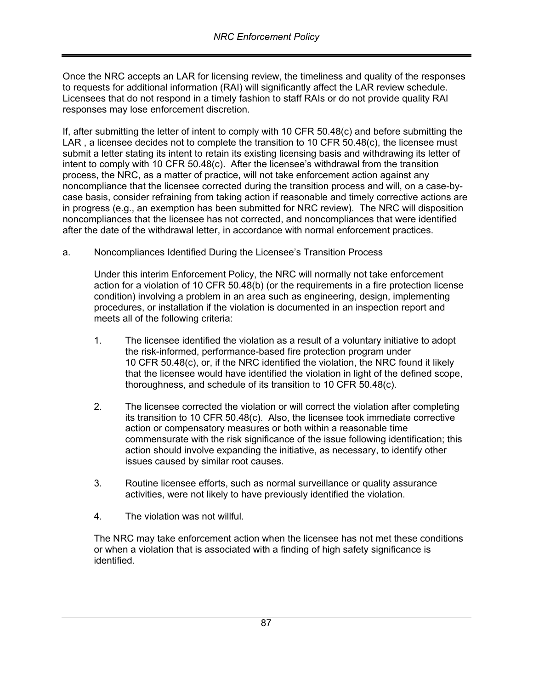Once the NRC accepts an LAR for licensing review, the timeliness and quality of the responses to requests for additional information (RAI) will significantly affect the LAR review schedule. Licensees that do not respond in a timely fashion to staff RAIs or do not provide quality RAI responses may lose enforcement discretion.

If, after submitting the letter of intent to comply with 10 CFR 50.48(c) and before submitting the LAR, a licensee decides not to complete the transition to 10 CFR 50.48(c), the licensee must submit a letter stating its intent to retain its existing licensing basis and withdrawing its letter of intent to comply with 10 CFR 50.48(c). After the licensee's withdrawal from the transition process, the NRC, as a matter of practice, will not take enforcement action against any noncompliance that the licensee corrected during the transition process and will, on a case-bycase basis, consider refraining from taking action if reasonable and timely corrective actions are in progress (e.g., an exemption has been submitted for NRC review). The NRC will disposition noncompliances that the licensee has not corrected, and noncompliances that were identified after the date of the withdrawal letter, in accordance with normal enforcement practices.

a. Noncompliances Identified During the Licensee's Transition Process

Under this interim Enforcement Policy, the NRC will normally not take enforcement action for a violation of 10 CFR 50.48(b) (or the requirements in a fire protection license condition) involving a problem in an area such as engineering, design, implementing procedures, or installation if the violation is documented in an inspection report and meets all of the following criteria:

- 1. The licensee identified the violation as a result of a voluntary initiative to adopt the risk-informed, performance-based fire protection program under 10 CFR 50.48(c), or, if the NRC identified the violation, the NRC found it likely that the licensee would have identified the violation in light of the defined scope, thoroughness, and schedule of its transition to 10 CFR 50.48(c).
- 2. The licensee corrected the violation or will correct the violation after completing its transition to 10 CFR 50.48(c). Also, the licensee took immediate corrective action or compensatory measures or both within a reasonable time commensurate with the risk significance of the issue following identification; this action should involve expanding the initiative, as necessary, to identify other issues caused by similar root causes.
- 3. Routine licensee efforts, such as normal surveillance or quality assurance activities, were not likely to have previously identified the violation.
- 4. The violation was not willful.

The NRC may take enforcement action when the licensee has not met these conditions or when a violation that is associated with a finding of high safety significance is identified.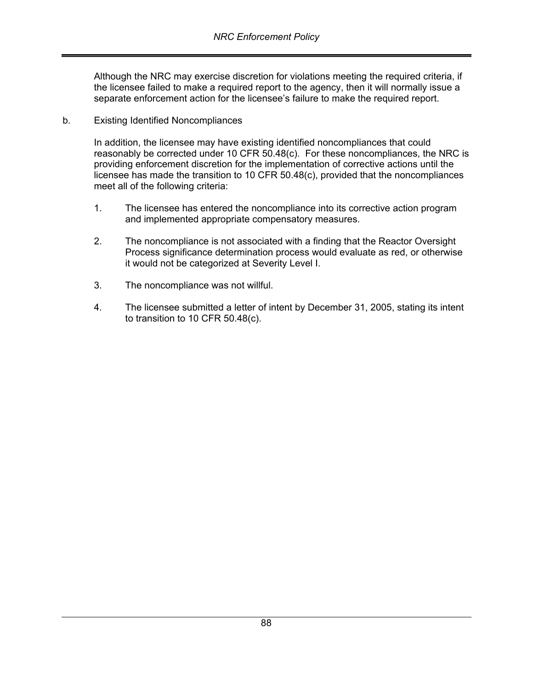Although the NRC may exercise discretion for violations meeting the required criteria, if the licensee failed to make a required report to the agency, then it will normally issue a separate enforcement action for the licensee's failure to make the required report.

b. Existing Identified Noncompliances

In addition, the licensee may have existing identified noncompliances that could reasonably be corrected under 10 CFR 50.48(c). For these noncompliances, the NRC is providing enforcement discretion for the implementation of corrective actions until the licensee has made the transition to 10 CFR 50.48(c), provided that the noncompliances meet all of the following criteria:

- 1. The licensee has entered the noncompliance into its corrective action program and implemented appropriate compensatory measures.
- 2. The noncompliance is not associated with a finding that the Reactor Oversight Process significance determination process would evaluate as red, or otherwise it would not be categorized at Severity Level I.
- 3. The noncompliance was not willful.
- 4. The licensee submitted a letter of intent by December 31, 2005, stating its intent to transition to 10 CFR 50.48(c).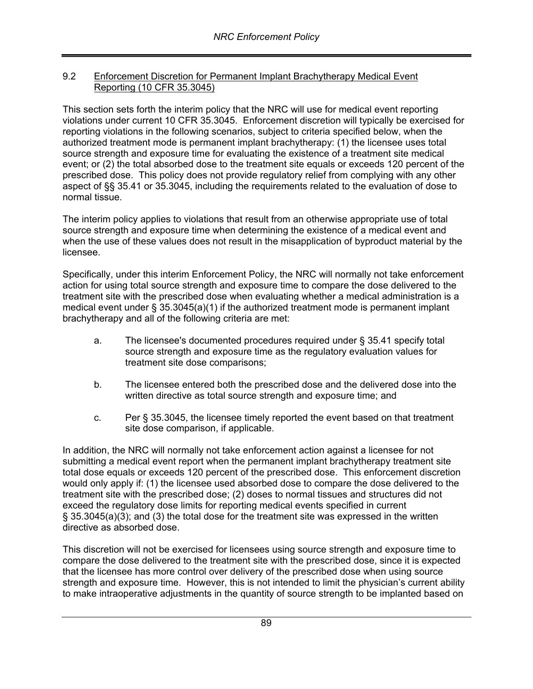### 9.2 Enforcement Discretion for Permanent Implant Brachytherapy Medical Event Reporting (10 CFR 35.3045)

This section sets forth the interim policy that the NRC will use for medical event reporting violations under current 10 CFR 35.3045. Enforcement discretion will typically be exercised for reporting violations in the following scenarios, subject to criteria specified below, when the authorized treatment mode is permanent implant brachytherapy: (1) the licensee uses total source strength and exposure time for evaluating the existence of a treatment site medical event; or (2) the total absorbed dose to the treatment site equals or exceeds 120 percent of the prescribed dose. This policy does not provide regulatory relief from complying with any other aspect of §§ 35.41 or 35.3045, including the requirements related to the evaluation of dose to normal tissue.

The interim policy applies to violations that result from an otherwise appropriate use of total source strength and exposure time when determining the existence of a medical event and when the use of these values does not result in the misapplication of byproduct material by the licensee.

Specifically, under this interim Enforcement Policy, the NRC will normally not take enforcement action for using total source strength and exposure time to compare the dose delivered to the treatment site with the prescribed dose when evaluating whether a medical administration is a medical event under § 35.3045(a)(1) if the authorized treatment mode is permanent implant brachytherapy and all of the following criteria are met:

- a. The licensee's documented procedures required under § 35.41 specify total source strength and exposure time as the regulatory evaluation values for treatment site dose comparisons;
- b. The licensee entered both the prescribed dose and the delivered dose into the written directive as total source strength and exposure time; and
- c. Per § 35.3045, the licensee timely reported the event based on that treatment site dose comparison, if applicable.

In addition, the NRC will normally not take enforcement action against a licensee for not submitting a medical event report when the permanent implant brachytherapy treatment site total dose equals or exceeds 120 percent of the prescribed dose. This enforcement discretion would only apply if: (1) the licensee used absorbed dose to compare the dose delivered to the treatment site with the prescribed dose; (2) doses to normal tissues and structures did not exceed the regulatory dose limits for reporting medical events specified in current § 35.3045(a)(3); and (3) the total dose for the treatment site was expressed in the written directive as absorbed dose.

This discretion will not be exercised for licensees using source strength and exposure time to compare the dose delivered to the treatment site with the prescribed dose, since it is expected that the licensee has more control over delivery of the prescribed dose when using source strength and exposure time. However, this is not intended to limit the physician's current ability to make intraoperative adjustments in the quantity of source strength to be implanted based on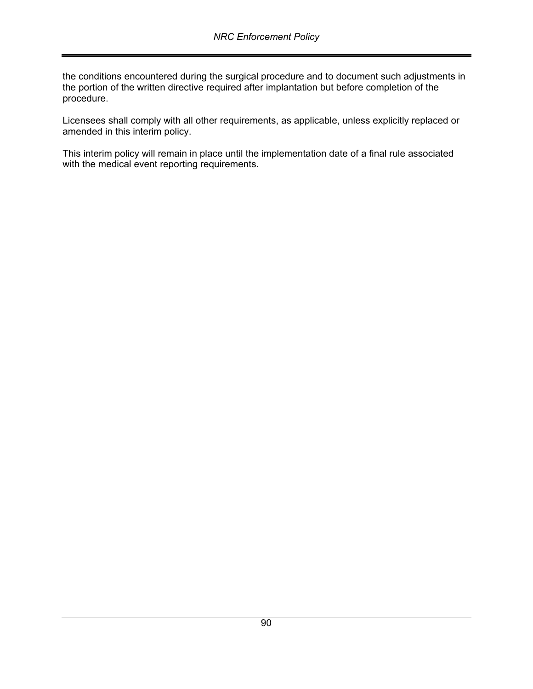the conditions encountered during the surgical procedure and to document such adjustments in the portion of the written directive required after implantation but before completion of the procedure.

Licensees shall comply with all other requirements, as applicable, unless explicitly replaced or amended in this interim policy.

This interim policy will remain in place until the implementation date of a final rule associated with the medical event reporting requirements.